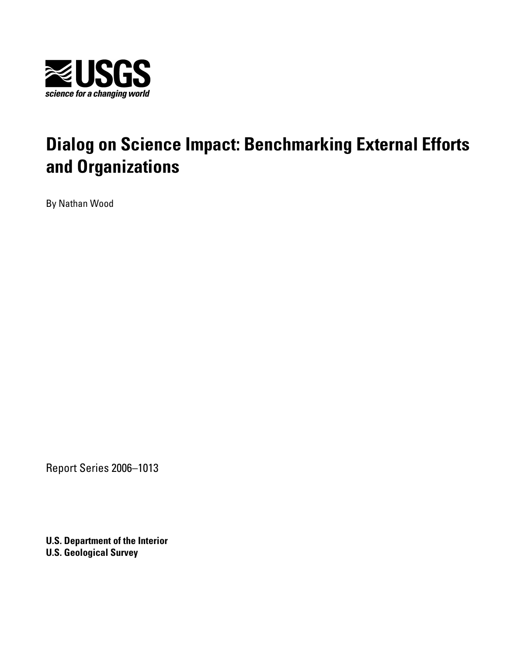

# **Dialog on Science Impact: Benchmarking External Efforts and Organizations**

By Nathan Wood

Report Series 2006–1013

**U.S. Department of the Interior U.S. Geological Survey**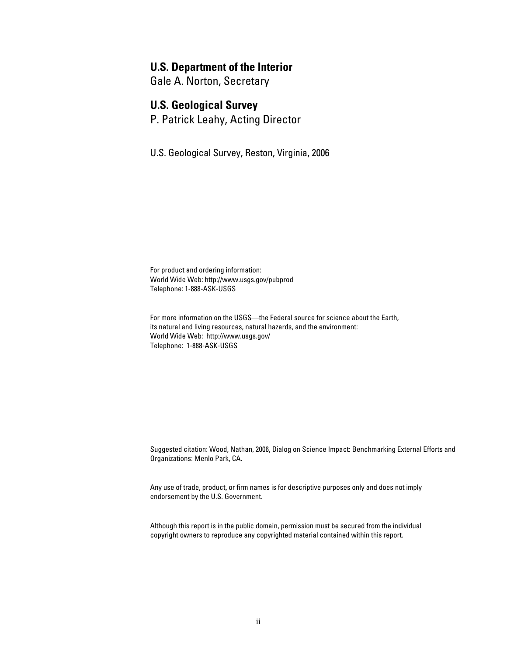#### **U.S. Department of the Interior**

Gale A. Norton, Secretary

### **U.S. Geological Survey**

P. Patrick Leahy, Acting Director

U.S. Geological Survey, Reston, Virginia, 2006

For product and ordering information: World Wide Web:<http://www.usgs.gov/pubprod> Telephone: 1-888-ASK-USGS

For more information on the USGS—the Federal source for science about the Earth, its natural and living resources, natural hazards, and the environment: World Wide Web: [http://www.usgs.gov/](http://www.usgs.gov) Telephone: 1-888-ASK-USGS

Suggested citation: Wood, Nathan, 2006, Dialog on Science Impact: Benchmarking External Efforts and Organizations: Menlo Park, CA.

Any use of trade, product, or firm names is for descriptive purposes only and does not imply endorsement by the U.S. Government.

Although this report is in the public domain, permission must be secured from the individual copyright owners to reproduce any copyrighted material contained within this report.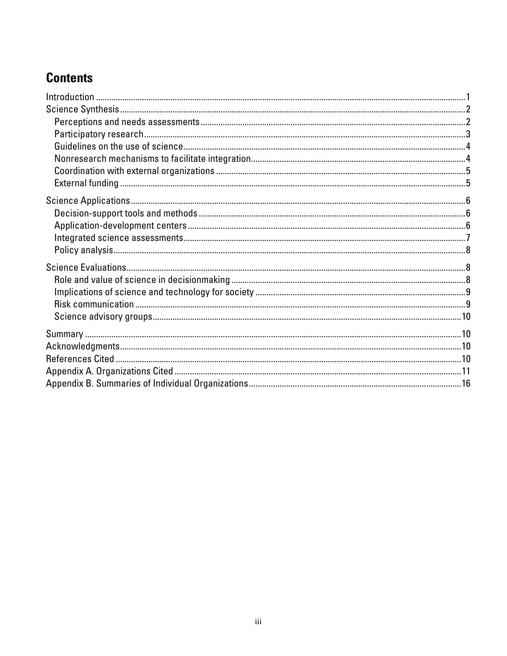# **Contents**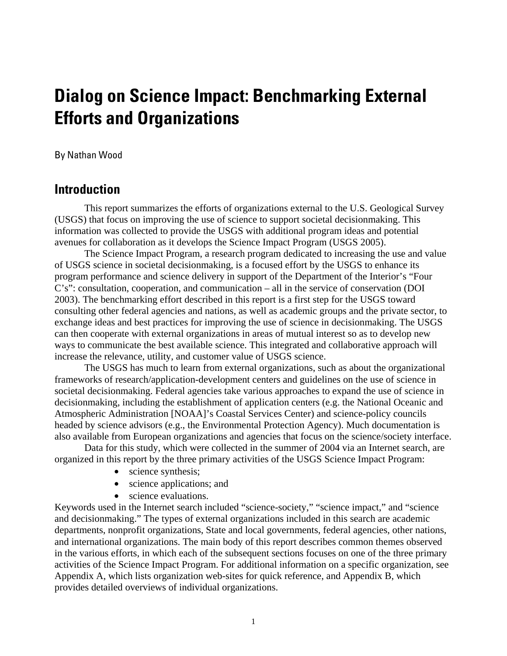# <span id="page-3-0"></span>**Dialog on Science Impact: Benchmarking External Efforts and Organizations**

#### By Nathan Wood

## **Introduction**

This report summarizes the efforts of organizations external to the U.S. Geological Survey (USGS) that focus on improving the use of science to support societal decisionmaking. This information was collected to provide the USGS with additional program ideas and potential avenues for collaboration as it develops the Science Impact Program (USGS 2005).

The Science Impact Program, a research program dedicated to increasing the use and value of USGS science in societal decisionmaking, is a focused effort by the USGS to enhance its program performance and science delivery in support of the Department of the Interior's "Four C's": consultation, cooperation, and communication – all in the service of conservation (DOI 2003). The benchmarking effort described in this report is a first step for the USGS toward consulting other federal agencies and nations, as well as academic groups and the private sector, to exchange ideas and best practices for improving the use of science in decisionmaking. The USGS can then cooperate with external organizations in areas of mutual interest so as to develop new ways to communicate the best available science. This integrated and collaborative approach will increase the relevance, utility, and customer value of USGS science.

The USGS has much to learn from external organizations, such as about the organizational frameworks of research/application-development centers and guidelines on the use of science in societal decisionmaking. Federal agencies take various approaches to expand the use of science in decisionmaking, including the establishment of application centers (e.g. the National Oceanic and Atmospheric Administration [NOAA]'s Coastal Services Center) and science-policy councils headed by science advisors (e.g., the Environmental Protection Agency). Much documentation is also available from European organizations and agencies that focus on the science/society interface.

Data for this study, which were collected in the summer of 2004 via an Internet search, are organized in this report by the three primary activities of the USGS Science Impact Program:

- science synthesis;
- science applications; and
- science evaluations.

Keywords used in the Internet search included "science-society," "science impact," and "science and decisionmaking." The types of external organizations included in this search are academic departments, nonprofit organizations, State and local governments, federal agencies, other nations, and international organizations. The main body of this report describes common themes observed in the various efforts, in which each of the subsequent sections focuses on one of the three primary activities of the Science Impact Program. For additional information on a specific organization, see Appendix A, which lists organization web-sites for quick reference, and Appendix B, which provides detailed overviews of individual organizations.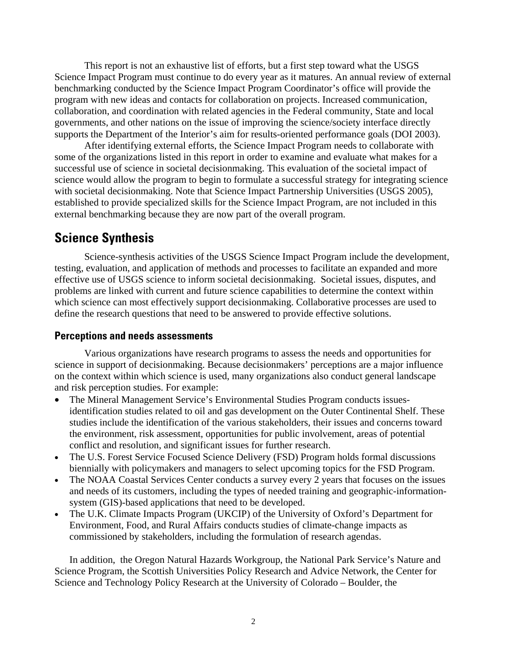<span id="page-4-0"></span>This report is not an exhaustive list of efforts, but a first step toward what the USGS Science Impact Program must continue to do every year as it matures. An annual review of external benchmarking conducted by the Science Impact Program Coordinator's office will provide the program with new ideas and contacts for collaboration on projects. Increased communication, collaboration, and coordination with related agencies in the Federal community, State and local governments, and other nations on the issue of improving the science/society interface directly supports the Department of the Interior's aim for results-oriented performance goals (DOI 2003).

After identifying external efforts, the Science Impact Program needs to collaborate with some of the organizations listed in this report in order to examine and evaluate what makes for a successful use of science in societal decisionmaking. This evaluation of the societal impact of science would allow the program to begin to formulate a successful strategy for integrating science with societal decisionmaking. Note that Science Impact Partnership Universities (USGS 2005), established to provide specialized skills for the Science Impact Program, are not included in this external benchmarking because they are now part of the overall program.

## **Science Synthesis**

Science-synthesis activities of the USGS Science Impact Program include the development, testing, evaluation, and application of methods and processes to facilitate an expanded and more effective use of USGS science to inform societal decisionmaking. Societal issues, disputes, and problems are linked with current and future science capabilities to determine the context within which science can most effectively support decisionmaking. Collaborative processes are used to define the research questions that need to be answered to provide effective solutions.

#### **Perceptions and needs assessments**

Various organizations have research programs to assess the needs and opportunities for science in support of decisionmaking. Because decisionmakers' perceptions are a major influence on the context within which science is used, many organizations also conduct general landscape and risk perception studies. For example:

- The Mineral Management Service's Environmental Studies Program conducts issuesidentification studies related to oil and gas development on the Outer Continental Shelf. These studies include the identification of the various stakeholders, their issues and concerns toward the environment, risk assessment, opportunities for public involvement, areas of potential conflict and resolution, and significant issues for further research.
- The U.S. Forest Service Focused Science Delivery (FSD) Program holds formal discussions biennially with policymakers and managers to select upcoming topics for the FSD Program.
- The NOAA Coastal Services Center conducts a survey every 2 years that focuses on the issues and needs of its customers, including the types of needed training and geographic-informationsystem (GIS)-based applications that need to be developed.
- The U.K. Climate Impacts Program (UKCIP) of the University of Oxford's Department for Environment, Food, and Rural Affairs conducts studies of climate-change impacts as commissioned by stakeholders, including the formulation of research agendas.

In addition, the Oregon Natural Hazards Workgroup, the National Park Service's Nature and Science Program, the Scottish Universities Policy Research and Advice Network, the Center for Science and Technology Policy Research at the University of Colorado – Boulder, the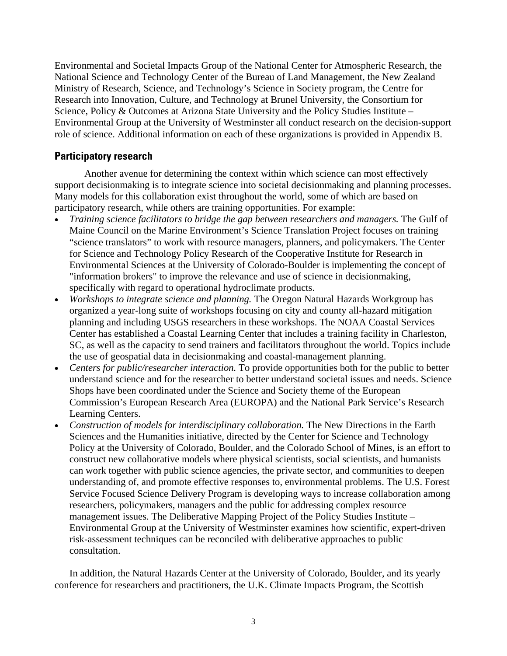<span id="page-5-0"></span>Environmental and Societal Impacts Group of the National Center for Atmospheric Research, the National Science and Technology Center of the Bureau of Land Management, the New Zealand Ministry of Research, Science, and Technology's Science in Society program, the Centre for Research into Innovation, Culture, and Technology at Brunel University, the Consortium for Science, Policy & Outcomes at Arizona State University and the Policy Studies Institute – Environmental Group at the University of Westminster all conduct research on the decision-support role of science. Additional information on each of these organizations is provided in Appendix B.

#### **Participatory research**

Another avenue for determining the context within which science can most effectively support decisionmaking is to integrate science into societal decisionmaking and planning processes. Many models for this collaboration exist throughout the world, some of which are based on participatory research, while others are training opportunities. For example:

- *Training science facilitators to bridge the gap between researchers and managers.* The Gulf of Maine Council on the Marine Environment's Science Translation Project focuses on training "science translators" to work with resource managers, planners, and policymakers. The Center for Science and Technology Policy Research of the Cooperative Institute for Research in Environmental Sciences at the University of Colorado-Boulder is implementing the concept of "information brokers" to improve the relevance and use of science in decisionmaking, specifically with regard to operational hydroclimate products.
- *Workshops to integrate science and planning.* The Oregon Natural Hazards Workgroup has organized a year-long suite of workshops focusing on city and county all-hazard mitigation planning and including USGS researchers in these workshops. The NOAA Coastal Services Center has established a Coastal Learning Center that includes a training facility in Charleston, SC, as well as the capacity to send trainers and facilitators throughout the world. Topics include the use of geospatial data in decisionmaking and coastal-management planning.
- *Centers for public/researcher interaction.* To provide opportunities both for the public to better understand science and for the researcher to better understand societal issues and needs. Science Shops have been coordinated under the Science and Society theme of the European Commission's European Research Area (EUROPA) and the National Park Service's Research Learning Centers.
- *Construction of models for interdisciplinary collaboration.* The New Directions in the Earth Sciences and the Humanities initiative, directed by the Center for Science and Technology Policy at the University of Colorado, Boulder, and the Colorado School of Mines, is an effort to construct new collaborative models where physical scientists, social scientists, and humanists can work together with public science agencies, the private sector, and communities to deepen understanding of, and promote effective responses to, environmental problems. The U.S. Forest Service Focused Science Delivery Program is developing ways to increase collaboration among researchers, policymakers, managers and the public for addressing complex resource management issues. The Deliberative Mapping Project of the Policy Studies Institute – Environmental Group at the University of Westminster examines how scientific, expert-driven risk-assessment techniques can be reconciled with deliberative approaches to public consultation.

In addition, the Natural Hazards Center at the University of Colorado, Boulder, and its yearly conference for researchers and practitioners, the U.K. Climate Impacts Program, the Scottish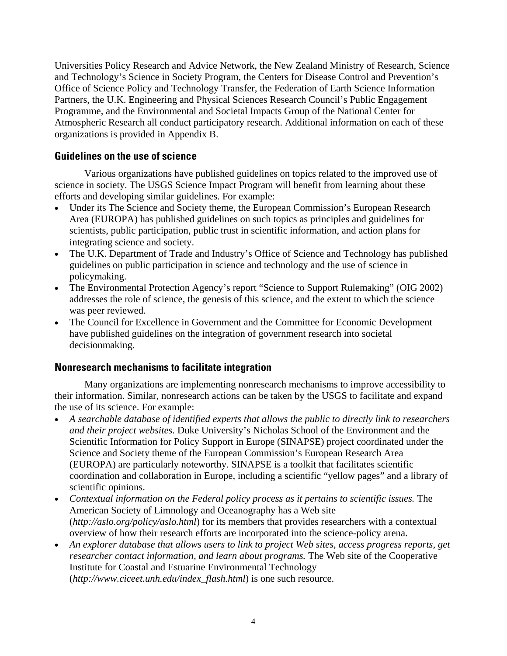<span id="page-6-0"></span>Universities Policy Research and Advice Network, the New Zealand Ministry of Research, Science and Technology's Science in Society Program, the Centers for Disease Control and Prevention's Office of Science Policy and Technology Transfer, the Federation of Earth Science Information Partners, the U.K. Engineering and Physical Sciences Research Council's Public Engagement Programme, and the Environmental and Societal Impacts Group of the National Center for Atmospheric Research all conduct participatory research. Additional information on each of these organizations is provided in Appendix B.

### **Guidelines on the use of science**

Various organizations have published guidelines on topics related to the improved use of science in society. The USGS Science Impact Program will benefit from learning about these efforts and developing similar guidelines. For example:

- Under its The Science and Society theme, the European Commission's European Research Area (EUROPA) has published guidelines on such topics as principles and guidelines for scientists, public participation, public trust in scientific information, and action plans for integrating science and society.
- The U.K. Department of Trade and Industry's Office of Science and Technology has published guidelines on public participation in science and technology and the use of science in policymaking.
- The Environmental Protection Agency's report "Science to Support Rulemaking" (OIG 2002) addresses the role of science, the genesis of this science, and the extent to which the science was peer reviewed.
- The Council for Excellence in Government and the Committee for Economic Development have published guidelines on the integration of government research into societal decisionmaking.

#### **Nonresearch mechanisms to facilitate integration**

Many organizations are implementing nonresearch mechanisms to improve accessibility to their information. Similar, nonresearch actions can be taken by the USGS to facilitate and expand the use of its science. For example:

- *A searchable database of identified experts that allows the public to directly link to researchers and their project websites.* Duke University's Nicholas School of the Environment and the Scientific Information for Policy Support in Europe (SINAPSE) project coordinated under the Science and Society theme of the European Commission's European Research Area (EUROPA) are particularly noteworthy. SINAPSE is a toolkit that facilitates scientific coordination and collaboration in Europe, including a scientific "yellow pages" and a library of scientific opinions.
- *Contextual information on the Federal policy process as it pertains to scientific issues.* The American Society of Limnology and Oceanography has a Web site (*<http://aslo.org/policy/aslo.html>*) for its members that provides researchers with a contextual overview of how their research efforts are incorporated into the science-policy arena.
- *An explorer database that allows users to link to project Web sites, access progress reports, get researcher contact information, and learn about programs.* The Web site of the Cooperative Institute for Coastal and Estuarine Environmental Technology (*[http://www.ciceet.unh.edu/index\\_flash.html](http://www.ciceet.unh.edu/index_flash.html)*) is one such resource.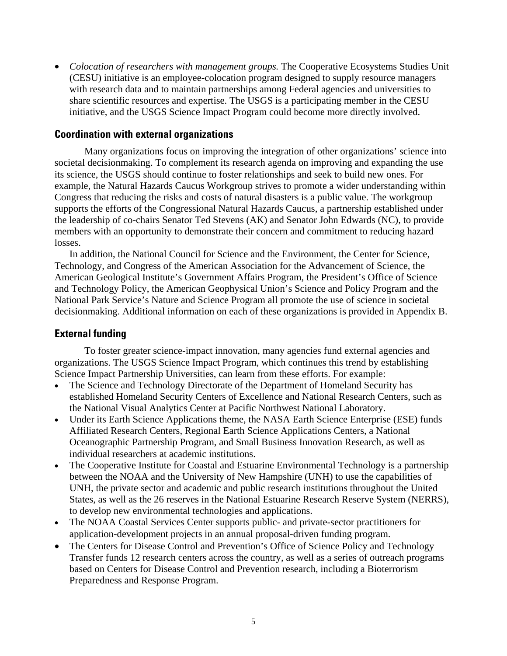<span id="page-7-0"></span>• *Colocation of researchers with management groups.* The Cooperative Ecosystems Studies Unit (CESU) initiative is an employee-colocation program designed to supply resource managers with research data and to maintain partnerships among Federal agencies and universities to share scientific resources and expertise. The USGS is a participating member in the CESU initiative, and the USGS Science Impact Program could become more directly involved.

#### **Coordination with external organizations**

Many organizations focus on improving the integration of other organizations' science into societal decisionmaking. To complement its research agenda on improving and expanding the use its science, the USGS should continue to foster relationships and seek to build new ones. For example, the Natural Hazards Caucus Workgroup strives to promote a wider understanding within Congress that reducing the risks and costs of natural disasters is a public value. The workgroup supports the efforts of the Congressional Natural Hazards Caucus, a partnership established under the leadership of co-chairs Senator Ted Stevens (AK) and Senator John Edwards (NC), to provide members with an opportunity to demonstrate their concern and commitment to reducing hazard losses.

In addition, the National Council for Science and the Environment, the Center for Science, Technology, and Congress of the American Association for the Advancement of Science, the American Geological Institute's Government Affairs Program, the President's Office of Science and Technology Policy, the American Geophysical Union's Science and Policy Program and the National Park Service's Nature and Science Program all promote the use of science in societal decisionmaking. Additional information on each of these organizations is provided in Appendix B.

#### **External funding**

To foster greater science-impact innovation, many agencies fund external agencies and organizations. The USGS Science Impact Program, which continues this trend by establishing Science Impact Partnership Universities, can learn from these efforts. For example:

- The Science and Technology Directorate of the Department of Homeland Security has established Homeland Security Centers of Excellence and National Research Centers, such as the National Visual Analytics Center at Pacific Northwest National Laboratory.
- Under its Earth Science Applications theme, the NASA Earth Science Enterprise (ESE) funds Affiliated Research Centers, Regional Earth Science Applications Centers, a National Oceanographic Partnership Program, and Small Business Innovation Research, as well as individual researchers at academic institutions.
- The Cooperative Institute for Coastal and Estuarine Environmental Technology is a partnership between the NOAA and the University of New Hampshire (UNH) to use the capabilities of UNH, the private sector and academic and public research institutions throughout the United States, as well as the 26 reserves in the National Estuarine Research Reserve System (NERRS), to develop new environmental technologies and applications.
- The NOAA Coastal Services Center supports public- and private-sector practitioners for application-development projects in an annual proposal-driven funding program.
- The Centers for Disease Control and Prevention's Office of Science Policy and Technology Transfer funds 12 research centers across the country, as well as a series of outreach programs based on Centers for Disease Control and Prevention research, including a Bioterrorism Preparedness and Response Program.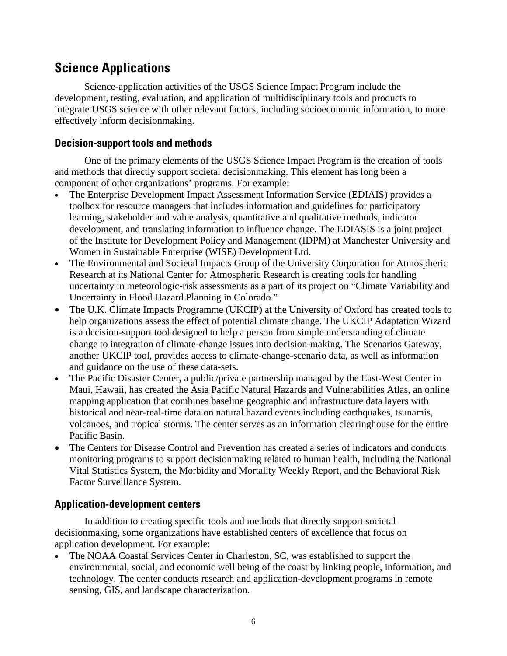# <span id="page-8-0"></span>**Science Applications**

Science-application activities of the USGS Science Impact Program include the development, testing, evaluation, and application of multidisciplinary tools and products to integrate USGS science with other relevant factors, including socioeconomic information, to more effectively inform decisionmaking.

### **Decision-support tools and methods**

One of the primary elements of the USGS Science Impact Program is the creation of tools and methods that directly support societal decisionmaking. This element has long been a component of other organizations' programs. For example:

- The Enterprise Development Impact Assessment Information Service (EDIAIS) provides a toolbox for resource managers that includes information and guidelines for participatory learning, stakeholder and value analysis, quantitative and qualitative methods, indicator development, and translating information to influence change. The EDIASIS is a joint project of the Institute for Development Policy and Management (IDPM) at Manchester University and Women in Sustainable Enterprise (WISE) Development Ltd.
- The Environmental and Societal Impacts Group of the University Corporation for Atmospheric Research at its National Center for Atmospheric Research is creating tools for handling uncertainty in meteorologic-risk assessments as a part of its project on "Climate Variability and Uncertainty in Flood Hazard Planning in Colorado."
- The U.K. Climate Impacts Programme (UKCIP) at the University of Oxford has created tools to help organizations assess the effect of potential climate change. The UKCIP Adaptation Wizard is a decision-support tool designed to help a person from simple understanding of climate change to integration of climate-change issues into decision-making. The Scenarios Gateway, another UKCIP tool, provides access to climate-change-scenario data, as well as information and guidance on the use of these data-sets.
- The Pacific Disaster Center, a public/private partnership managed by the East-West Center in Maui, Hawaii, has created the Asia Pacific Natural Hazards and Vulnerabilities Atlas, an online mapping application that combines baseline geographic and infrastructure data layers with historical and near-real-time data on natural hazard events including earthquakes, tsunamis, volcanoes, and tropical storms. The center serves as an information clearinghouse for the entire Pacific Basin.
- The Centers for Disease Control and Prevention has created a series of indicators and conducts monitoring programs to support decisionmaking related to human health, including the National Vital Statistics System, the Morbidity and Mortality Weekly Report, and the Behavioral Risk Factor Surveillance System.

### **Application-development centers**

In addition to creating specific tools and methods that directly support societal decisionmaking, some organizations have established centers of excellence that focus on application development. For example:

The NOAA Coastal Services Center in Charleston, SC, was established to support the environmental, social, and economic well being of the coast by linking people, information, and technology. The center conducts research and application-development programs in remote sensing, GIS, and landscape characterization.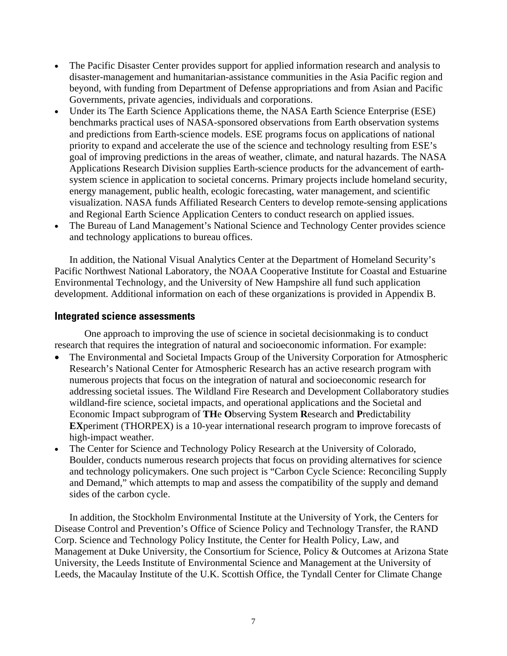- <span id="page-9-0"></span>• The Pacific Disaster Center provides support for applied information research and analysis to disaster-management and humanitarian-assistance communities in the Asia Pacific region and beyond, with funding from Department of Defense appropriations and from Asian and Pacific Governments, private agencies, individuals and corporations.
- Under its The Earth Science Applications theme, the NASA Earth Science Enterprise (ESE) benchmarks practical uses of NASA-sponsored observations from Earth observation systems and predictions from Earth-science models. ESE programs focus on applications of national priority to expand and accelerate the use of the science and technology resulting from ESE's goal of improving predictions in the areas of weather, climate, and natural hazards. The NASA Applications Research Division supplies Earth-science products for the advancement of earthsystem science in application to societal concerns. Primary projects include homeland security, energy management, public health, ecologic forecasting, water management, and scientific visualization. NASA funds Affiliated Research Centers to develop remote-sensing applications and Regional Earth Science Application Centers to conduct research on applied issues.
- The Bureau of Land Management's National Science and Technology Center provides science and technology applications to bureau offices.

In addition, the National Visual Analytics Center at the Department of Homeland Security's Pacific Northwest National Laboratory, the NOAA Cooperative Institute for Coastal and Estuarine Environmental Technology, and the University of New Hampshire all fund such application development. Additional information on each of these organizations is provided in Appendix B.

#### **Integrated science assessments**

One approach to improving the use of science in societal decisionmaking is to conduct research that requires the integration of natural and socioeconomic information. For example:

- The Environmental and Societal Impacts Group of the University Corporation for Atmospheric Research's National Center for Atmospheric Research has an active research program with numerous projects that focus on the integration of natural and socioeconomic research for addressing societal issues. The Wildland Fire Research and Development Collaboratory studies wildland-fire science, societal impacts, and operational applications and the Societal and Economic Impact subprogram of **TH**e **O**bserving System **R**esearch and **P**redictability **EX**periment (THORPEX) is a 10-year international research program to improve forecasts of high-impact weather.
- The Center for Science and Technology Policy Research at the University of Colorado, Boulder, conducts numerous research projects that focus on providing alternatives for science and technology policymakers. One such project is "Carbon Cycle Science: Reconciling Supply and Demand," which attempts to map and assess the compatibility of the supply and demand sides of the carbon cycle.

In addition, the Stockholm Environmental Institute at the University of York, the Centers for Disease Control and Prevention's Office of Science Policy and Technology Transfer, the RAND Corp. Science and Technology Policy Institute, the Center for Health Policy, Law, and Management at Duke University, the Consortium for Science, Policy & Outcomes at Arizona State University, the Leeds Institute of Environmental Science and Management at the University of Leeds, the Macaulay Institute of the U.K. Scottish Office, the Tyndall Center for Climate Change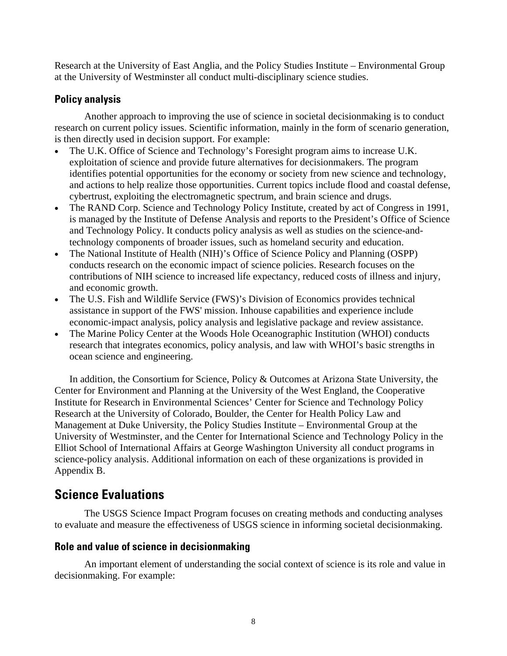<span id="page-10-0"></span>Research at the University of East Anglia, and the Policy Studies Institute – Environmental Group at the University of Westminster all conduct multi-disciplinary science studies.

### **Policy analysis**

Another approach to improving the use of science in societal decisionmaking is to conduct research on current policy issues. Scientific information, mainly in the form of scenario generation, is then directly used in decision support. For example:

- The U.K. Office of Science and Technology's Foresight program aims to increase U.K. exploitation of science and provide future alternatives for decisionmakers. The program identifies potential opportunities for the economy or society from new science and technology, and actions to help realize those opportunities. Current topics include flood and coastal defense, cybertrust, exploiting the electromagnetic spectrum, and brain science and drugs.
- The RAND Corp. Science and Technology Policy Institute, created by act of Congress in 1991, is managed by the Institute of Defense Analysis and reports to the President's Office of Science and Technology Policy. It conducts policy analysis as well as studies on the science-andtechnology components of broader issues, such as homeland security and education.
- The National Institute of Health (NIH)'s Office of Science Policy and Planning (OSPP) conducts research on the economic impact of science policies. Research focuses on the contributions of NIH science to increased life expectancy, reduced costs of illness and injury, and economic growth.
- The U.S. Fish and Wildlife Service (FWS)'s Division of Economics provides technical assistance in support of the FWS' mission. Inhouse capabilities and experience include economic-impact analysis, policy analysis and legislative package and review assistance.
- The Marine Policy Center at the Woods Hole Oceanographic Institution (WHOI) conducts research that integrates economics, policy analysis, and law with WHOI's basic strengths in ocean science and engineering.

In addition, the Consortium for Science, Policy & Outcomes at Arizona State University, the Center for Environment and Planning at the University of the West England, the Cooperative Institute for Research in Environmental Sciences' Center for Science and Technology Policy Research at the University of Colorado, Boulder, the Center for Health Policy Law and Management at Duke University, the Policy Studies Institute – Environmental Group at the University of Westminster, and the Center for International Science and Technology Policy in the Elliot School of International Affairs at George Washington University all conduct programs in science-policy analysis. Additional information on each of these organizations is provided in Appendix B.

# **Science Evaluations**

The USGS Science Impact Program focuses on creating methods and conducting analyses to evaluate and measure the effectiveness of USGS science in informing societal decisionmaking.

### **Role and value of science in decisionmaking**

An important element of understanding the social context of science is its role and value in decisionmaking. For example: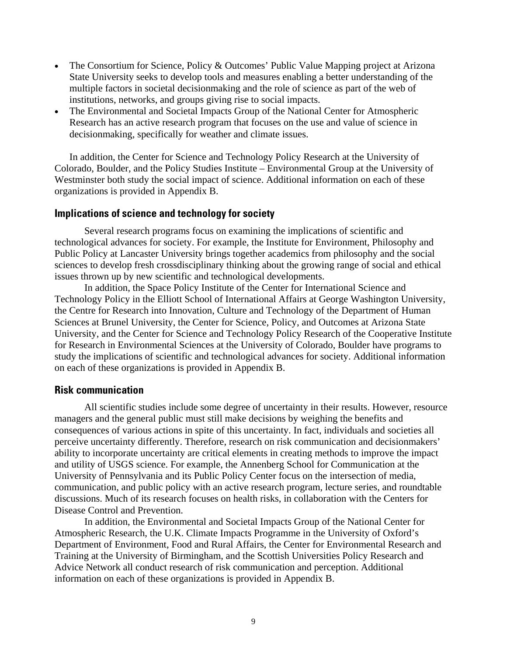- <span id="page-11-0"></span>• The Consortium for Science, Policy & Outcomes' Public Value Mapping project at Arizona State University seeks to develop tools and measures enabling a better understanding of the multiple factors in societal decisionmaking and the role of science as part of the web of institutions, networks, and groups giving rise to social impacts.
- The Environmental and Societal Impacts Group of the National Center for Atmospheric Research has an active research program that focuses on the use and value of science in decisionmaking, specifically for weather and climate issues.

In addition, the Center for Science and Technology Policy Research at the University of Colorado, Boulder, and the Policy Studies Institute – Environmental Group at the University of Westminster both study the social impact of science. Additional information on each of these organizations is provided in Appendix B.

#### **Implications of science and technology for society**

Several research programs focus on examining the implications of scientific and technological advances for society. For example, the Institute for Environment, Philosophy and Public Policy at Lancaster University brings together academics from philosophy and the social sciences to develop fresh crossdisciplinary thinking about the growing range of social and ethical issues thrown up by new scientific and technological developments.

In addition, the Space Policy Institute of the Center for International Science and Technology Policy in the Elliott School of International Affairs at George Washington University, the Centre for Research into Innovation, Culture and Technology of the Department of Human Sciences at Brunel University, the Center for Science, Policy, and Outcomes at Arizona State University, and the Center for Science and Technology Policy Research of the Cooperative Institute for Research in Environmental Sciences at the University of Colorado, Boulder have programs to study the implications of scientific and technological advances for society. Additional information on each of these organizations is provided in Appendix B.

#### **Risk communication**

All scientific studies include some degree of uncertainty in their results. However, resource managers and the general public must still make decisions by weighing the benefits and consequences of various actions in spite of this uncertainty. In fact, individuals and societies all perceive uncertainty differently. Therefore, research on risk communication and decisionmakers' ability to incorporate uncertainty are critical elements in creating methods to improve the impact and utility of USGS science. For example, the Annenberg School for Communication at the University of Pennsylvania and its Public Policy Center focus on the intersection of media, communication, and public policy with an active research program, lecture series, and roundtable discussions. Much of its research focuses on health risks, in collaboration with the Centers for Disease Control and Prevention.

In addition, the Environmental and Societal Impacts Group of the National Center for Atmospheric Research, the U.K. Climate Impacts Programme in the University of Oxford's Department of Environment, Food and Rural Affairs, the Center for Environmental Research and Training at the University of Birmingham, and the Scottish Universities Policy Research and Advice Network all conduct research of risk communication and perception. Additional information on each of these organizations is provided in Appendix B.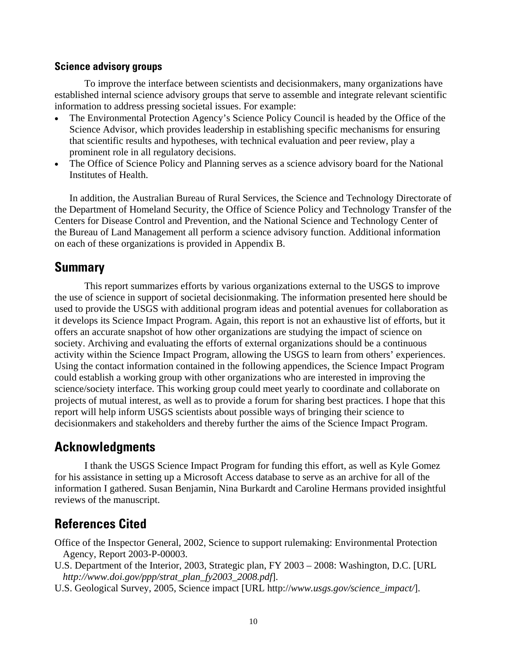#### <span id="page-12-0"></span>**Science advisory groups**

To improve the interface between scientists and decisionmakers, many organizations have established internal science advisory groups that serve to assemble and integrate relevant scientific information to address pressing societal issues. For example:

- The Environmental Protection Agency's Science Policy Council is headed by the Office of the Science Advisor, which provides leadership in establishing specific mechanisms for ensuring that scientific results and hypotheses, with technical evaluation and peer review, play a prominent role in all regulatory decisions.
- The Office of Science Policy and Planning serves as a science advisory board for the National Institutes of Health.

In addition, the Australian Bureau of Rural Services, the Science and Technology Directorate of the Department of Homeland Security, the Office of Science Policy and Technology Transfer of the Centers for Disease Control and Prevention, and the National Science and Technology Center of the Bureau of Land Management all perform a science advisory function. Additional information on each of these organizations is provided in Appendix B.

### **Summary**

This report summarizes efforts by various organizations external to the USGS to improve the use of science in support of societal decisionmaking. The information presented here should be used to provide the USGS with additional program ideas and potential avenues for collaboration as it develops its Science Impact Program. Again, this report is not an exhaustive list of efforts, but it offers an accurate snapshot of how other organizations are studying the impact of science on society. Archiving and evaluating the efforts of external organizations should be a continuous activity within the Science Impact Program, allowing the USGS to learn from others' experiences. Using the contact information contained in the following appendices, the Science Impact Program could establish a working group with other organizations who are interested in improving the science/society interface. This working group could meet yearly to coordinate and collaborate on projects of mutual interest, as well as to provide a forum for sharing best practices. I hope that this report will help inform USGS scientists about possible ways of bringing their science to decisionmakers and stakeholders and thereby further the aims of the Science Impact Program.

# **Acknowledgments**

I thank the USGS Science Impact Program for funding this effort, as well as Kyle Gomez for his assistance in setting up a Microsoft Access database to serve as an archive for all of the information I gathered. Susan Benjamin, Nina Burkardt and Caroline Hermans provided insightful reviews of the manuscript.

# **References Cited**

Office of the Inspector General, 2002, Science to support rulemaking: Environmental Protection Agency, Report 2003-P-00003.

- U.S. Department of the Interior, 2003, Strategic plan, FY 2003 2008: Washington, D.C. [URL *[http://www.doi.gov/ppp/strat\\_plan\\_fy2003\\_2008.pd](http://www.doi.gov/ppp/strat_plan_fy2003_2008.pdf)f*].
- U.S. Geological Survey, 2005, Science impact [URL http://*[www.usgs.gov/science\\_impact/](http://www.usgs.gov/science_impact)*].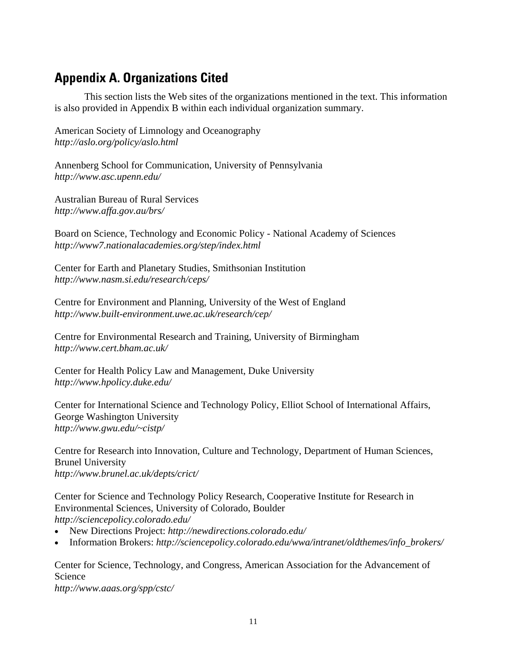# <span id="page-13-0"></span>**Appendix A. Organizations Cited**

This section lists the Web sites of the organizations mentioned in the text. This information is also provided in Appendix B within each individual organization summary.

American Society of Limnology and Oceanography *<http://aslo.org/policy/aslo.html>*

Annenberg School for Communication, University of Pennsylvania *[http://www.asc.upenn.edu/](http://www.asc.upenn.edu)* 

Australian Bureau of Rural Services *[http://www.affa.gov.au/brs/](http://www.affa.gov.au/brs)* 

Board on Science, Technology and Economic Policy - National Academy of Sciences *<http://www7.nationalacademies.org/step/index.html>*

Center for Earth and Planetary Studies, Smithsonian Institution *[http://www.nasm.si.edu/research/ceps/](http://www.nasm.si.edu/research/ceps)* 

Centre for Environment and Planning, University of the West of England *[http://www.built-environment.uwe.ac.uk/research/cep/](http://www.built-environment.uwe.ac.uk/research/cep)* 

Centre for Environmental Research and Training, University of Birmingham *[http://www.cert.bham.ac.uk/](http://www.cert.bham.ac.uk)* 

Center for Health Policy Law and Management, Duke University *[http://www.hpolicy.duke.edu/](http://www.hpolicy.duke.edu)* 

Center for International Science and Technology Policy, Elliot School of International Affairs, George Washington University *[http://www.gwu.edu/~cistp/](http://www.gwu.edu/~cistp)* 

Centre for Research into Innovation, Culture and Technology, Department of Human Sciences, Brunel University *[http://www.brunel.ac.uk/depts/crict/](http://www.brunel.ac.uk/depts/crict)* 

Center for Science and Technology Policy Research, Cooperative Institute for Research in Environmental Sciences, University of Colorado, Boulder *[http://sciencepolicy.colorado.edu/](http://sciencepolicy.colorado.edu)* 

- New Directions Project: *[http://newdirections.colorado.edu/](http://newdirections.colorado.edu)*
- Information Brokers: *[http://sciencepolicy.colorado.edu/wwa/intranet/oldthemes/info\\_brokers/](http://sciencepolicy.colorado.edu/wwa/intranet/oldthemes/info_brokers)*

Center for Science, Technology, and Congress, American Association for the Advancement of Science

*[http://www.aaas.org/spp/cstc/](http://www.aaas.org/spp/cstc)*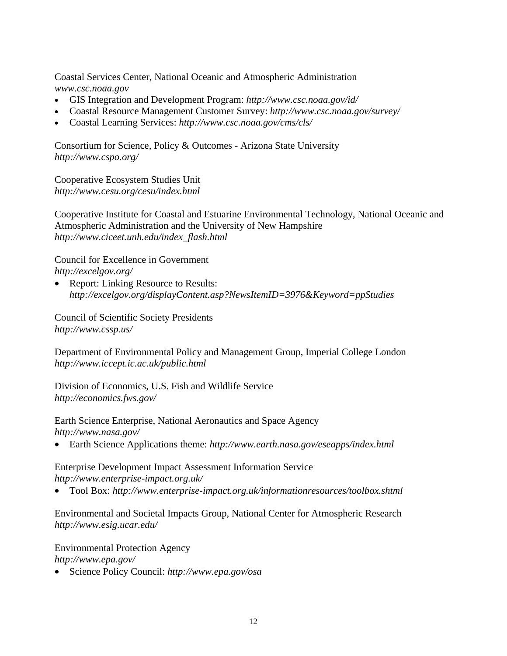Coastal Services Center, National Oceanic and Atmospheric Administration *[www.csc.noaa.gov](http://www.csc.noaa.gov)* 

- GIS Integration and Development Program: *[http://www.csc.noaa.gov/id/](http://www.csc.noaa.gov/id)*
- Coastal Resource Management Customer Survey: *[http://www.csc.noaa.gov/survey/](http://www.csc.noaa.gov/survey)*
- Coastal Learning Services: *[http://www.csc.noaa.gov/cms/cls/](http://www.csc.noaa.gov/cms/cls)*

Consortium for Science, Policy & Outcomes - Arizona State University *[http://www.cspo.org/](http://www.cspo.org)* 

Cooperative Ecosystem Studies Unit *<http://www.cesu.org/cesu/index.html>*

Cooperative Institute for Coastal and Estuarine Environmental Technology, National Oceanic and Atmospheric Administration and the University of New Hampshire *[http://www.ciceet.unh.edu/index\\_flash.html](http://www.ciceet.unh.edu/index_flash.html)* 

Council for Excellence in Government *[http://excelgov.org/](http://excelgov.org)* 

• Report: Linking Resource to Results: *<http://excelgov.org/displayContent.asp?NewsItemID=3976&Keyword=ppStudies>*

Council of Scientific Society Presidents *[http://www.cssp.us/](http://www.cssp.us)* 

Department of Environmental Policy and Management Group, Imperial College London *<http://www.iccept.ic.ac.uk/public.html>*

Division of Economics, U.S. Fish and Wildlife Service *[http://economics.fws.gov/](http://economics.fws.gov)* 

Earth Science Enterprise, National Aeronautics and Space Agency *[http://www.nasa.gov/](http://www.nasa.gov)* 

• Earth Science Applications theme: *<http://www.earth.nasa.gov/eseapps/index.html>*

Enterprise Development Impact Assessment Information Service *[http://www.enterprise-impact.org.uk/](http://www.enterprise-impact.org.uk)* 

• Tool Box: *<http://www.enterprise-impact.org.uk/informationresources/toolbox.shtml>*

Environmental and Societal Impacts Group, National Center for Atmospheric Research *[http://www.esig.ucar.edu/](http://www.esig.ucar.edu)* 

Environmental Protection Agency

*[http://www.epa.gov/](http://www.epa.gov)* 

• Science Policy Council: *<http://www.epa.gov/osa>*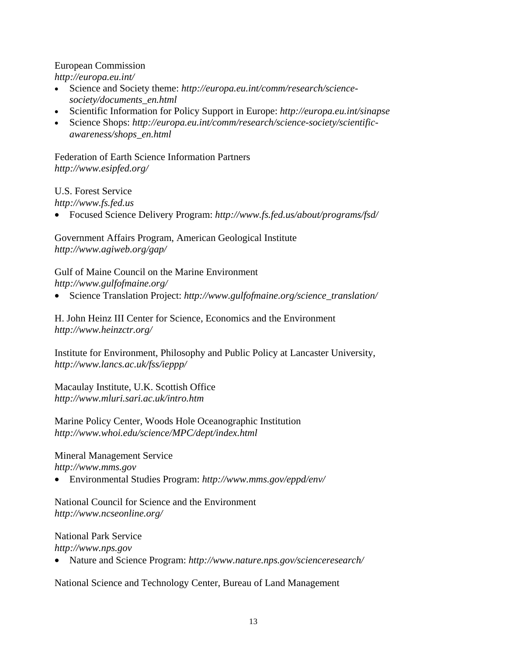#### European Commission

*[http://europa.eu.int/](http://europa.eu.int)* 

- Science and Society theme: *[http://europa.eu.int/comm/research/science](http://europa.eu.int/comm/research/science-society/documents_en.html)[society/documents\\_en.html](http://europa.eu.int/comm/research/science-society/documents_en.html)*
- Scientific Information for Policy Support in Europe: *<http://europa.eu.int/sinapse>*
- Science Shops: *[http://europa.eu.int/comm/research/science-society/scientific](http://europa.eu.int/comm/research/science-society/scientific-awareness/shops_en.html)[awareness/shops\\_en.html](http://europa.eu.int/comm/research/science-society/scientific-awareness/shops_en.html)*

Federation of Earth Science Information Partners *[http://www.esipfed.org/](http://www.esipfed.org)* 

U.S. Forest Service

*<http://www.fs.fed.us>*

• Focused Science Delivery Program: *[http://www.fs.fed.us/about/programs/fsd/](http://www.fs.fed.us/about/programs/fsd)*

Government Affairs Program, American Geological Institute *[http://www.agiweb.org/gap/](http://www.agiweb.org/gap)* 

Gulf of Maine Council on the Marine Environment *[http://www.gulfofmaine.org/](http://www.gulfofmaine.org)* 

• Science Translation Project: *[http://www.gulfofmaine.org/science\\_translation/](http://www.gulfofmaine.org/science_translation)* 

H. John Heinz III Center for Science, Economics and the Environment *[http://www.heinzctr.org/](http://www.heinzctr.org)* 

Institute for Environment, Philosophy and Public Policy at Lancaster University, *[http://www.lancs.ac.uk/fss/ieppp/](http://www.lancs.ac.uk/fss/ieppp)* 

Macaulay Institute, U.K. Scottish Office *<http://www.mluri.sari.ac.uk/intro.htm>*

Marine Policy Center, Woods Hole Oceanographic Institution *<http://www.whoi.edu/science/MPC/dept/index.html>*

Mineral Management Service *<http://www.mms.gov>*

• Environmental Studies Program: *[http://www.mms.gov/eppd/env/](http://www.mms.gov/eppd/env)* 

National Council for Science and the Environment *[http://www.ncseonline.org/](http://www.ncseonline.org)* 

#### National Park Service *<http://www.nps.gov>*

• Nature and Science Program: *[http://www.nature.nps.gov/scienceresearch/](http://www.nature.nps.gov/scienceresearch)* 

National Science and Technology Center, Bureau of Land Management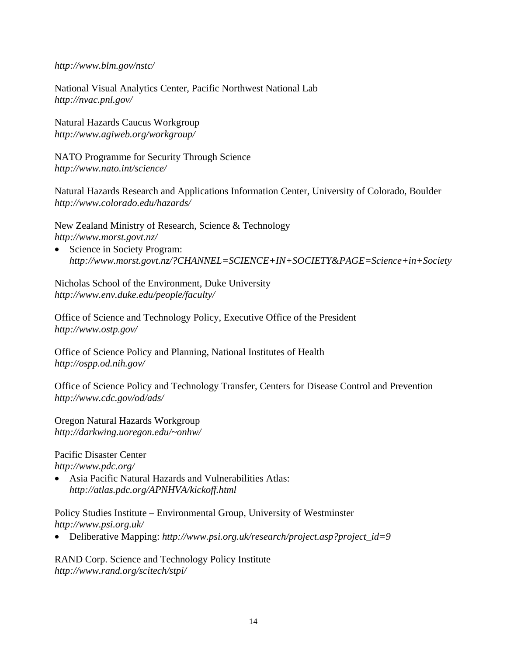*[http://www.blm.gov/nstc/](http://www.blm.gov/nstc)* 

National Visual Analytics Center, Pacific Northwest National Lab *[http://nvac.pnl.gov/](http://nvac.pnl.gov)* 

Natural Hazards Caucus Workgroup *[http://www.agiweb.org/workgroup/](http://www.agiweb.org/workgroup)* 

NATO Programme for Security Through Science *[http://www.nato.int/science/](http://www.nato.int/science)* 

Natural Hazards Research and Applications Information Center, University of Colorado, Boulder *[http://www.colorado.edu/hazards/](http://www.colorado.edu/hazards)* 

New Zealand Ministry of Research, Science & Technology *[http://www.morst.govt.nz/](http://www.morst.govt.nz)*

• Science in Society Program: *<http://www.morst.govt.nz/?CHANNEL=SCIENCE+IN+SOCIETY&PAGE=Science+in+Society>*

Nicholas School of the Environment, Duke University *[http://www.env.duke.edu/people/faculty/](http://www.env.duke.edu/people/faculty)* 

Office of Science and Technology Policy, Executive Office of the President *[http://www.ostp.gov/](http://www.ostp.gov)* 

Office of Science Policy and Planning, National Institutes of Health *[http://ospp.od.nih.gov/](http://ospp.od.nih.gov)* 

Office of Science Policy and Technology Transfer, Centers for Disease Control and Prevention *[http://www.cdc.gov/od/ads/](http://www.cdc.gov/od/ads)* 

Oregon Natural Hazards Workgroup *[http://darkwing.uoregon.edu/~onhw/](http://darkwing.uoregon.edu/~onhw)* 

Pacific Disaster Center *[http://www.pdc.org/](http://www.pdc.org)* 

• Asia Pacific Natural Hazards and Vulnerabilities Atlas: *<http://atlas.pdc.org/APNHVA/kickoff.html>*

Policy Studies Institute – Environmental Group, University of Westminster *[http://www.psi.org.uk/](http://www.psi.org.uk)* 

• Deliberative Mapping: *[http://www.psi.org.uk/research/project.asp?project\\_id=9](http://www.psi.org.uk/research/project.asp?project_id=9)* 

RAND Corp. Science and Technology Policy Institute *[http://www.rand.org/scitech/stpi/](http://www.rand.org/scitech/stpi)*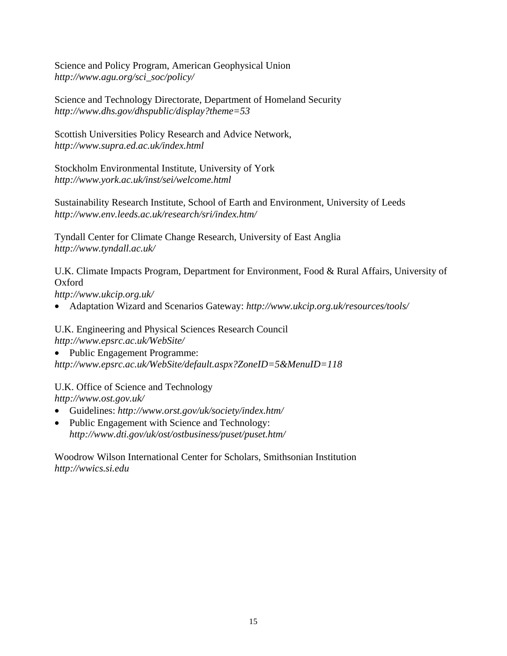Science and Policy Program, American Geophysical Union *[http://www.agu.org/sci\\_soc/policy/](http://www.agu.org/sci_soc/policy)* 

Science and Technology Directorate, Department of Homeland Security *<http://www.dhs.gov/dhspublic/display?theme=53>*

Scottish Universities Policy Research and Advice Network, *<http://www.supra.ed.ac.uk/index.html>*

Stockholm Environmental Institute, University of York *<http://www.york.ac.uk/inst/sei/welcome.html>*

Sustainability Research Institute, School of Earth and Environment, University of Leeds *[http://www.env.leeds.ac.uk/research/sri/index.htm/](http://www.env.leeds.ac.uk/research/sri/index.htm)* 

Tyndall Center for Climate Change Research, University of East Anglia *[http://www.tyndall.ac.uk/](http://www.tyndall.ac.uk)* 

U.K. Climate Impacts Program, Department for Environment, Food & Rural Affairs, University of Oxford

*[http://www.ukcip.org.uk/](http://www.ukcip.org.uk)* 

• Adaptation Wizard and Scenarios Gateway: *[http://www.ukcip.org.uk/resources/tools/](http://www.ukcip.org.uk/resources/tools)* 

U.K. Engineering and Physical Sciences Research Council *[http://www.epsrc.ac.uk/WebSite/](http://www.epsrc.ac.uk/WebSite)*

• Public Engagement Programme:

*<http://www.epsrc.ac.uk/WebSite/default.aspx?ZoneID=5&MenuID=118>*

U.K. Office of Science and Technology

*[http://www.ost.gov.uk/](http://www.ost.gov.uk)* 

- Guidelines: *[http://www.orst.gov/uk/society/index.htm/](http://www.orst.gov/uk/society/index.htm)*
- Public Engagement with Science and Technology: *[http://www.dti.gov/uk/ost/ostbusiness/puset/puset.htm/](http://www.dti.gov/uk/ost/ostbusiness/puset/puset.htm)*

Woodrow Wilson International Center for Scholars, Smithsonian Institution *<http://wwics.si.edu>*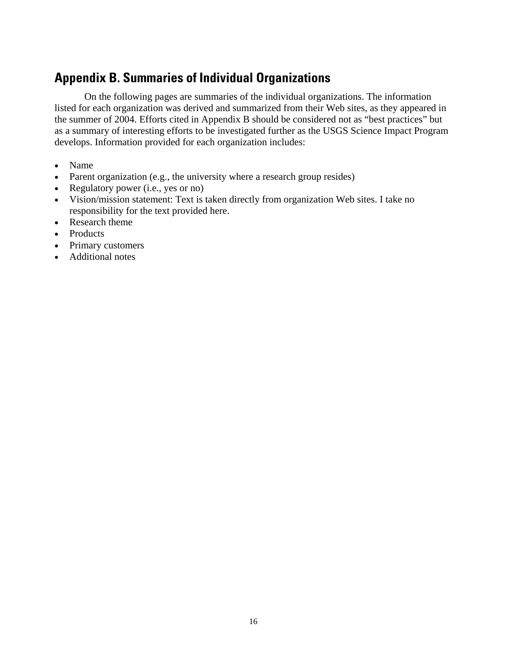# <span id="page-18-0"></span>**Appendix B. Summaries of Individual Organizations**

On the following pages are summaries of the individual organizations. The information listed for each organization was derived and summarized from their Web sites, as they appeared in the summer of 2004. Efforts cited in Appendix B should be considered not as "best practices" but as a summary of interesting efforts to be investigated further as the USGS Science Impact Program develops. Information provided for each organization includes:

- Name
- Parent organization (e.g., the university where a research group resides)
- Regulatory power (i.e., yes or no)
- Vision/mission statement: Text is taken directly from organization Web sites. I take no responsibility for the text provided here.
- Research theme
- Products
- Primary customers
- Additional notes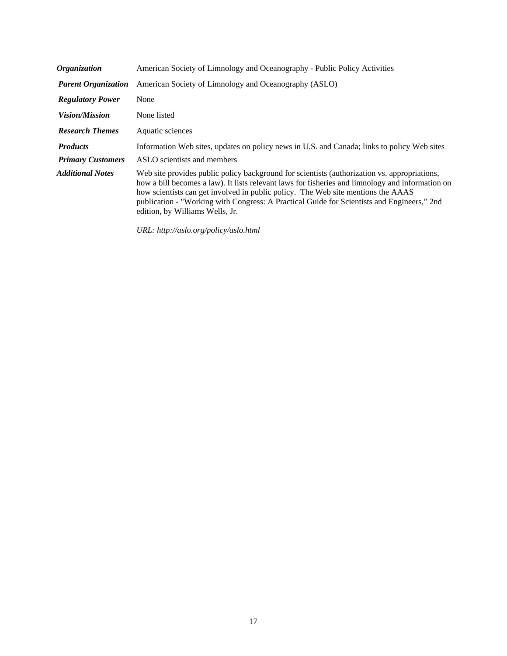| <b>Organization</b>        | American Society of Limnology and Oceanography - Public Policy Activities                                                                                                                                                                                                                                                                                                                                             |
|----------------------------|-----------------------------------------------------------------------------------------------------------------------------------------------------------------------------------------------------------------------------------------------------------------------------------------------------------------------------------------------------------------------------------------------------------------------|
| <b>Parent Organization</b> | American Society of Limnology and Oceanography (ASLO)                                                                                                                                                                                                                                                                                                                                                                 |
| <b>Regulatory Power</b>    | None                                                                                                                                                                                                                                                                                                                                                                                                                  |
| <i>Vision/Mission</i>      | None listed                                                                                                                                                                                                                                                                                                                                                                                                           |
| <b>Research Themes</b>     | Aquatic sciences                                                                                                                                                                                                                                                                                                                                                                                                      |
| <b>Products</b>            | Information Web sites, updates on policy news in U.S. and Canada; links to policy Web sites                                                                                                                                                                                                                                                                                                                           |
| <b>Primary Customers</b>   | ASLO scientists and members                                                                                                                                                                                                                                                                                                                                                                                           |
| <b>Additional Notes</b>    | Web site provides public policy background for scientists (authorization vs. appropriations,<br>how a bill becomes a law). It lists relevant laws for fisheries and limnology and information on<br>how scientists can get involved in public policy. The Web site mentions the AAAS<br>publication - "Working with Congress: A Practical Guide for Scientists and Engineers," 2nd<br>edition, by Williams Wells, Jr. |

*URL: <http://aslo.org/policy/aslo.html>*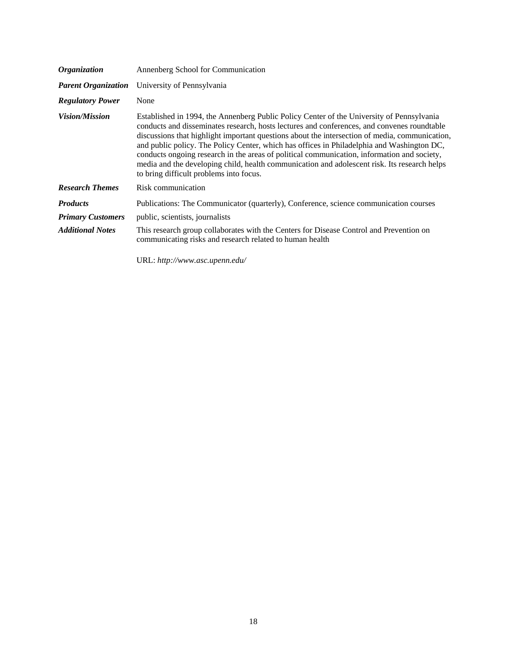| <i><b>Organization</b></i> | Annenberg School for Communication                                                                                                                                                                                                                                                                                                                                                                                                                                                                                                                                                                                                 |
|----------------------------|------------------------------------------------------------------------------------------------------------------------------------------------------------------------------------------------------------------------------------------------------------------------------------------------------------------------------------------------------------------------------------------------------------------------------------------------------------------------------------------------------------------------------------------------------------------------------------------------------------------------------------|
| <b>Parent Organization</b> | University of Pennsylvania                                                                                                                                                                                                                                                                                                                                                                                                                                                                                                                                                                                                         |
| <b>Regulatory Power</b>    | None                                                                                                                                                                                                                                                                                                                                                                                                                                                                                                                                                                                                                               |
| <i>Vision/Mission</i>      | Established in 1994, the Annenberg Public Policy Center of the University of Pennsylvania<br>conducts and disseminates research, hosts lectures and conferences, and convenes roundtable<br>discussions that highlight important questions about the intersection of media, communication,<br>and public policy. The Policy Center, which has offices in Philadelphia and Washington DC,<br>conducts ongoing research in the areas of political communication, information and society,<br>media and the developing child, health communication and adolescent risk. Its research helps<br>to bring difficult problems into focus. |
| <b>Research Themes</b>     | Risk communication                                                                                                                                                                                                                                                                                                                                                                                                                                                                                                                                                                                                                 |
| <b>Products</b>            | Publications: The Communicator (quarterly), Conference, science communication courses                                                                                                                                                                                                                                                                                                                                                                                                                                                                                                                                              |
| <b>Primary Customers</b>   | public, scientists, journalists                                                                                                                                                                                                                                                                                                                                                                                                                                                                                                                                                                                                    |
| <b>Additional Notes</b>    | This research group collaborates with the Centers for Disease Control and Prevention on<br>communicating risks and research related to human health                                                                                                                                                                                                                                                                                                                                                                                                                                                                                |
|                            | URL: http://www.asc.upenn.edu/                                                                                                                                                                                                                                                                                                                                                                                                                                                                                                                                                                                                     |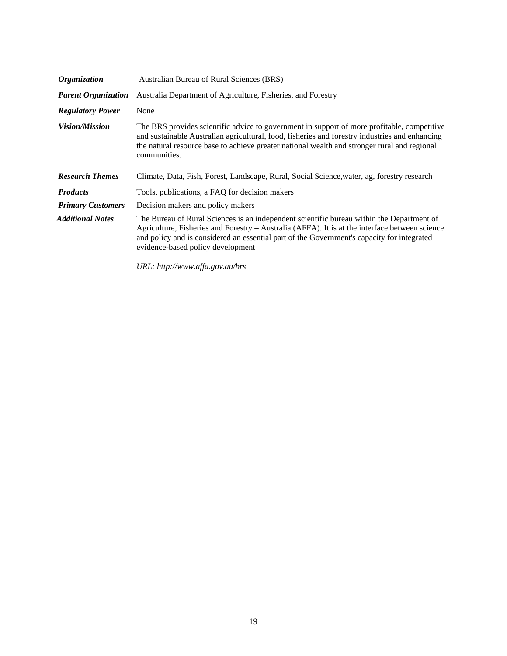| <b>Organization</b>        | Australian Bureau of Rural Sciences (BRS)                                                                                                                                                                                                                                                                                      |
|----------------------------|--------------------------------------------------------------------------------------------------------------------------------------------------------------------------------------------------------------------------------------------------------------------------------------------------------------------------------|
| <b>Parent Organization</b> | Australia Department of Agriculture, Fisheries, and Forestry                                                                                                                                                                                                                                                                   |
| <b>Regulatory Power</b>    | None                                                                                                                                                                                                                                                                                                                           |
| <i>Vision/Mission</i>      | The BRS provides scientific advice to government in support of more profitable, competitive<br>and sustainable Australian agricultural, food, fisheries and forestry industries and enhancing<br>the natural resource base to achieve greater national wealth and stronger rural and regional<br>communities.                  |
| <b>Research Themes</b>     | Climate, Data, Fish, Forest, Landscape, Rural, Social Science, water, ag, forestry research                                                                                                                                                                                                                                    |
| <b>Products</b>            | Tools, publications, a FAQ for decision makers                                                                                                                                                                                                                                                                                 |
| <b>Primary Customers</b>   | Decision makers and policy makers                                                                                                                                                                                                                                                                                              |
| Additional Notes           | The Bureau of Rural Sciences is an independent scientific bureau within the Department of<br>Agriculture, Fisheries and Forestry – Australia (AFFA). It is at the interface between science<br>and policy and is considered an essential part of the Government's capacity for integrated<br>evidence-based policy development |

*URL: <http://www.affa.gov.au/brs>*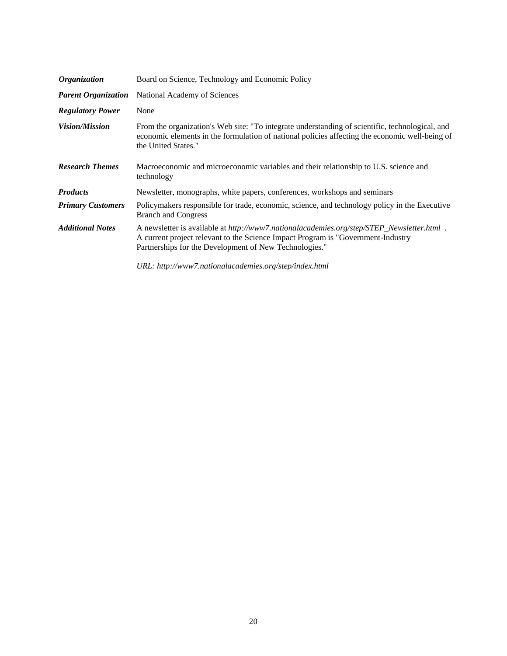| <i><b>Organization</b></i> | Board on Science, Technology and Economic Policy                                                                                                                                                                                          |
|----------------------------|-------------------------------------------------------------------------------------------------------------------------------------------------------------------------------------------------------------------------------------------|
| <b>Parent Organization</b> | National Academy of Sciences                                                                                                                                                                                                              |
| <b>Regulatory Power</b>    | None                                                                                                                                                                                                                                      |
| <i>Vision/Mission</i>      | From the organization's Web site: "To integrate understanding of scientific, technological, and<br>economic elements in the formulation of national policies affecting the economic well-being of<br>the United States."                  |
| <b>Research Themes</b>     | Macroeconomic and microeconomic variables and their relationship to U.S. science and<br>technology                                                                                                                                        |
| <b>Products</b>            | Newsletter, monographs, white papers, conferences, workshops and seminars                                                                                                                                                                 |
| <b>Primary Customers</b>   | Policymakers responsible for trade, economic, science, and technology policy in the Executive<br><b>Branch and Congress</b>                                                                                                               |
| <b>Additional Notes</b>    | A newsletter is available at http://www7.nationalacademies.org/step/STEP_Newsletter.html .<br>A current project relevant to the Science Impact Program is "Government-Industry"<br>Partnerships for the Development of New Technologies." |
|                            | URL: http://www7.nationalacademies.org/step/index.html                                                                                                                                                                                    |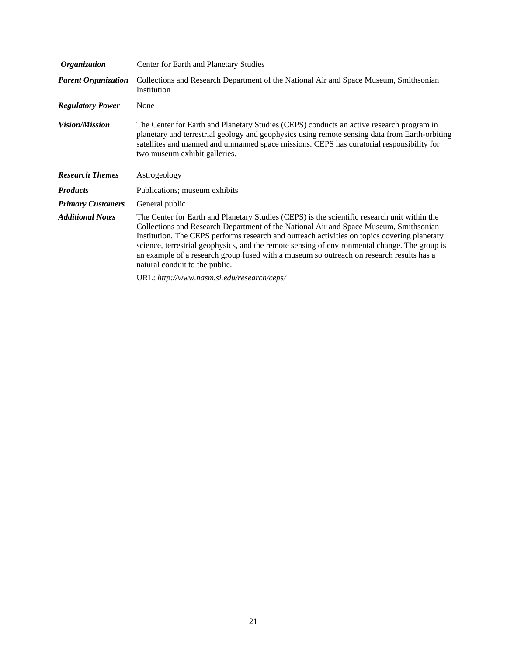| <i><b>Organization</b></i> | Center for Earth and Planetary Studies                                                                                                                                                                                                                                                                                                                                                                                                                                                                               |
|----------------------------|----------------------------------------------------------------------------------------------------------------------------------------------------------------------------------------------------------------------------------------------------------------------------------------------------------------------------------------------------------------------------------------------------------------------------------------------------------------------------------------------------------------------|
| <b>Parent Organization</b> | Collections and Research Department of the National Air and Space Museum, Smithsonian<br>Institution                                                                                                                                                                                                                                                                                                                                                                                                                 |
| <b>Regulatory Power</b>    | None                                                                                                                                                                                                                                                                                                                                                                                                                                                                                                                 |
| <i>Vision/Mission</i>      | The Center for Earth and Planetary Studies (CEPS) conducts an active research program in<br>planetary and terrestrial geology and geophysics using remote sensing data from Earth-orbiting<br>satellites and manned and unmanned space missions. CEPS has curatorial responsibility for<br>two museum exhibit galleries.                                                                                                                                                                                             |
| <b>Research Themes</b>     | Astrogeology                                                                                                                                                                                                                                                                                                                                                                                                                                                                                                         |
| <b>Products</b>            | Publications; museum exhibits                                                                                                                                                                                                                                                                                                                                                                                                                                                                                        |
| <b>Primary Customers</b>   | General public                                                                                                                                                                                                                                                                                                                                                                                                                                                                                                       |
| <b>Additional Notes</b>    | The Center for Earth and Planetary Studies (CEPS) is the scientific research unit within the<br>Collections and Research Department of the National Air and Space Museum, Smithsonian<br>Institution. The CEPS performs research and outreach activities on topics covering planetary<br>science, terrestrial geophysics, and the remote sensing of environmental change. The group is<br>an example of a research group fused with a museum so outreach on research results has a<br>natural conduit to the public. |
|                            | URL: http://www.nasm.si.edu/research/ceps/                                                                                                                                                                                                                                                                                                                                                                                                                                                                           |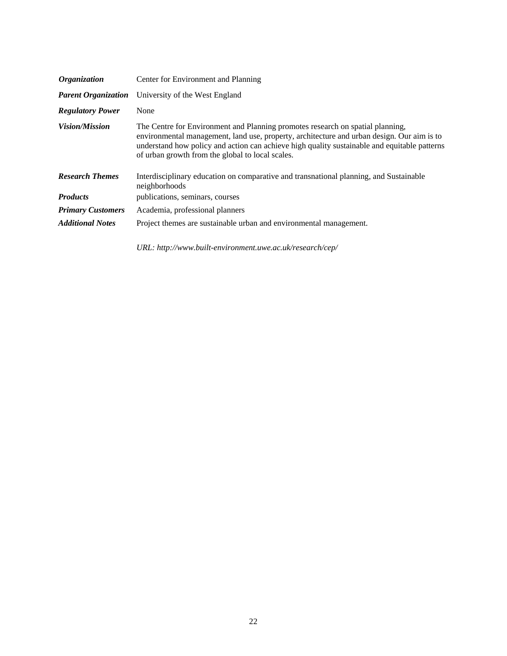| <i><b>Organization</b></i> | Center for Environment and Planning                                                                                                                                                                                                                                                                                              |
|----------------------------|----------------------------------------------------------------------------------------------------------------------------------------------------------------------------------------------------------------------------------------------------------------------------------------------------------------------------------|
| <b>Parent Organization</b> | University of the West England                                                                                                                                                                                                                                                                                                   |
| <b>Regulatory Power</b>    | None                                                                                                                                                                                                                                                                                                                             |
| <i>Vision/Mission</i>      | The Centre for Environment and Planning promotes research on spatial planning,<br>environmental management, land use, property, architecture and urban design. Our aim is to<br>understand how policy and action can achieve high quality sustainable and equitable patterns<br>of urban growth from the global to local scales. |
| <b>Research Themes</b>     | Interdisciplinary education on comparative and transnational planning, and Sustainable<br>neighborhoods                                                                                                                                                                                                                          |
| <b>Products</b>            | publications, seminars, courses                                                                                                                                                                                                                                                                                                  |
| <b>Primary Customers</b>   | Academia, professional planners                                                                                                                                                                                                                                                                                                  |
| <b>Additional Notes</b>    | Project themes are sustainable urban and environmental management.                                                                                                                                                                                                                                                               |
|                            | URL: http://www.built-environment.uwe.ac.uk/research/cep/                                                                                                                                                                                                                                                                        |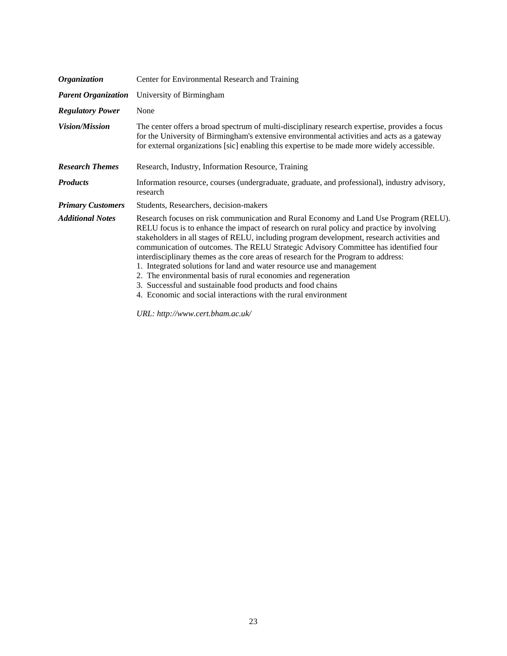| <b>Organization</b>        | Center for Environmental Research and Training                                                                                                                                                                                                                                                                                                                                                                                                                                                                                                                                                                                                                                                                                              |
|----------------------------|---------------------------------------------------------------------------------------------------------------------------------------------------------------------------------------------------------------------------------------------------------------------------------------------------------------------------------------------------------------------------------------------------------------------------------------------------------------------------------------------------------------------------------------------------------------------------------------------------------------------------------------------------------------------------------------------------------------------------------------------|
| <b>Parent Organization</b> | University of Birmingham                                                                                                                                                                                                                                                                                                                                                                                                                                                                                                                                                                                                                                                                                                                    |
| <b>Regulatory Power</b>    | None                                                                                                                                                                                                                                                                                                                                                                                                                                                                                                                                                                                                                                                                                                                                        |
| <i>Vision/Mission</i>      | The center offers a broad spectrum of multi-disciplinary research expertise, provides a focus<br>for the University of Birmingham's extensive environmental activities and acts as a gateway<br>for external organizations [sic] enabling this expertise to be made more widely accessible.                                                                                                                                                                                                                                                                                                                                                                                                                                                 |
| <b>Research Themes</b>     | Research, Industry, Information Resource, Training                                                                                                                                                                                                                                                                                                                                                                                                                                                                                                                                                                                                                                                                                          |
| <b>Products</b>            | Information resource, courses (undergraduate, graduate, and professional), industry advisory,<br>research                                                                                                                                                                                                                                                                                                                                                                                                                                                                                                                                                                                                                                   |
| <b>Primary Customers</b>   | Students, Researchers, decision-makers                                                                                                                                                                                                                                                                                                                                                                                                                                                                                                                                                                                                                                                                                                      |
| <b>Additional Notes</b>    | Research focuses on risk communication and Rural Economy and Land Use Program (RELU).<br>RELU focus is to enhance the impact of research on rural policy and practice by involving<br>stakeholders in all stages of RELU, including program development, research activities and<br>communication of outcomes. The RELU Strategic Advisory Committee has identified four<br>interdisciplinary themes as the core areas of research for the Program to address:<br>1. Integrated solutions for land and water resource use and management<br>2. The environmental basis of rural economies and regeneration<br>3. Successful and sustainable food products and food chains<br>4. Economic and social interactions with the rural environment |
|                            | URL: http://www.cert.bham.ac.uk/                                                                                                                                                                                                                                                                                                                                                                                                                                                                                                                                                                                                                                                                                                            |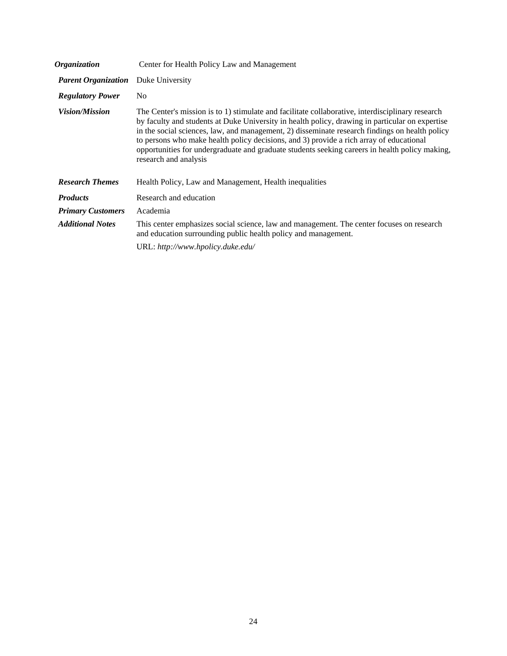| <i><b>Organization</b></i> | Center for Health Policy Law and Management                                                                                                                                                                                                                                                                                                                                                                                                                                                                                 |
|----------------------------|-----------------------------------------------------------------------------------------------------------------------------------------------------------------------------------------------------------------------------------------------------------------------------------------------------------------------------------------------------------------------------------------------------------------------------------------------------------------------------------------------------------------------------|
| <b>Parent Organization</b> | Duke University                                                                                                                                                                                                                                                                                                                                                                                                                                                                                                             |
| <b>Regulatory Power</b>    | N <sub>0</sub>                                                                                                                                                                                                                                                                                                                                                                                                                                                                                                              |
| <i>Vision/Mission</i>      | The Center's mission is to 1) stimulate and facilitate collaborative, interdisciplinary research<br>by faculty and students at Duke University in health policy, drawing in particular on expertise<br>in the social sciences, law, and management, 2) disseminate research findings on health policy<br>to persons who make health policy decisions, and 3) provide a rich array of educational<br>opportunities for undergraduate and graduate students seeking careers in health policy making,<br>research and analysis |
| <b>Research Themes</b>     | Health Policy, Law and Management, Health inequalities                                                                                                                                                                                                                                                                                                                                                                                                                                                                      |
| <b>Products</b>            | Research and education                                                                                                                                                                                                                                                                                                                                                                                                                                                                                                      |
| <b>Primary Customers</b>   | Academia                                                                                                                                                                                                                                                                                                                                                                                                                                                                                                                    |
| <b>Additional Notes</b>    | This center emphasizes social science, law and management. The center focuses on research<br>and education surrounding public health policy and management.                                                                                                                                                                                                                                                                                                                                                                 |
|                            | URL: http://www.hpolicy.duke.edu/                                                                                                                                                                                                                                                                                                                                                                                                                                                                                           |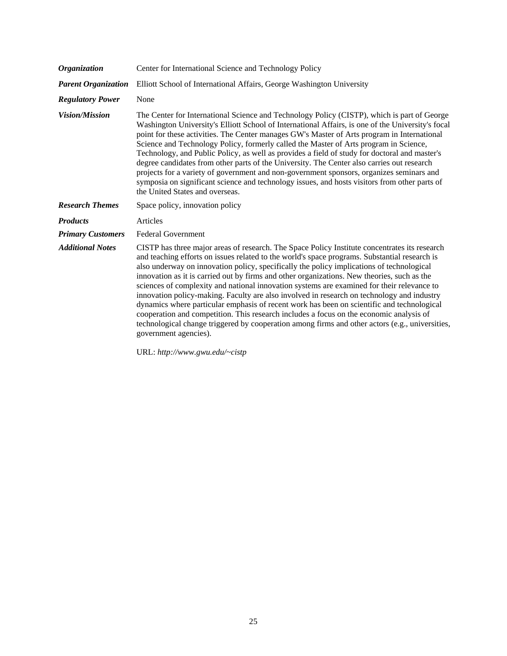| Center for International Science and Technology Policy                                                                                                                                                                                                                                                                                                                                                                                                                                                                                                                                                                                                                                                                                                                                                                                                                                                      |
|-------------------------------------------------------------------------------------------------------------------------------------------------------------------------------------------------------------------------------------------------------------------------------------------------------------------------------------------------------------------------------------------------------------------------------------------------------------------------------------------------------------------------------------------------------------------------------------------------------------------------------------------------------------------------------------------------------------------------------------------------------------------------------------------------------------------------------------------------------------------------------------------------------------|
| Elliott School of International Affairs, George Washington University                                                                                                                                                                                                                                                                                                                                                                                                                                                                                                                                                                                                                                                                                                                                                                                                                                       |
| None                                                                                                                                                                                                                                                                                                                                                                                                                                                                                                                                                                                                                                                                                                                                                                                                                                                                                                        |
| The Center for International Science and Technology Policy (CISTP), which is part of George<br>Washington University's Elliott School of International Affairs, is one of the University's focal<br>point for these activities. The Center manages GW's Master of Arts program in International<br>Science and Technology Policy, formerly called the Master of Arts program in Science,<br>Technology, and Public Policy, as well as provides a field of study for doctoral and master's<br>degree candidates from other parts of the University. The Center also carries out research<br>projects for a variety of government and non-government sponsors, organizes seminars and<br>symposia on significant science and technology issues, and hosts visitors from other parts of<br>the United States and overseas.                                                                                     |
| Space policy, innovation policy                                                                                                                                                                                                                                                                                                                                                                                                                                                                                                                                                                                                                                                                                                                                                                                                                                                                             |
| Articles                                                                                                                                                                                                                                                                                                                                                                                                                                                                                                                                                                                                                                                                                                                                                                                                                                                                                                    |
| <b>Federal Government</b>                                                                                                                                                                                                                                                                                                                                                                                                                                                                                                                                                                                                                                                                                                                                                                                                                                                                                   |
| CISTP has three major areas of research. The Space Policy Institute concentrates its research<br>and teaching efforts on issues related to the world's space programs. Substantial research is<br>also underway on innovation policy, specifically the policy implications of technological<br>innovation as it is carried out by firms and other organizations. New theories, such as the<br>sciences of complexity and national innovation systems are examined for their relevance to<br>innovation policy-making. Faculty are also involved in research on technology and industry<br>dynamics where particular emphasis of recent work has been on scientific and technological<br>cooperation and competition. This research includes a focus on the economic analysis of<br>technological change triggered by cooperation among firms and other actors (e.g., universities,<br>government agencies). |
|                                                                                                                                                                                                                                                                                                                                                                                                                                                                                                                                                                                                                                                                                                                                                                                                                                                                                                             |

URL: *<http://www.gwu.edu/~cistp>*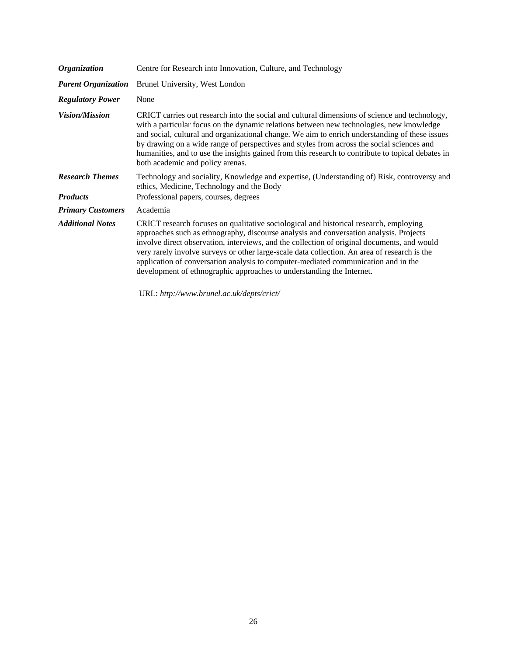| Centre for Research into Innovation, Culture, and Technology                                                                                                                                                                                                                                                                                                                                                                                                                                                                                  |
|-----------------------------------------------------------------------------------------------------------------------------------------------------------------------------------------------------------------------------------------------------------------------------------------------------------------------------------------------------------------------------------------------------------------------------------------------------------------------------------------------------------------------------------------------|
| Brunel University, West London                                                                                                                                                                                                                                                                                                                                                                                                                                                                                                                |
| None                                                                                                                                                                                                                                                                                                                                                                                                                                                                                                                                          |
| CRICT carries out research into the social and cultural dimensions of science and technology,<br>with a particular focus on the dynamic relations between new technologies, new knowledge<br>and social, cultural and organizational change. We aim to enrich understanding of these issues<br>by drawing on a wide range of perspectives and styles from across the social sciences and<br>humanities, and to use the insights gained from this research to contribute to topical debates in<br>both academic and policy arenas.             |
| Technology and sociality, Knowledge and expertise, (Understanding of) Risk, controversy and<br>ethics, Medicine, Technology and the Body                                                                                                                                                                                                                                                                                                                                                                                                      |
| Professional papers, courses, degrees                                                                                                                                                                                                                                                                                                                                                                                                                                                                                                         |
| Academia                                                                                                                                                                                                                                                                                                                                                                                                                                                                                                                                      |
| CRICT research focuses on qualitative sociological and historical research, employing<br>approaches such as ethnography, discourse analysis and conversation analysis. Projects<br>involve direct observation, interviews, and the collection of original documents, and would<br>very rarely involve surveys or other large-scale data collection. An area of research is the<br>application of conversation analysis to computer-mediated communication and in the<br>development of ethnographic approaches to understanding the Internet. |
|                                                                                                                                                                                                                                                                                                                                                                                                                                                                                                                                               |

URL: *[http://www.brunel.ac.uk/depts/crict/](http://www.brunel.ac.uk/depts/crict)*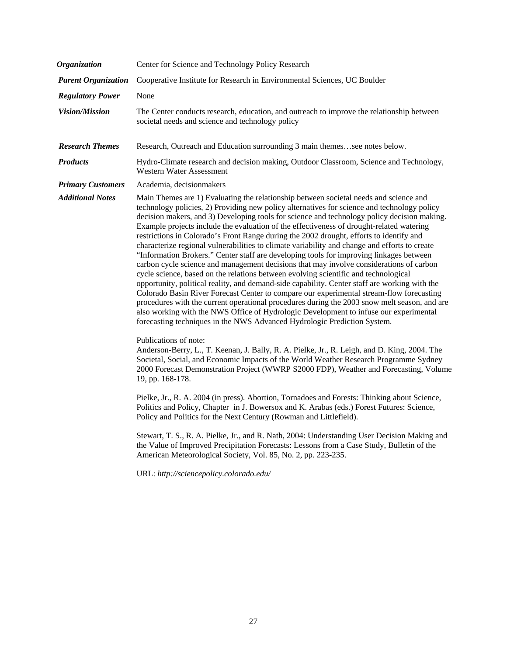| <b>Organization</b>        | Center for Science and Technology Policy Research                                                                                                                                                                                                                                                                                                                                                                                                                                                                                                                                                                                                                                                                                                                                                                                                                                                                                                                                                                                                                                                                                                                                                                                                                                                                          |
|----------------------------|----------------------------------------------------------------------------------------------------------------------------------------------------------------------------------------------------------------------------------------------------------------------------------------------------------------------------------------------------------------------------------------------------------------------------------------------------------------------------------------------------------------------------------------------------------------------------------------------------------------------------------------------------------------------------------------------------------------------------------------------------------------------------------------------------------------------------------------------------------------------------------------------------------------------------------------------------------------------------------------------------------------------------------------------------------------------------------------------------------------------------------------------------------------------------------------------------------------------------------------------------------------------------------------------------------------------------|
| <b>Parent Organization</b> | Cooperative Institute for Research in Environmental Sciences, UC Boulder                                                                                                                                                                                                                                                                                                                                                                                                                                                                                                                                                                                                                                                                                                                                                                                                                                                                                                                                                                                                                                                                                                                                                                                                                                                   |
| <b>Regulatory Power</b>    | None                                                                                                                                                                                                                                                                                                                                                                                                                                                                                                                                                                                                                                                                                                                                                                                                                                                                                                                                                                                                                                                                                                                                                                                                                                                                                                                       |
| <b>Vision/Mission</b>      | The Center conducts research, education, and outreach to improve the relationship between<br>societal needs and science and technology policy                                                                                                                                                                                                                                                                                                                                                                                                                                                                                                                                                                                                                                                                                                                                                                                                                                                                                                                                                                                                                                                                                                                                                                              |
| <b>Research Themes</b>     | Research, Outreach and Education surrounding 3 main themessee notes below.                                                                                                                                                                                                                                                                                                                                                                                                                                                                                                                                                                                                                                                                                                                                                                                                                                                                                                                                                                                                                                                                                                                                                                                                                                                 |
| <b>Products</b>            | Hydro-Climate research and decision making, Outdoor Classroom, Science and Technology,<br><b>Western Water Assessment</b>                                                                                                                                                                                                                                                                                                                                                                                                                                                                                                                                                                                                                                                                                                                                                                                                                                                                                                                                                                                                                                                                                                                                                                                                  |
| <b>Primary Customers</b>   | Academia, decisionmakers                                                                                                                                                                                                                                                                                                                                                                                                                                                                                                                                                                                                                                                                                                                                                                                                                                                                                                                                                                                                                                                                                                                                                                                                                                                                                                   |
| <b>Additional Notes</b>    | Main Themes are 1) Evaluating the relationship between societal needs and science and<br>technology policies, 2) Providing new policy alternatives for science and technology policy<br>decision makers, and 3) Developing tools for science and technology policy decision making.<br>Example projects include the evaluation of the effectiveness of drought-related watering<br>restrictions in Colorado's Front Range during the 2002 drought, efforts to identify and<br>characterize regional vulnerabilities to climate variability and change and efforts to create<br>"Information Brokers." Center staff are developing tools for improving linkages between<br>carbon cycle science and management decisions that may involve considerations of carbon<br>cycle science, based on the relations between evolving scientific and technological<br>opportunity, political reality, and demand-side capability. Center staff are working with the<br>Colorado Basin River Forecast Center to compare our experimental stream-flow forecasting<br>procedures with the current operational procedures during the 2003 snow melt season, and are<br>also working with the NWS Office of Hydrologic Development to infuse our experimental<br>forecasting techniques in the NWS Advanced Hydrologic Prediction System. |
|                            | Publications of note:<br>Anderson-Berry, L., T. Keenan, J. Bally, R. A. Pielke, Jr., R. Leigh, and D. King, 2004. The<br>Societal, Social, and Economic Impacts of the World Weather Research Programme Sydney<br>2000 Forecast Demonstration Project (WWRP S2000 FDP), Weather and Forecasting, Volume<br>19, pp. 168-178.<br>Pielke, Jr., R. A. 2004 (in press). Abortion, Tornadoes and Forests: Thinking about Science,<br>Politics and Policy, Chapter in J. Bowersox and K. Arabas (eds.) Forest Futures: Science,<br>Policy and Politics for the Next Century (Rowman and Littlefield).<br>Stewart, T. S., R. A. Pielke, Jr., and R. Nath, 2004: Understanding User Decision Making and<br>the Value of Improved Precipitation Forecasts: Lessons from a Case Study, Bulletin of the<br>American Meteorological Society, Vol. 85, No. 2, pp. 223-235.<br>URL: http://sciencepolicy.colorado.edu/                                                                                                                                                                                                                                                                                                                                                                                                                    |
|                            |                                                                                                                                                                                                                                                                                                                                                                                                                                                                                                                                                                                                                                                                                                                                                                                                                                                                                                                                                                                                                                                                                                                                                                                                                                                                                                                            |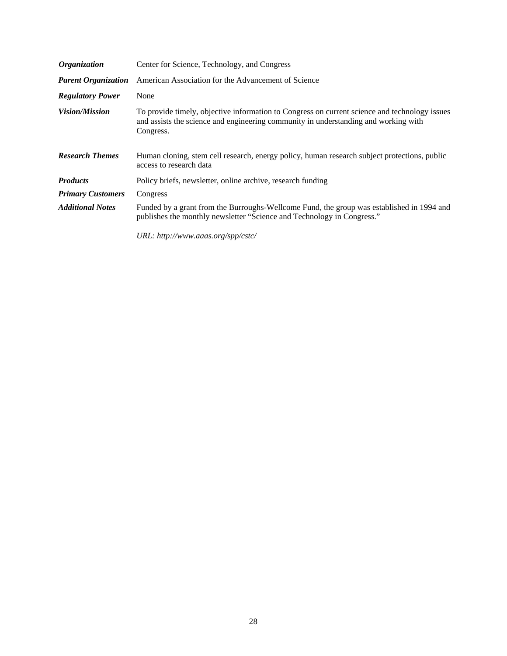| <i><b>Organization</b></i> | Center for Science, Technology, and Congress                                                                                                                                                      |
|----------------------------|---------------------------------------------------------------------------------------------------------------------------------------------------------------------------------------------------|
| <b>Parent Organization</b> | American Association for the Advancement of Science                                                                                                                                               |
| <b>Regulatory Power</b>    | None                                                                                                                                                                                              |
| <i>Vision/Mission</i>      | To provide timely, objective information to Congress on current science and technology issues<br>and assists the science and engineering community in understanding and working with<br>Congress. |
| <b>Research Themes</b>     | Human cloning, stem cell research, energy policy, human research subject protections, public<br>access to research data                                                                           |
| <b>Products</b>            | Policy briefs, newsletter, online archive, research funding                                                                                                                                       |
| <b>Primary Customers</b>   | Congress                                                                                                                                                                                          |
| <b>Additional Notes</b>    | Funded by a grant from the Burroughs-Wellcome Fund, the group was established in 1994 and<br>publishes the monthly newsletter "Science and Technology in Congress."                               |
|                            | URL: http://www.aaas.org/spp/cstc/                                                                                                                                                                |

28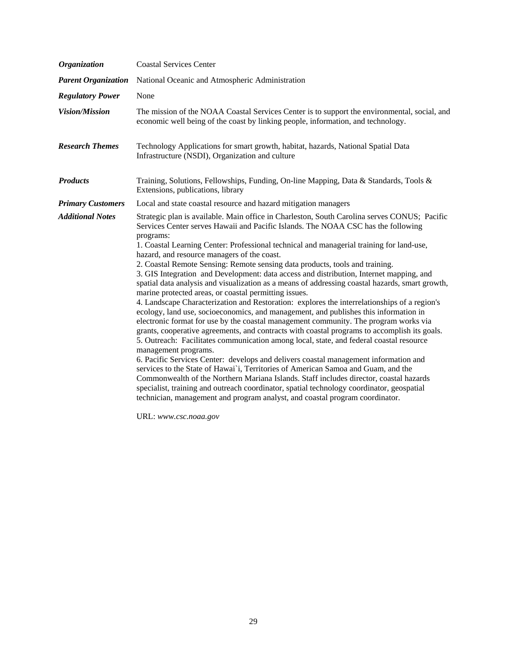| <b>Organization</b>        | <b>Coastal Services Center</b>                                                                                                                                                                                                                                                                                                                                                                                                                                                                                                                                                                                                                                                                                                                                                                                                                                                                                                                                                                                                                                                                                                                                                                                                                                                                                                                                                                                                                                                                                                                                                                                                          |
|----------------------------|-----------------------------------------------------------------------------------------------------------------------------------------------------------------------------------------------------------------------------------------------------------------------------------------------------------------------------------------------------------------------------------------------------------------------------------------------------------------------------------------------------------------------------------------------------------------------------------------------------------------------------------------------------------------------------------------------------------------------------------------------------------------------------------------------------------------------------------------------------------------------------------------------------------------------------------------------------------------------------------------------------------------------------------------------------------------------------------------------------------------------------------------------------------------------------------------------------------------------------------------------------------------------------------------------------------------------------------------------------------------------------------------------------------------------------------------------------------------------------------------------------------------------------------------------------------------------------------------------------------------------------------------|
| <b>Parent Organization</b> | National Oceanic and Atmospheric Administration                                                                                                                                                                                                                                                                                                                                                                                                                                                                                                                                                                                                                                                                                                                                                                                                                                                                                                                                                                                                                                                                                                                                                                                                                                                                                                                                                                                                                                                                                                                                                                                         |
| <b>Regulatory Power</b>    | None                                                                                                                                                                                                                                                                                                                                                                                                                                                                                                                                                                                                                                                                                                                                                                                                                                                                                                                                                                                                                                                                                                                                                                                                                                                                                                                                                                                                                                                                                                                                                                                                                                    |
| <b>Vision/Mission</b>      | The mission of the NOAA Coastal Services Center is to support the environmental, social, and<br>economic well being of the coast by linking people, information, and technology.                                                                                                                                                                                                                                                                                                                                                                                                                                                                                                                                                                                                                                                                                                                                                                                                                                                                                                                                                                                                                                                                                                                                                                                                                                                                                                                                                                                                                                                        |
| <b>Research Themes</b>     | Technology Applications for smart growth, habitat, hazards, National Spatial Data<br>Infrastructure (NSDI), Organization and culture                                                                                                                                                                                                                                                                                                                                                                                                                                                                                                                                                                                                                                                                                                                                                                                                                                                                                                                                                                                                                                                                                                                                                                                                                                                                                                                                                                                                                                                                                                    |
| <b>Products</b>            | Training, Solutions, Fellowships, Funding, On-line Mapping, Data & Standards, Tools &<br>Extensions, publications, library                                                                                                                                                                                                                                                                                                                                                                                                                                                                                                                                                                                                                                                                                                                                                                                                                                                                                                                                                                                                                                                                                                                                                                                                                                                                                                                                                                                                                                                                                                              |
| <b>Primary Customers</b>   | Local and state coastal resource and hazard mitigation managers                                                                                                                                                                                                                                                                                                                                                                                                                                                                                                                                                                                                                                                                                                                                                                                                                                                                                                                                                                                                                                                                                                                                                                                                                                                                                                                                                                                                                                                                                                                                                                         |
| <b>Additional Notes</b>    | Strategic plan is available. Main office in Charleston, South Carolina serves CONUS; Pacific<br>Services Center serves Hawaii and Pacific Islands. The NOAA CSC has the following<br>programs:<br>1. Coastal Learning Center: Professional technical and managerial training for land-use,<br>hazard, and resource managers of the coast.<br>2. Coastal Remote Sensing: Remote sensing data products, tools and training.<br>3. GIS Integration and Development: data access and distribution, Internet mapping, and<br>spatial data analysis and visualization as a means of addressing coastal hazards, smart growth,<br>marine protected areas, or coastal permitting issues.<br>4. Landscape Characterization and Restoration: explores the interrelationships of a region's<br>ecology, land use, socioeconomics, and management, and publishes this information in<br>electronic format for use by the coastal management community. The program works via<br>grants, cooperative agreements, and contracts with coastal programs to accomplish its goals.<br>5. Outreach: Facilitates communication among local, state, and federal coastal resource<br>management programs.<br>6. Pacific Services Center: develops and delivers coastal management information and<br>services to the State of Hawai'i, Territories of American Samoa and Guam, and the<br>Commonwealth of the Northern Mariana Islands. Staff includes director, coastal hazards<br>specialist, training and outreach coordinator, spatial technology coordinator, geospatial<br>technician, management and program analyst, and coastal program coordinator. |

URL: *[www.csc.noaa.gov](http://www.csc.noaa.gov)*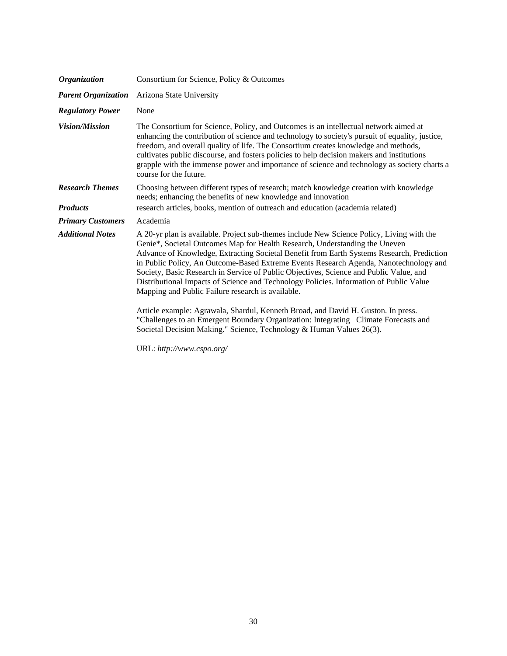| <b>Organization</b>                       | Consortium for Science, Policy & Outcomes                                                                                                                                                                                                                                                                                                                                                                                                                                                                                                                                                                                                                                                                                                                                                                                                                   |
|-------------------------------------------|-------------------------------------------------------------------------------------------------------------------------------------------------------------------------------------------------------------------------------------------------------------------------------------------------------------------------------------------------------------------------------------------------------------------------------------------------------------------------------------------------------------------------------------------------------------------------------------------------------------------------------------------------------------------------------------------------------------------------------------------------------------------------------------------------------------------------------------------------------------|
| <b>Parent Organization</b>                | Arizona State University                                                                                                                                                                                                                                                                                                                                                                                                                                                                                                                                                                                                                                                                                                                                                                                                                                    |
| <b>Regulatory Power</b>                   | None                                                                                                                                                                                                                                                                                                                                                                                                                                                                                                                                                                                                                                                                                                                                                                                                                                                        |
| <b>Vision/Mission</b>                     | The Consortium for Science, Policy, and Outcomes is an intellectual network aimed at<br>enhancing the contribution of science and technology to society's pursuit of equality, justice,<br>freedom, and overall quality of life. The Consortium creates knowledge and methods,<br>cultivates public discourse, and fosters policies to help decision makers and institutions<br>grapple with the immense power and importance of science and technology as society charts a<br>course for the future.                                                                                                                                                                                                                                                                                                                                                       |
| <b>Research Themes</b><br><b>Products</b> | Choosing between different types of research; match knowledge creation with knowledge<br>needs; enhancing the benefits of new knowledge and innovation<br>research articles, books, mention of outreach and education (academia related)                                                                                                                                                                                                                                                                                                                                                                                                                                                                                                                                                                                                                    |
| <b>Primary Customers</b>                  | Academia                                                                                                                                                                                                                                                                                                                                                                                                                                                                                                                                                                                                                                                                                                                                                                                                                                                    |
| <b>Additional Notes</b>                   | A 20-yr plan is available. Project sub-themes include New Science Policy, Living with the<br>Genie*, Societal Outcomes Map for Health Research, Understanding the Uneven<br>Advance of Knowledge, Extracting Societal Benefit from Earth Systems Research, Prediction<br>in Public Policy, An Outcome-Based Extreme Events Research Agenda, Nanotechnology and<br>Society, Basic Research in Service of Public Objectives, Science and Public Value, and<br>Distributional Impacts of Science and Technology Policies. Information of Public Value<br>Mapping and Public Failure research is available.<br>Article example: Agrawala, Shardul, Kenneth Broad, and David H. Guston. In press.<br>"Challenges to an Emergent Boundary Organization: Integrating Climate Forecasts and<br>Societal Decision Making." Science, Technology & Human Values 26(3). |

URL: *[http://www.cspo.org/](http://www.cspo.org)*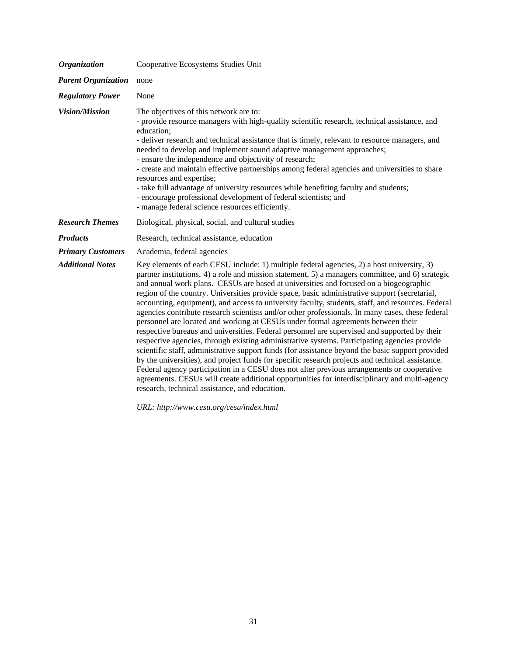| <b>Organization</b>        | Cooperative Ecosystems Studies Unit                                                                                                                                                                                                                                                                                                                                                                                                                                                                                                                                                                                                                                                                                                                                                                                                                                                                                                                                                                                                                                                                                                                                                                                                                                                                                                           |
|----------------------------|-----------------------------------------------------------------------------------------------------------------------------------------------------------------------------------------------------------------------------------------------------------------------------------------------------------------------------------------------------------------------------------------------------------------------------------------------------------------------------------------------------------------------------------------------------------------------------------------------------------------------------------------------------------------------------------------------------------------------------------------------------------------------------------------------------------------------------------------------------------------------------------------------------------------------------------------------------------------------------------------------------------------------------------------------------------------------------------------------------------------------------------------------------------------------------------------------------------------------------------------------------------------------------------------------------------------------------------------------|
| <b>Parent Organization</b> | none                                                                                                                                                                                                                                                                                                                                                                                                                                                                                                                                                                                                                                                                                                                                                                                                                                                                                                                                                                                                                                                                                                                                                                                                                                                                                                                                          |
| <b>Regulatory Power</b>    | None                                                                                                                                                                                                                                                                                                                                                                                                                                                                                                                                                                                                                                                                                                                                                                                                                                                                                                                                                                                                                                                                                                                                                                                                                                                                                                                                          |
| Vision/Mission             | The objectives of this network are to:<br>- provide resource managers with high-quality scientific research, technical assistance, and<br>education;<br>- deliver research and technical assistance that is timely, relevant to resource managers, and<br>needed to develop and implement sound adaptive management approaches;<br>- ensure the independence and objectivity of research;<br>- create and maintain effective partnerships among federal agencies and universities to share<br>resources and expertise;<br>- take full advantage of university resources while benefiting faculty and students;<br>- encourage professional development of federal scientists; and<br>- manage federal science resources efficiently.                                                                                                                                                                                                                                                                                                                                                                                                                                                                                                                                                                                                          |
| <b>Research Themes</b>     | Biological, physical, social, and cultural studies                                                                                                                                                                                                                                                                                                                                                                                                                                                                                                                                                                                                                                                                                                                                                                                                                                                                                                                                                                                                                                                                                                                                                                                                                                                                                            |
| <b>Products</b>            | Research, technical assistance, education                                                                                                                                                                                                                                                                                                                                                                                                                                                                                                                                                                                                                                                                                                                                                                                                                                                                                                                                                                                                                                                                                                                                                                                                                                                                                                     |
| <b>Primary Customers</b>   | Academia, federal agencies                                                                                                                                                                                                                                                                                                                                                                                                                                                                                                                                                                                                                                                                                                                                                                                                                                                                                                                                                                                                                                                                                                                                                                                                                                                                                                                    |
| <b>Additional Notes</b>    | Key elements of each CESU include: 1) multiple federal agencies, 2) a host university, 3)<br>partner institutions, 4) a role and mission statement, 5) a managers committee, and 6) strategic<br>and annual work plans. CESUs are based at universities and focused on a biogeographic<br>region of the country. Universities provide space, basic administrative support (secretarial,<br>accounting, equipment), and access to university faculty, students, staff, and resources. Federal<br>agencies contribute research scientists and/or other professionals. In many cases, these federal<br>personnel are located and working at CESUs under formal agreements between their<br>respective bureaus and universities. Federal personnel are supervised and supported by their<br>respective agencies, through existing administrative systems. Participating agencies provide<br>scientific staff, administrative support funds (for assistance beyond the basic support provided<br>by the universities), and project funds for specific research projects and technical assistance.<br>Federal agency participation in a CESU does not alter previous arrangements or cooperative<br>agreements. CESUs will create additional opportunities for interdisciplinary and multi-agency<br>research, technical assistance, and education. |

*URL: <http://www.cesu.org/cesu/index.html>*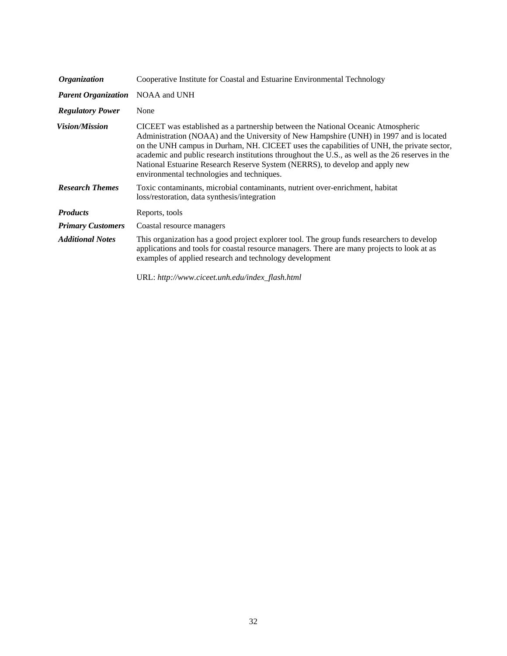| <i><b>Organization</b></i> | Cooperative Institute for Coastal and Estuarine Environmental Technology                                                                                                                                                                                                                                                                                                                                                                                                                                  |
|----------------------------|-----------------------------------------------------------------------------------------------------------------------------------------------------------------------------------------------------------------------------------------------------------------------------------------------------------------------------------------------------------------------------------------------------------------------------------------------------------------------------------------------------------|
| <b>Parent Organization</b> | NOAA and UNH                                                                                                                                                                                                                                                                                                                                                                                                                                                                                              |
| <b>Regulatory Power</b>    | None                                                                                                                                                                                                                                                                                                                                                                                                                                                                                                      |
| <i>Vision/Mission</i>      | CICEET was established as a partnership between the National Oceanic Atmospheric<br>Administration (NOAA) and the University of New Hampshire (UNH) in 1997 and is located<br>on the UNH campus in Durham, NH. CICEET uses the capabilities of UNH, the private sector,<br>academic and public research institutions throughout the U.S., as well as the 26 reserves in the<br>National Estuarine Research Reserve System (NERRS), to develop and apply new<br>environmental technologies and techniques. |
| <b>Research Themes</b>     | Toxic contaminants, microbial contaminants, nutrient over-enrichment, habitat<br>loss/restoration, data synthesis/integration                                                                                                                                                                                                                                                                                                                                                                             |
| <b>Products</b>            | Reports, tools                                                                                                                                                                                                                                                                                                                                                                                                                                                                                            |
| <b>Primary Customers</b>   | Coastal resource managers                                                                                                                                                                                                                                                                                                                                                                                                                                                                                 |
| <b>Additional Notes</b>    | This organization has a good project explorer tool. The group funds researchers to develop<br>applications and tools for coastal resource managers. There are many projects to look at as<br>examples of applied research and technology development                                                                                                                                                                                                                                                      |
|                            | URL: http://www.ciceet.unh.edu/index_flash.html                                                                                                                                                                                                                                                                                                                                                                                                                                                           |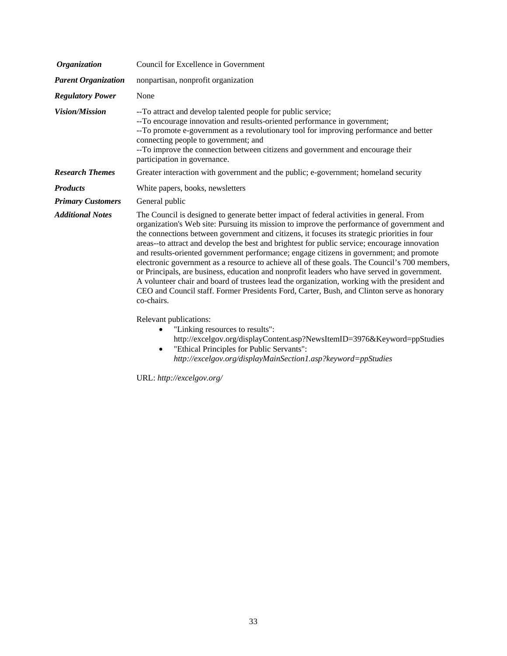| <b>Organization</b>        | Council for Excellence in Government                                                                                                                                                                                                                                                                                                                                                                                                                                                                                                                                                                                                                                                                                                                                                                                                                                                            |
|----------------------------|-------------------------------------------------------------------------------------------------------------------------------------------------------------------------------------------------------------------------------------------------------------------------------------------------------------------------------------------------------------------------------------------------------------------------------------------------------------------------------------------------------------------------------------------------------------------------------------------------------------------------------------------------------------------------------------------------------------------------------------------------------------------------------------------------------------------------------------------------------------------------------------------------|
| <b>Parent Organization</b> | nonpartisan, nonprofit organization                                                                                                                                                                                                                                                                                                                                                                                                                                                                                                                                                                                                                                                                                                                                                                                                                                                             |
| <b>Regulatory Power</b>    | None                                                                                                                                                                                                                                                                                                                                                                                                                                                                                                                                                                                                                                                                                                                                                                                                                                                                                            |
| <b>Vision/Mission</b>      | --To attract and develop talented people for public service;<br>--To encourage innovation and results-oriented performance in government;<br>-- To promote e-government as a revolutionary tool for improving performance and better<br>connecting people to government; and<br>--To improve the connection between citizens and government and encourage their<br>participation in governance.                                                                                                                                                                                                                                                                                                                                                                                                                                                                                                 |
| <b>Research Themes</b>     | Greater interaction with government and the public; e-government; homeland security                                                                                                                                                                                                                                                                                                                                                                                                                                                                                                                                                                                                                                                                                                                                                                                                             |
| <b>Products</b>            | White papers, books, newsletters                                                                                                                                                                                                                                                                                                                                                                                                                                                                                                                                                                                                                                                                                                                                                                                                                                                                |
| <b>Primary Customers</b>   | General public                                                                                                                                                                                                                                                                                                                                                                                                                                                                                                                                                                                                                                                                                                                                                                                                                                                                                  |
| <b>Additional Notes</b>    | The Council is designed to generate better impact of federal activities in general. From<br>organization's Web site: Pursuing its mission to improve the performance of government and<br>the connections between government and citizens, it focuses its strategic priorities in four<br>areas--to attract and develop the best and brightest for public service; encourage innovation<br>and results-oriented government performance; engage citizens in government; and promote<br>electronic government as a resource to achieve all of these goals. The Council's 700 members,<br>or Principals, are business, education and nonprofit leaders who have served in government.<br>A volunteer chair and board of trustees lead the organization, working with the president and<br>CEO and Council staff. Former Presidents Ford, Carter, Bush, and Clinton serve as honorary<br>co-chairs. |
|                            | Relevant publications:<br>"Linking resources to results":<br>http://excelgov.org/displayContent.asp?NewsItemID=3976&Keyword=ppStudies                                                                                                                                                                                                                                                                                                                                                                                                                                                                                                                                                                                                                                                                                                                                                           |

• "Ethical Principles for Public Servants": *<http://excelgov.org/displayMainSection1.asp?keyword=ppStudies>*

URL: *[http://excelgov.org/](http://excelgov.org)*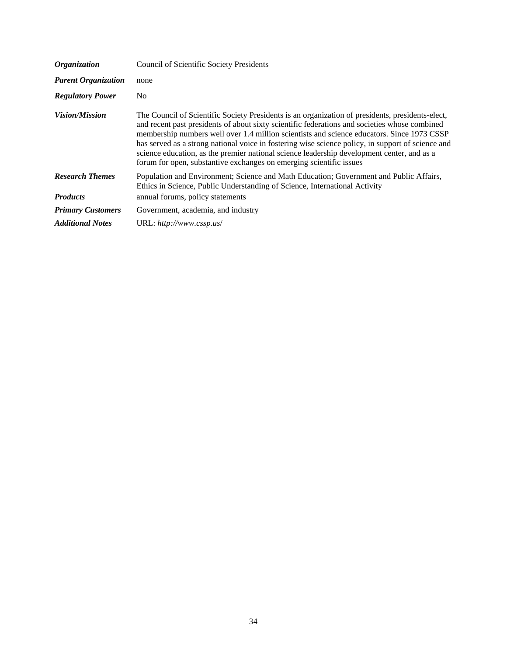| <i><b>Organization</b></i>                | <b>Council of Scientific Society Presidents</b>                                                                                                                                                                                                                                                                                                                                                                                                                                                                                                                           |
|-------------------------------------------|---------------------------------------------------------------------------------------------------------------------------------------------------------------------------------------------------------------------------------------------------------------------------------------------------------------------------------------------------------------------------------------------------------------------------------------------------------------------------------------------------------------------------------------------------------------------------|
| <b>Parent Organization</b>                | none                                                                                                                                                                                                                                                                                                                                                                                                                                                                                                                                                                      |
| <b>Regulatory Power</b>                   | No.                                                                                                                                                                                                                                                                                                                                                                                                                                                                                                                                                                       |
| <i>Vision/Mission</i>                     | The Council of Scientific Society Presidents is an organization of presidents, presidents-elect,<br>and recent past presidents of about sixty scientific federations and societies whose combined<br>membership numbers well over 1.4 million scientists and science educators. Since 1973 CSSP<br>has served as a strong national voice in fostering wise science policy, in support of science and<br>science education, as the premier national science leadership development center, and as a<br>forum for open, substantive exchanges on emerging scientific issues |
| <b>Research Themes</b><br><b>Products</b> | Population and Environment; Science and Math Education; Government and Public Affairs,<br>Ethics in Science, Public Understanding of Science, International Activity                                                                                                                                                                                                                                                                                                                                                                                                      |
|                                           | annual forums, policy statements                                                                                                                                                                                                                                                                                                                                                                                                                                                                                                                                          |
| <b>Primary Customers</b>                  | Government, academia, and industry                                                                                                                                                                                                                                                                                                                                                                                                                                                                                                                                        |
| <b>Additional Notes</b>                   | URL: $http://www.cssp.us/$                                                                                                                                                                                                                                                                                                                                                                                                                                                                                                                                                |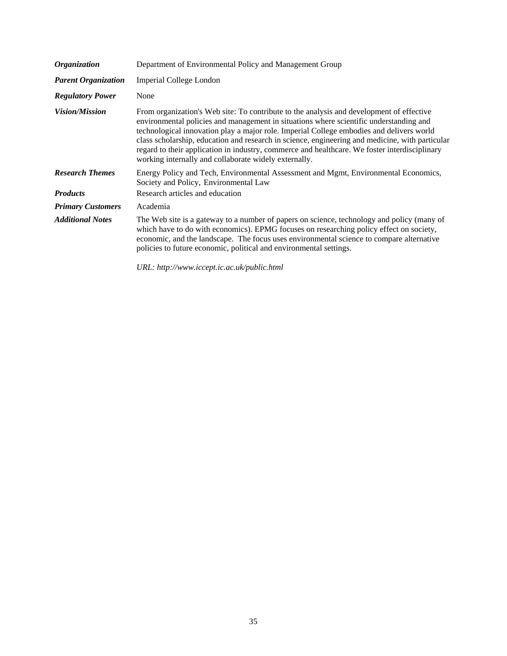| <b>Organization</b>        | Department of Environmental Policy and Management Group                                                                                                                                                                                                                                                                                                                                                                                                                                                                                     |
|----------------------------|---------------------------------------------------------------------------------------------------------------------------------------------------------------------------------------------------------------------------------------------------------------------------------------------------------------------------------------------------------------------------------------------------------------------------------------------------------------------------------------------------------------------------------------------|
| <b>Parent Organization</b> | Imperial College London                                                                                                                                                                                                                                                                                                                                                                                                                                                                                                                     |
| <b>Regulatory Power</b>    | None                                                                                                                                                                                                                                                                                                                                                                                                                                                                                                                                        |
| <b>Vision/Mission</b>      | From organization's Web site: To contribute to the analysis and development of effective<br>environmental policies and management in situations where scientific understanding and<br>technological innovation play a major role. Imperial College embodies and delivers world<br>class scholarship, education and research in science, engineering and medicine, with particular<br>regard to their application in industry, commerce and healthcare. We foster interdisciplinary<br>working internally and collaborate widely externally. |
| <b>Research Themes</b>     | Energy Policy and Tech, Environmental Assessment and Mgmt, Environmental Economics,<br>Society and Policy, Environmental Law                                                                                                                                                                                                                                                                                                                                                                                                                |
| <b>Products</b>            | Research articles and education                                                                                                                                                                                                                                                                                                                                                                                                                                                                                                             |
| <b>Primary Customers</b>   | Academia                                                                                                                                                                                                                                                                                                                                                                                                                                                                                                                                    |
| <b>Additional Notes</b>    | The Web site is a gateway to a number of papers on science, technology and policy (many of<br>which have to do with economics). EPMG focuses on researching policy effect on society,<br>economic, and the landscape. The focus uses environmental science to compare alternative<br>policies to future economic, political and environmental settings.                                                                                                                                                                                     |
|                            | URL: http://www.iccept.ic.ac.uk/public.html                                                                                                                                                                                                                                                                                                                                                                                                                                                                                                 |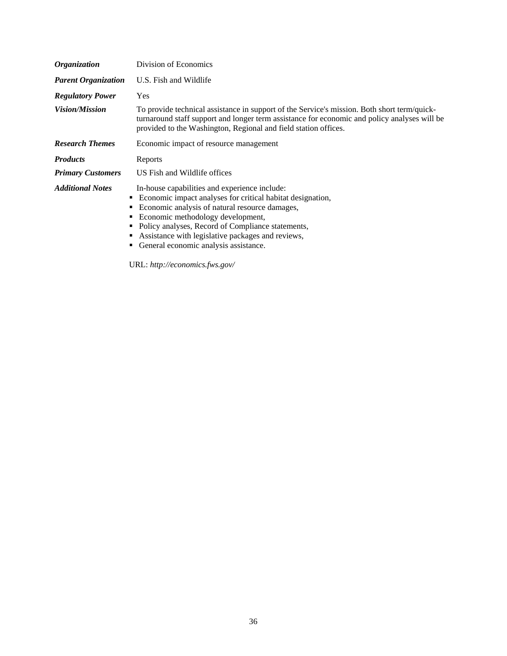| <i><b>Organization</b></i> | Division of Economics                                                                                                                                                                                                                                                                                                                                   |
|----------------------------|---------------------------------------------------------------------------------------------------------------------------------------------------------------------------------------------------------------------------------------------------------------------------------------------------------------------------------------------------------|
| <b>Parent Organization</b> | U.S. Fish and Wildlife                                                                                                                                                                                                                                                                                                                                  |
| <b>Regulatory Power</b>    | Yes                                                                                                                                                                                                                                                                                                                                                     |
| <i>Vision/Mission</i>      | To provide technical assistance in support of the Service's mission. Both short term/quick-<br>turnaround staff support and longer term assistance for economic and policy analyses will be<br>provided to the Washington, Regional and field station offices.                                                                                          |
| <b>Research Themes</b>     | Economic impact of resource management                                                                                                                                                                                                                                                                                                                  |
| <b>Products</b>            | Reports                                                                                                                                                                                                                                                                                                                                                 |
| <b>Primary Customers</b>   | US Fish and Wildlife offices                                                                                                                                                                                                                                                                                                                            |
| <b>Additional Notes</b>    | In-house capabilities and experience include:<br>• Economic impact analyses for critical habitat designation,<br>Economic analysis of natural resource damages,<br>Economic methodology development,<br>Policy analyses, Record of Compliance statements,<br>Assistance with legislative packages and reviews,<br>General economic analysis assistance. |

URL: *[http://economics.fws.gov/](http://economics.fws.gov)*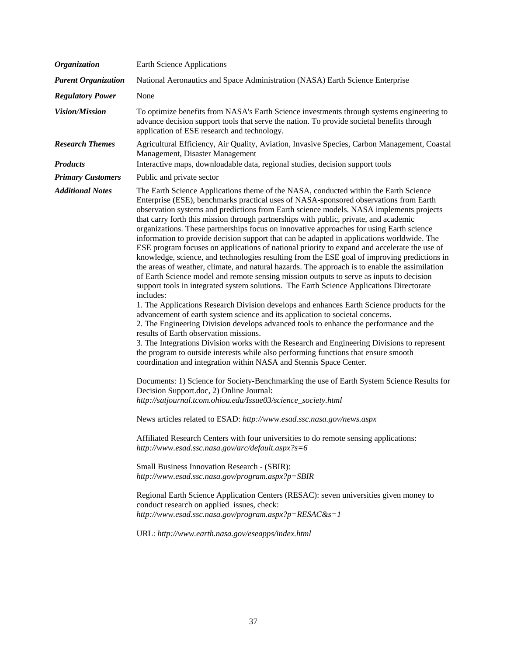| <b>Organization</b>                       | <b>Earth Science Applications</b>                                                                                                                                                                                                                                                                                                                                                                                                                                                                                                                                                                                                                                                                                                                                                                                                                                                                                                                                                                                                                                                                                                                                                                                                                                                                                                                                                                                                                                                                                                                                                                                                                                                                                                                                                                                                                                                                                                                                                                                                                                                                                                                                                                                                                                                                                                                                                                                                            |
|-------------------------------------------|----------------------------------------------------------------------------------------------------------------------------------------------------------------------------------------------------------------------------------------------------------------------------------------------------------------------------------------------------------------------------------------------------------------------------------------------------------------------------------------------------------------------------------------------------------------------------------------------------------------------------------------------------------------------------------------------------------------------------------------------------------------------------------------------------------------------------------------------------------------------------------------------------------------------------------------------------------------------------------------------------------------------------------------------------------------------------------------------------------------------------------------------------------------------------------------------------------------------------------------------------------------------------------------------------------------------------------------------------------------------------------------------------------------------------------------------------------------------------------------------------------------------------------------------------------------------------------------------------------------------------------------------------------------------------------------------------------------------------------------------------------------------------------------------------------------------------------------------------------------------------------------------------------------------------------------------------------------------------------------------------------------------------------------------------------------------------------------------------------------------------------------------------------------------------------------------------------------------------------------------------------------------------------------------------------------------------------------------------------------------------------------------------------------------------------------------|
| <b>Parent Organization</b>                | National Aeronautics and Space Administration (NASA) Earth Science Enterprise                                                                                                                                                                                                                                                                                                                                                                                                                                                                                                                                                                                                                                                                                                                                                                                                                                                                                                                                                                                                                                                                                                                                                                                                                                                                                                                                                                                                                                                                                                                                                                                                                                                                                                                                                                                                                                                                                                                                                                                                                                                                                                                                                                                                                                                                                                                                                                |
| <b>Regulatory Power</b>                   | None                                                                                                                                                                                                                                                                                                                                                                                                                                                                                                                                                                                                                                                                                                                                                                                                                                                                                                                                                                                                                                                                                                                                                                                                                                                                                                                                                                                                                                                                                                                                                                                                                                                                                                                                                                                                                                                                                                                                                                                                                                                                                                                                                                                                                                                                                                                                                                                                                                         |
| Vision/Mission                            | To optimize benefits from NASA's Earth Science investments through systems engineering to<br>advance decision support tools that serve the nation. To provide societal benefits through<br>application of ESE research and technology.                                                                                                                                                                                                                                                                                                                                                                                                                                                                                                                                                                                                                                                                                                                                                                                                                                                                                                                                                                                                                                                                                                                                                                                                                                                                                                                                                                                                                                                                                                                                                                                                                                                                                                                                                                                                                                                                                                                                                                                                                                                                                                                                                                                                       |
| <b>Research Themes</b><br><b>Products</b> | Agricultural Efficiency, Air Quality, Aviation, Invasive Species, Carbon Management, Coastal<br>Management, Disaster Management<br>Interactive maps, downloadable data, regional studies, decision support tools                                                                                                                                                                                                                                                                                                                                                                                                                                                                                                                                                                                                                                                                                                                                                                                                                                                                                                                                                                                                                                                                                                                                                                                                                                                                                                                                                                                                                                                                                                                                                                                                                                                                                                                                                                                                                                                                                                                                                                                                                                                                                                                                                                                                                             |
| <b>Primary Customers</b>                  | Public and private sector                                                                                                                                                                                                                                                                                                                                                                                                                                                                                                                                                                                                                                                                                                                                                                                                                                                                                                                                                                                                                                                                                                                                                                                                                                                                                                                                                                                                                                                                                                                                                                                                                                                                                                                                                                                                                                                                                                                                                                                                                                                                                                                                                                                                                                                                                                                                                                                                                    |
| <b>Additional Notes</b>                   | The Earth Science Applications theme of the NASA, conducted within the Earth Science<br>Enterprise (ESE), benchmarks practical uses of NASA-sponsored observations from Earth<br>observation systems and predictions from Earth science models. NASA implements projects<br>that carry forth this mission through partnerships with public, private, and academic<br>organizations. These partnerships focus on innovative approaches for using Earth science<br>information to provide decision support that can be adapted in applications worldwide. The<br>ESE program focuses on applications of national priority to expand and accelerate the use of<br>knowledge, science, and technologies resulting from the ESE goal of improving predictions in<br>the areas of weather, climate, and natural hazards. The approach is to enable the assimilation<br>of Earth Science model and remote sensing mission outputs to serve as inputs to decision<br>support tools in integrated system solutions. The Earth Science Applications Directorate<br>includes:<br>1. The Applications Research Division develops and enhances Earth Science products for the<br>advancement of earth system science and its application to societal concerns.<br>2. The Engineering Division develops advanced tools to enhance the performance and the<br>results of Earth observation missions.<br>3. The Integrations Division works with the Research and Engineering Divisions to represent<br>the program to outside interests while also performing functions that ensure smooth<br>coordination and integration within NASA and Stennis Space Center.<br>Documents: 1) Science for Society-Benchmarking the use of Earth System Science Results for<br>Decision Support.doc, 2) Online Journal:<br>http://satjournal.tcom.ohiou.edu/Issue03/science_society.html<br>News articles related to ESAD: http://www.esad.ssc.nasa.gov/news.aspx<br>Affiliated Research Centers with four universities to do remote sensing applications:<br>http://www.esad.ssc.nasa.gov/arc/default.aspx?s=6<br>Small Business Innovation Research - (SBIR):<br>http://www.esad.ssc.nasa.gov/program.aspx?p=SBIR<br>Regional Earth Science Application Centers (RESAC): seven universities given money to<br>conduct research on applied issues, check:<br>http://www.esad.ssc.nasa.gov/program.aspx?p=RESAC&s=1<br>URL: http://www.earth.nasa.gov/eseapps/index.html |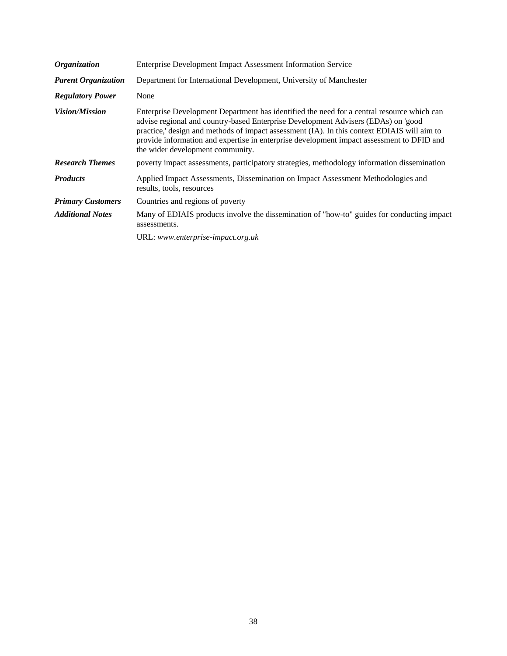| <b>Enterprise Development Impact Assessment Information Service</b>                                                                                                                                                                                                                                                                                                                                             |
|-----------------------------------------------------------------------------------------------------------------------------------------------------------------------------------------------------------------------------------------------------------------------------------------------------------------------------------------------------------------------------------------------------------------|
| Department for International Development, University of Manchester                                                                                                                                                                                                                                                                                                                                              |
| None                                                                                                                                                                                                                                                                                                                                                                                                            |
| Enterprise Development Department has identified the need for a central resource which can<br>advise regional and country-based Enterprise Development Advisers (EDAs) on 'good<br>practice,' design and methods of impact assessment (IA). In this context EDIAIS will aim to<br>provide information and expertise in enterprise development impact assessment to DFID and<br>the wider development community. |
| poverty impact assessments, participatory strategies, methodology information dissemination                                                                                                                                                                                                                                                                                                                     |
| Applied Impact Assessments, Dissemination on Impact Assessment Methodologies and<br>results, tools, resources                                                                                                                                                                                                                                                                                                   |
| Countries and regions of poverty                                                                                                                                                                                                                                                                                                                                                                                |
| Many of EDIAIS products involve the dissemination of "how-to" guides for conducting impact<br>assessments.                                                                                                                                                                                                                                                                                                      |
| URL: www.enterprise-impact.org.uk                                                                                                                                                                                                                                                                                                                                                                               |
|                                                                                                                                                                                                                                                                                                                                                                                                                 |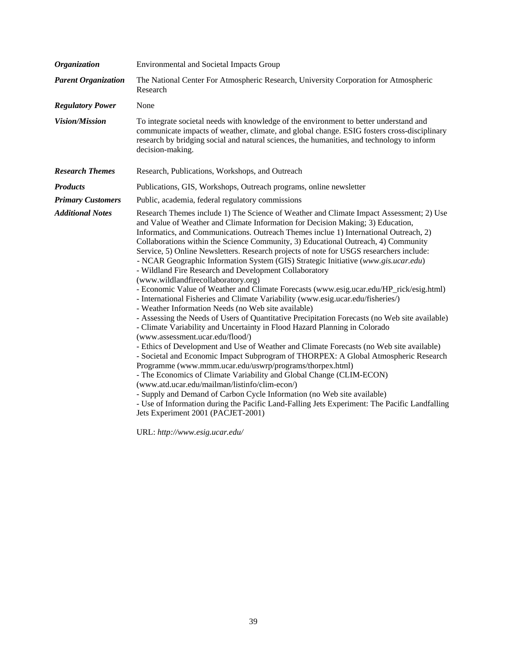| <b>Organization</b>        | <b>Environmental and Societal Impacts Group</b>                                                                                                                                                                                                                                                                                                                                                                                                                                                                                                                                                                                                                                                                                                                                                                                                                                                                                                                                                                                                                                                                                                                                                                                                                                                                                                                                                                                                                                                                                                                                                                                                                                                                                         |
|----------------------------|-----------------------------------------------------------------------------------------------------------------------------------------------------------------------------------------------------------------------------------------------------------------------------------------------------------------------------------------------------------------------------------------------------------------------------------------------------------------------------------------------------------------------------------------------------------------------------------------------------------------------------------------------------------------------------------------------------------------------------------------------------------------------------------------------------------------------------------------------------------------------------------------------------------------------------------------------------------------------------------------------------------------------------------------------------------------------------------------------------------------------------------------------------------------------------------------------------------------------------------------------------------------------------------------------------------------------------------------------------------------------------------------------------------------------------------------------------------------------------------------------------------------------------------------------------------------------------------------------------------------------------------------------------------------------------------------------------------------------------------------|
| <b>Parent Organization</b> | The National Center For Atmospheric Research, University Corporation for Atmospheric<br>Research                                                                                                                                                                                                                                                                                                                                                                                                                                                                                                                                                                                                                                                                                                                                                                                                                                                                                                                                                                                                                                                                                                                                                                                                                                                                                                                                                                                                                                                                                                                                                                                                                                        |
| <b>Regulatory Power</b>    | None                                                                                                                                                                                                                                                                                                                                                                                                                                                                                                                                                                                                                                                                                                                                                                                                                                                                                                                                                                                                                                                                                                                                                                                                                                                                                                                                                                                                                                                                                                                                                                                                                                                                                                                                    |
| <b>Vision/Mission</b>      | To integrate societal needs with knowledge of the environment to better understand and<br>communicate impacts of weather, climate, and global change. ESIG fosters cross-disciplinary<br>research by bridging social and natural sciences, the humanities, and technology to inform<br>decision-making.                                                                                                                                                                                                                                                                                                                                                                                                                                                                                                                                                                                                                                                                                                                                                                                                                                                                                                                                                                                                                                                                                                                                                                                                                                                                                                                                                                                                                                 |
| <b>Research Themes</b>     | Research, Publications, Workshops, and Outreach                                                                                                                                                                                                                                                                                                                                                                                                                                                                                                                                                                                                                                                                                                                                                                                                                                                                                                                                                                                                                                                                                                                                                                                                                                                                                                                                                                                                                                                                                                                                                                                                                                                                                         |
| <b>Products</b>            | Publications, GIS, Workshops, Outreach programs, online newsletter                                                                                                                                                                                                                                                                                                                                                                                                                                                                                                                                                                                                                                                                                                                                                                                                                                                                                                                                                                                                                                                                                                                                                                                                                                                                                                                                                                                                                                                                                                                                                                                                                                                                      |
| <b>Primary Customers</b>   | Public, academia, federal regulatory commissions                                                                                                                                                                                                                                                                                                                                                                                                                                                                                                                                                                                                                                                                                                                                                                                                                                                                                                                                                                                                                                                                                                                                                                                                                                                                                                                                                                                                                                                                                                                                                                                                                                                                                        |
| <b>Additional Notes</b>    | Research Themes include 1) The Science of Weather and Climate Impact Assessment; 2) Use<br>and Value of Weather and Climate Information for Decision Making; 3) Education,<br>Informatics, and Communications. Outreach Themes inclue 1) International Outreach, 2)<br>Collaborations within the Science Community, 3) Educational Outreach, 4) Community<br>Service, 5) Online Newsletters. Research projects of note for USGS researchers include:<br>- NCAR Geographic Information System (GIS) Strategic Initiative (www.gis.ucar.edu)<br>- Wildland Fire Research and Development Collaboratory<br>(www.wildlandfirecollaboratory.org)<br>- Economic Value of Weather and Climate Forecasts (www.esig.ucar.edu/HP_rick/esig.html)<br>- International Fisheries and Climate Variability (www.esig.ucar.edu/fisheries/)<br>- Weather Information Needs (no Web site available)<br>- Assessing the Needs of Users of Quantitative Precipitation Forecasts (no Web site available)<br>- Climate Variability and Uncertainty in Flood Hazard Planning in Colorado<br>(www.assessment.ucar.edu/flood/)<br>- Ethics of Development and Use of Weather and Climate Forecasts (no Web site available)<br>- Societal and Economic Impact Subprogram of THORPEX: A Global Atmospheric Research<br>Programme (www.mmm.ucar.edu/uswrp/programs/thorpex.html)<br>- The Economics of Climate Variability and Global Change (CLIM-ECON)<br>(www.atd.ucar.edu/mailman/listinfo/clim-econ/)<br>- Supply and Demand of Carbon Cycle Information (no Web site available)<br>- Use of Information during the Pacific Land-Falling Jets Experiment: The Pacific Landfalling<br>Jets Experiment 2001 (PACJET-2001)<br>$TIDT, I \cup \mathcal{U}$ $I \cup$ |

URL: *[http://www.esig.ucar.edu/](http://www.esig.ucar.edu)*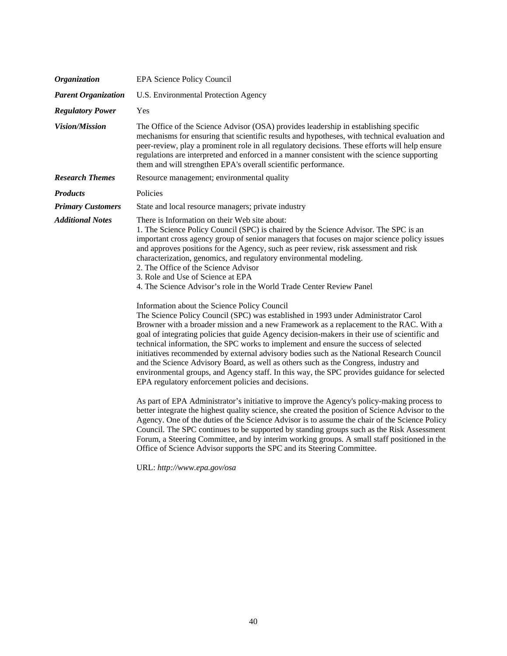| <b>Organization</b>        | <b>EPA Science Policy Council</b>                                                                                                                                                                                                                                                                                                                                                                                                                                                                                                                                                                                                                                                                                                                                                                                                                                                                                                                                                                                                                                                                                                                                                                                                                                                                                                                                                                                                                                                                                                                                                                                                                                                                                          |
|----------------------------|----------------------------------------------------------------------------------------------------------------------------------------------------------------------------------------------------------------------------------------------------------------------------------------------------------------------------------------------------------------------------------------------------------------------------------------------------------------------------------------------------------------------------------------------------------------------------------------------------------------------------------------------------------------------------------------------------------------------------------------------------------------------------------------------------------------------------------------------------------------------------------------------------------------------------------------------------------------------------------------------------------------------------------------------------------------------------------------------------------------------------------------------------------------------------------------------------------------------------------------------------------------------------------------------------------------------------------------------------------------------------------------------------------------------------------------------------------------------------------------------------------------------------------------------------------------------------------------------------------------------------------------------------------------------------------------------------------------------------|
| <b>Parent Organization</b> | U.S. Environmental Protection Agency                                                                                                                                                                                                                                                                                                                                                                                                                                                                                                                                                                                                                                                                                                                                                                                                                                                                                                                                                                                                                                                                                                                                                                                                                                                                                                                                                                                                                                                                                                                                                                                                                                                                                       |
| <b>Regulatory Power</b>    | Yes                                                                                                                                                                                                                                                                                                                                                                                                                                                                                                                                                                                                                                                                                                                                                                                                                                                                                                                                                                                                                                                                                                                                                                                                                                                                                                                                                                                                                                                                                                                                                                                                                                                                                                                        |
| <b>Vision/Mission</b>      | The Office of the Science Advisor (OSA) provides leadership in establishing specific<br>mechanisms for ensuring that scientific results and hypotheses, with technical evaluation and<br>peer-review, play a prominent role in all regulatory decisions. These efforts will help ensure<br>regulations are interpreted and enforced in a manner consistent with the science supporting<br>them and will strengthen EPA's overall scientific performance.                                                                                                                                                                                                                                                                                                                                                                                                                                                                                                                                                                                                                                                                                                                                                                                                                                                                                                                                                                                                                                                                                                                                                                                                                                                                   |
| <b>Research Themes</b>     | Resource management; environmental quality                                                                                                                                                                                                                                                                                                                                                                                                                                                                                                                                                                                                                                                                                                                                                                                                                                                                                                                                                                                                                                                                                                                                                                                                                                                                                                                                                                                                                                                                                                                                                                                                                                                                                 |
| <b>Products</b>            | Policies                                                                                                                                                                                                                                                                                                                                                                                                                                                                                                                                                                                                                                                                                                                                                                                                                                                                                                                                                                                                                                                                                                                                                                                                                                                                                                                                                                                                                                                                                                                                                                                                                                                                                                                   |
| <b>Primary Customers</b>   | State and local resource managers; private industry                                                                                                                                                                                                                                                                                                                                                                                                                                                                                                                                                                                                                                                                                                                                                                                                                                                                                                                                                                                                                                                                                                                                                                                                                                                                                                                                                                                                                                                                                                                                                                                                                                                                        |
| <b>Additional Notes</b>    | There is Information on their Web site about:<br>1. The Science Policy Council (SPC) is chaired by the Science Advisor. The SPC is an<br>important cross agency group of senior managers that focuses on major science policy issues<br>and approves positions for the Agency, such as peer review, risk assessment and risk<br>characterization, genomics, and regulatory environmental modeling.<br>2. The Office of the Science Advisor<br>3. Role and Use of Science at EPA<br>4. The Science Advisor's role in the World Trade Center Review Panel<br>Information about the Science Policy Council<br>The Science Policy Council (SPC) was established in 1993 under Administrator Carol<br>Browner with a broader mission and a new Framework as a replacement to the RAC. With a<br>goal of integrating policies that guide Agency decision-makers in their use of scientific and<br>technical information, the SPC works to implement and ensure the success of selected<br>initiatives recommended by external advisory bodies such as the National Research Council<br>and the Science Advisory Board, as well as others such as the Congress, industry and<br>environmental groups, and Agency staff. In this way, the SPC provides guidance for selected<br>EPA regulatory enforcement policies and decisions.<br>As part of EPA Administrator's initiative to improve the Agency's policy-making process to<br>better integrate the highest quality science, she created the position of Science Advisor to the<br>Agency. One of the duties of the Science Advisor is to assume the chair of the Science Policy<br>Council. The SPC continues to be supported by standing groups such as the Risk Assessment |
|                            | Forum, a Steering Committee, and by interim working groups. A small staff positioned in the<br>Office of Science Advisor supports the SPC and its Steering Committee.                                                                                                                                                                                                                                                                                                                                                                                                                                                                                                                                                                                                                                                                                                                                                                                                                                                                                                                                                                                                                                                                                                                                                                                                                                                                                                                                                                                                                                                                                                                                                      |

URL: *<http://www.epa.gov/osa>*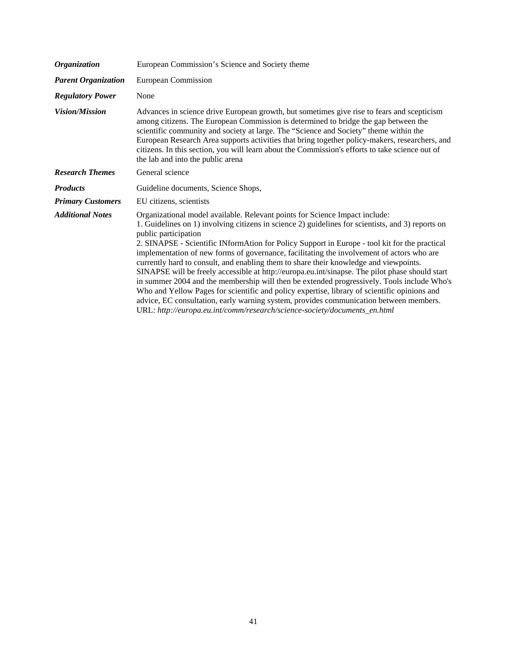| <b>Organization</b>        | European Commission's Science and Society theme                                                                                                                                                                                                                                                                                                                                                                                                                                                                                                                                                                                                                                                                                                                                                                                                                                                                                                                         |
|----------------------------|-------------------------------------------------------------------------------------------------------------------------------------------------------------------------------------------------------------------------------------------------------------------------------------------------------------------------------------------------------------------------------------------------------------------------------------------------------------------------------------------------------------------------------------------------------------------------------------------------------------------------------------------------------------------------------------------------------------------------------------------------------------------------------------------------------------------------------------------------------------------------------------------------------------------------------------------------------------------------|
| <b>Parent Organization</b> | European Commission                                                                                                                                                                                                                                                                                                                                                                                                                                                                                                                                                                                                                                                                                                                                                                                                                                                                                                                                                     |
| <b>Regulatory Power</b>    | None                                                                                                                                                                                                                                                                                                                                                                                                                                                                                                                                                                                                                                                                                                                                                                                                                                                                                                                                                                    |
| <b>Vision/Mission</b>      | Advances in science drive European growth, but sometimes give rise to fears and scepticism<br>among citizens. The European Commission is determined to bridge the gap between the<br>scientific community and society at large. The "Science and Society" theme within the<br>European Research Area supports activities that bring together policy-makers, researchers, and<br>citizens. In this section, you will learn about the Commission's efforts to take science out of<br>the lab and into the public arena                                                                                                                                                                                                                                                                                                                                                                                                                                                    |
| <b>Research Themes</b>     | General science                                                                                                                                                                                                                                                                                                                                                                                                                                                                                                                                                                                                                                                                                                                                                                                                                                                                                                                                                         |
| <b>Products</b>            | Guideline documents, Science Shops,                                                                                                                                                                                                                                                                                                                                                                                                                                                                                                                                                                                                                                                                                                                                                                                                                                                                                                                                     |
| <b>Primary Customers</b>   | EU citizens, scientists                                                                                                                                                                                                                                                                                                                                                                                                                                                                                                                                                                                                                                                                                                                                                                                                                                                                                                                                                 |
| <b>Additional Notes</b>    | Organizational model available. Relevant points for Science Impact include:<br>1. Guidelines on 1) involving citizens in science 2) guidelines for scientists, and 3) reports on<br>public participation<br>2. SINAPSE - Scientific INformAtion for Policy Support in Europe - tool kit for the practical<br>implementation of new forms of governance, facilitating the involvement of actors who are<br>currently hard to consult, and enabling them to share their knowledge and viewpoints.<br>SINAPSE will be freely accessible at http://europa.eu.int/sinapse. The pilot phase should start<br>in summer 2004 and the membership will then be extended progressively. Tools include Who's<br>Who and Yellow Pages for scientific and policy expertise, library of scientific opinions and<br>advice, EC consultation, early warning system, provides communication between members.<br>URL: http://europa.eu.int/comm/research/science-society/documents_en.html |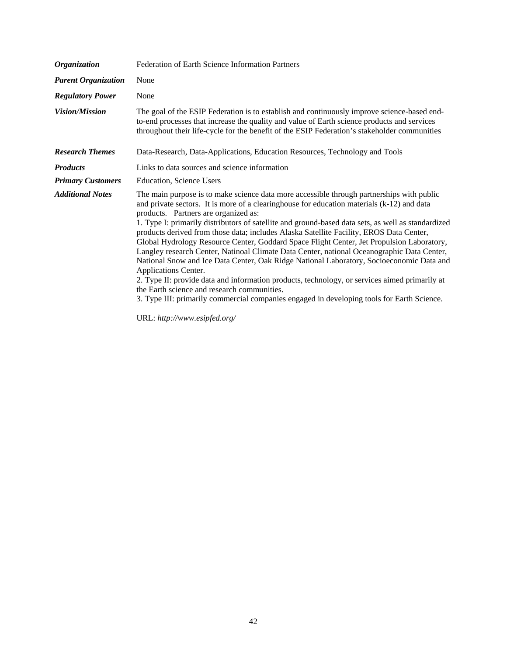| <b>Organization</b>        | Federation of Earth Science Information Partners                                                                                                                                                                                                                                                                                                                                                                                                                                                                                                                                                                                                                                                                                                                                                                                                                                                                                                                                                                                |
|----------------------------|---------------------------------------------------------------------------------------------------------------------------------------------------------------------------------------------------------------------------------------------------------------------------------------------------------------------------------------------------------------------------------------------------------------------------------------------------------------------------------------------------------------------------------------------------------------------------------------------------------------------------------------------------------------------------------------------------------------------------------------------------------------------------------------------------------------------------------------------------------------------------------------------------------------------------------------------------------------------------------------------------------------------------------|
| <b>Parent Organization</b> | None                                                                                                                                                                                                                                                                                                                                                                                                                                                                                                                                                                                                                                                                                                                                                                                                                                                                                                                                                                                                                            |
| <b>Regulatory Power</b>    | None                                                                                                                                                                                                                                                                                                                                                                                                                                                                                                                                                                                                                                                                                                                                                                                                                                                                                                                                                                                                                            |
| <b>Vision/Mission</b>      | The goal of the ESIP Federation is to establish and continuously improve science-based end-<br>to-end processes that increase the quality and value of Earth science products and services<br>throughout their life-cycle for the benefit of the ESIP Federation's stakeholder communities                                                                                                                                                                                                                                                                                                                                                                                                                                                                                                                                                                                                                                                                                                                                      |
| <b>Research Themes</b>     | Data-Research, Data-Applications, Education Resources, Technology and Tools                                                                                                                                                                                                                                                                                                                                                                                                                                                                                                                                                                                                                                                                                                                                                                                                                                                                                                                                                     |
| <b>Products</b>            | Links to data sources and science information                                                                                                                                                                                                                                                                                                                                                                                                                                                                                                                                                                                                                                                                                                                                                                                                                                                                                                                                                                                   |
| <b>Primary Customers</b>   | Education, Science Users                                                                                                                                                                                                                                                                                                                                                                                                                                                                                                                                                                                                                                                                                                                                                                                                                                                                                                                                                                                                        |
| <b>Additional Notes</b>    | The main purpose is to make science data more accessible through partnerships with public<br>and private sectors. It is more of a clearinghouse for education materials $(k-12)$ and data<br>products. Partners are organized as:<br>1. Type I: primarily distributors of satellite and ground-based data sets, as well as standardized<br>products derived from those data; includes Alaska Satellite Facility, EROS Data Center,<br>Global Hydrology Resource Center, Goddard Space Flight Center, Jet Propulsion Laboratory,<br>Langley research Center, Natinoal Climate Data Center, national Oceanographic Data Center,<br>National Snow and Ice Data Center, Oak Ridge National Laboratory, Socioeconomic Data and<br>Applications Center.<br>2. Type II: provide data and information products, technology, or services aimed primarily at<br>the Earth science and research communities.<br>3. Type III: primarily commercial companies engaged in developing tools for Earth Science.<br>URL: http://www.esipfed.org/ |

42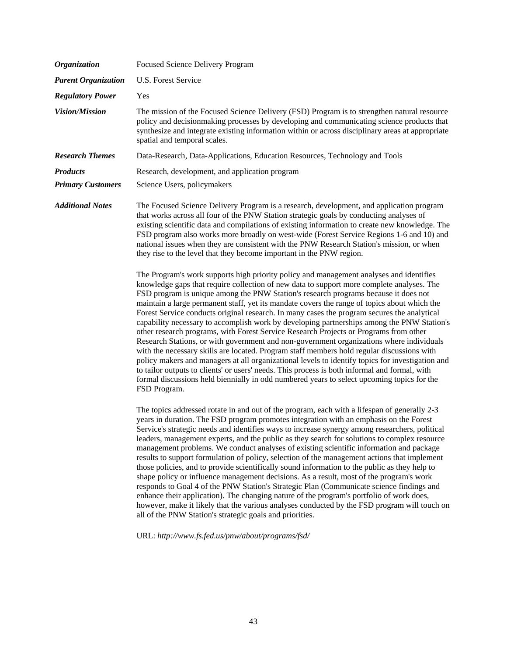| Focused Science Delivery Program                                                                                                                                                                                                                                                                                                                                                                                                                                                                                                                                                                                                                                                                                                                                                                                                                                                                                                                                                                                                                                                                                                                                                                                                                                                                                                                                                                                                                                                                                                                                                                                                                                                                                                         |
|------------------------------------------------------------------------------------------------------------------------------------------------------------------------------------------------------------------------------------------------------------------------------------------------------------------------------------------------------------------------------------------------------------------------------------------------------------------------------------------------------------------------------------------------------------------------------------------------------------------------------------------------------------------------------------------------------------------------------------------------------------------------------------------------------------------------------------------------------------------------------------------------------------------------------------------------------------------------------------------------------------------------------------------------------------------------------------------------------------------------------------------------------------------------------------------------------------------------------------------------------------------------------------------------------------------------------------------------------------------------------------------------------------------------------------------------------------------------------------------------------------------------------------------------------------------------------------------------------------------------------------------------------------------------------------------------------------------------------------------|
| <b>U.S. Forest Service</b>                                                                                                                                                                                                                                                                                                                                                                                                                                                                                                                                                                                                                                                                                                                                                                                                                                                                                                                                                                                                                                                                                                                                                                                                                                                                                                                                                                                                                                                                                                                                                                                                                                                                                                               |
| Yes                                                                                                                                                                                                                                                                                                                                                                                                                                                                                                                                                                                                                                                                                                                                                                                                                                                                                                                                                                                                                                                                                                                                                                                                                                                                                                                                                                                                                                                                                                                                                                                                                                                                                                                                      |
| The mission of the Focused Science Delivery (FSD) Program is to strengthen natural resource<br>policy and decisionmaking processes by developing and communicating science products that<br>synthesize and integrate existing information within or across disciplinary areas at appropriate<br>spatial and temporal scales.                                                                                                                                                                                                                                                                                                                                                                                                                                                                                                                                                                                                                                                                                                                                                                                                                                                                                                                                                                                                                                                                                                                                                                                                                                                                                                                                                                                                             |
| Data-Research, Data-Applications, Education Resources, Technology and Tools                                                                                                                                                                                                                                                                                                                                                                                                                                                                                                                                                                                                                                                                                                                                                                                                                                                                                                                                                                                                                                                                                                                                                                                                                                                                                                                                                                                                                                                                                                                                                                                                                                                              |
| Research, development, and application program                                                                                                                                                                                                                                                                                                                                                                                                                                                                                                                                                                                                                                                                                                                                                                                                                                                                                                                                                                                                                                                                                                                                                                                                                                                                                                                                                                                                                                                                                                                                                                                                                                                                                           |
| Science Users, policymakers                                                                                                                                                                                                                                                                                                                                                                                                                                                                                                                                                                                                                                                                                                                                                                                                                                                                                                                                                                                                                                                                                                                                                                                                                                                                                                                                                                                                                                                                                                                                                                                                                                                                                                              |
| The Focused Science Delivery Program is a research, development, and application program<br>that works across all four of the PNW Station strategic goals by conducting analyses of<br>existing scientific data and compilations of existing information to create new knowledge. The<br>FSD program also works more broadly on west-wide (Forest Service Regions 1-6 and 10) and<br>national issues when they are consistent with the PNW Research Station's mission, or when<br>they rise to the level that they become important in the PNW region.<br>The Program's work supports high priority policy and management analyses and identifies<br>knowledge gaps that require collection of new data to support more complete analyses. The<br>FSD program is unique among the PNW Station's research programs because it does not<br>maintain a large permanent staff, yet its mandate covers the range of topics about which the<br>Forest Service conducts original research. In many cases the program secures the analytical<br>capability necessary to accomplish work by developing partnerships among the PNW Station's<br>other research programs, with Forest Service Research Projects or Programs from other<br>Research Stations, or with government and non-government organizations where individuals<br>with the necessary skills are located. Program staff members hold regular discussions with<br>policy makers and managers at all organizational levels to identify topics for investigation and<br>to tailor outputs to clients' or users' needs. This process is both informal and formal, with<br>formal discussions held biennially in odd numbered years to select upcoming topics for the<br>FSD Program. |
| The topics addressed rotate in and out of the program, each with a lifespan of generally 2-3<br>years in duration. The FSD program promotes integration with an emphasis on the Forest<br>Service's strategic needs and identifies ways to increase synergy among researchers, political<br>leaders, management experts, and the public as they search for solutions to complex resource<br>management problems. We conduct analyses of existing scientific information and package<br>results to support formulation of policy, selection of the management actions that implement<br>those policies, and to provide scientifically sound information to the public as they help to<br>shape policy or influence management decisions. As a result, most of the program's work<br>responds to Goal 4 of the PNW Station's Strategic Plan (Communicate science findings and<br>enhance their application). The changing nature of the program's portfolio of work does,<br>however, make it likely that the various analyses conducted by the FSD program will touch on<br>all of the PNW Station's strategic goals and priorities.<br>URL: http://www.fs.fed.us/pnw/about/programs/fsd/                                                                                                                                                                                                                                                                                                                                                                                                                                                                                                                                                 |
|                                                                                                                                                                                                                                                                                                                                                                                                                                                                                                                                                                                                                                                                                                                                                                                                                                                                                                                                                                                                                                                                                                                                                                                                                                                                                                                                                                                                                                                                                                                                                                                                                                                                                                                                          |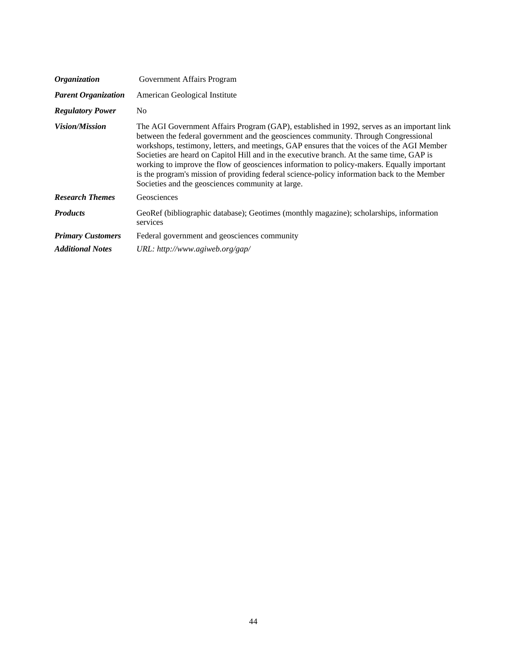| <i><b>Organization</b></i> | Government Affairs Program                                                                                                                                                                                                                                                                                                                                                                                                                                                                                                                                                                                                     |
|----------------------------|--------------------------------------------------------------------------------------------------------------------------------------------------------------------------------------------------------------------------------------------------------------------------------------------------------------------------------------------------------------------------------------------------------------------------------------------------------------------------------------------------------------------------------------------------------------------------------------------------------------------------------|
| <b>Parent Organization</b> | American Geological Institute                                                                                                                                                                                                                                                                                                                                                                                                                                                                                                                                                                                                  |
| <b>Regulatory Power</b>    | N <sub>0</sub>                                                                                                                                                                                                                                                                                                                                                                                                                                                                                                                                                                                                                 |
| <b>Vision/Mission</b>      | The AGI Government Affairs Program (GAP), established in 1992, serves as an important link<br>between the federal government and the geosciences community. Through Congressional<br>workshops, testimony, letters, and meetings, GAP ensures that the voices of the AGI Member<br>Societies are heard on Capitol Hill and in the executive branch. At the same time, GAP is<br>working to improve the flow of geosciences information to policy-makers. Equally important<br>is the program's mission of providing federal science-policy information back to the Member<br>Societies and the geosciences community at large. |
| <b>Research Themes</b>     | Geosciences                                                                                                                                                                                                                                                                                                                                                                                                                                                                                                                                                                                                                    |
| <b>Products</b>            | GeoRef (bibliographic database); Geotimes (monthly magazine); scholarships, information<br>services                                                                                                                                                                                                                                                                                                                                                                                                                                                                                                                            |
| <b>Primary Customers</b>   | Federal government and geosciences community                                                                                                                                                                                                                                                                                                                                                                                                                                                                                                                                                                                   |
| <b>Additional Notes</b>    | URL: http://www.agiweb.org/gap/                                                                                                                                                                                                                                                                                                                                                                                                                                                                                                                                                                                                |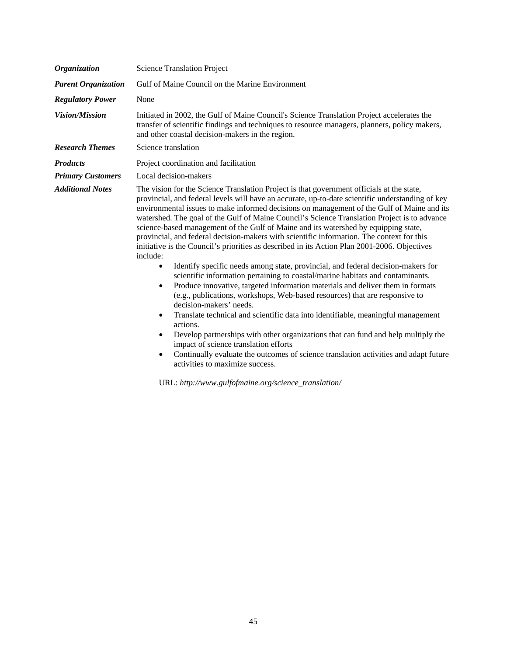| <b>Organization</b>        | <b>Science Translation Project</b>                                                                                                                                                                                                                                                                                                                                                                                                                                                                                                                                                                                                                                                                                                                                                                                                                                                                                                                                                                                                                                                                                                                                                                                                                                                                                                                                                                                                                                      |
|----------------------------|-------------------------------------------------------------------------------------------------------------------------------------------------------------------------------------------------------------------------------------------------------------------------------------------------------------------------------------------------------------------------------------------------------------------------------------------------------------------------------------------------------------------------------------------------------------------------------------------------------------------------------------------------------------------------------------------------------------------------------------------------------------------------------------------------------------------------------------------------------------------------------------------------------------------------------------------------------------------------------------------------------------------------------------------------------------------------------------------------------------------------------------------------------------------------------------------------------------------------------------------------------------------------------------------------------------------------------------------------------------------------------------------------------------------------------------------------------------------------|
| <b>Parent Organization</b> | Gulf of Maine Council on the Marine Environment                                                                                                                                                                                                                                                                                                                                                                                                                                                                                                                                                                                                                                                                                                                                                                                                                                                                                                                                                                                                                                                                                                                                                                                                                                                                                                                                                                                                                         |
| <b>Regulatory Power</b>    | None                                                                                                                                                                                                                                                                                                                                                                                                                                                                                                                                                                                                                                                                                                                                                                                                                                                                                                                                                                                                                                                                                                                                                                                                                                                                                                                                                                                                                                                                    |
| <b>Vision/Mission</b>      | Initiated in 2002, the Gulf of Maine Council's Science Translation Project accelerates the<br>transfer of scientific findings and techniques to resource managers, planners, policy makers,<br>and other coastal decision-makers in the region.                                                                                                                                                                                                                                                                                                                                                                                                                                                                                                                                                                                                                                                                                                                                                                                                                                                                                                                                                                                                                                                                                                                                                                                                                         |
| <b>Research Themes</b>     | Science translation                                                                                                                                                                                                                                                                                                                                                                                                                                                                                                                                                                                                                                                                                                                                                                                                                                                                                                                                                                                                                                                                                                                                                                                                                                                                                                                                                                                                                                                     |
| <b>Products</b>            | Project coordination and facilitation                                                                                                                                                                                                                                                                                                                                                                                                                                                                                                                                                                                                                                                                                                                                                                                                                                                                                                                                                                                                                                                                                                                                                                                                                                                                                                                                                                                                                                   |
| <b>Primary Customers</b>   | Local decision-makers                                                                                                                                                                                                                                                                                                                                                                                                                                                                                                                                                                                                                                                                                                                                                                                                                                                                                                                                                                                                                                                                                                                                                                                                                                                                                                                                                                                                                                                   |
| <b>Additional Notes</b>    | The vision for the Science Translation Project is that government officials at the state,<br>provincial, and federal levels will have an accurate, up-to-date scientific understanding of key<br>environmental issues to make informed decisions on management of the Gulf of Maine and its<br>watershed. The goal of the Gulf of Maine Council's Science Translation Project is to advance<br>science-based management of the Gulf of Maine and its watershed by equipping state,<br>provincial, and federal decision-makers with scientific information. The context for this<br>initiative is the Council's priorities as described in its Action Plan 2001-2006. Objectives<br>include:<br>Identify specific needs among state, provincial, and federal decision-makers for<br>$\bullet$<br>scientific information pertaining to coastal/marine habitats and contaminants.<br>Produce innovative, targeted information materials and deliver them in formats<br>٠<br>(e.g., publications, workshops, Web-based resources) that are responsive to<br>decision-makers' needs.<br>Translate technical and scientific data into identifiable, meaningful management<br>$\bullet$<br>actions.<br>Develop partnerships with other organizations that can fund and help multiply the<br>$\bullet$<br>impact of science translation efforts<br>Continually evaluate the outcomes of science translation activities and adapt future<br>٠<br>activities to maximize success. |

URL: *[http://www.gulfofmaine.org/science\\_translation/](http://www.gulfofmaine.org/science_translation)*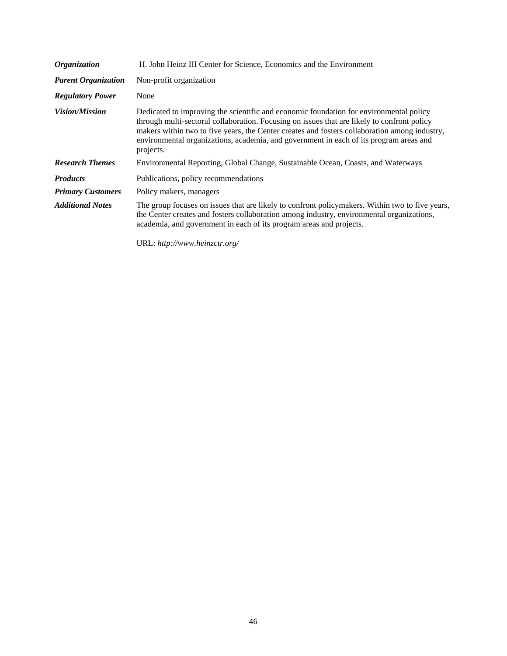| <b>Organization</b>        | H. John Heinz III Center for Science, Economics and the Environment                                                                                                                                                                                                                                                                                                                           |
|----------------------------|-----------------------------------------------------------------------------------------------------------------------------------------------------------------------------------------------------------------------------------------------------------------------------------------------------------------------------------------------------------------------------------------------|
| <b>Parent Organization</b> | Non-profit organization                                                                                                                                                                                                                                                                                                                                                                       |
| <b>Regulatory Power</b>    | None                                                                                                                                                                                                                                                                                                                                                                                          |
| <i>Vision/Mission</i>      | Dedicated to improving the scientific and economic foundation for environmental policy<br>through multi-sectoral collaboration. Focusing on issues that are likely to confront policy<br>makers within two to five years, the Center creates and fosters collaboration among industry,<br>environmental organizations, academia, and government in each of its program areas and<br>projects. |
| <b>Research Themes</b>     | Environmental Reporting, Global Change, Sustainable Ocean, Coasts, and Waterways                                                                                                                                                                                                                                                                                                              |
| <b>Products</b>            | Publications, policy recommendations                                                                                                                                                                                                                                                                                                                                                          |
| <b>Primary Customers</b>   | Policy makers, managers                                                                                                                                                                                                                                                                                                                                                                       |
| <b>Additional Notes</b>    | The group focuses on issues that are likely to confront policymakers. Within two to five years,<br>the Center creates and fosters collaboration among industry, environmental organizations,<br>academia, and government in each of its program areas and projects.                                                                                                                           |

URL: *[http://www.heinzctr.org/](http://www.heinzctr.org)*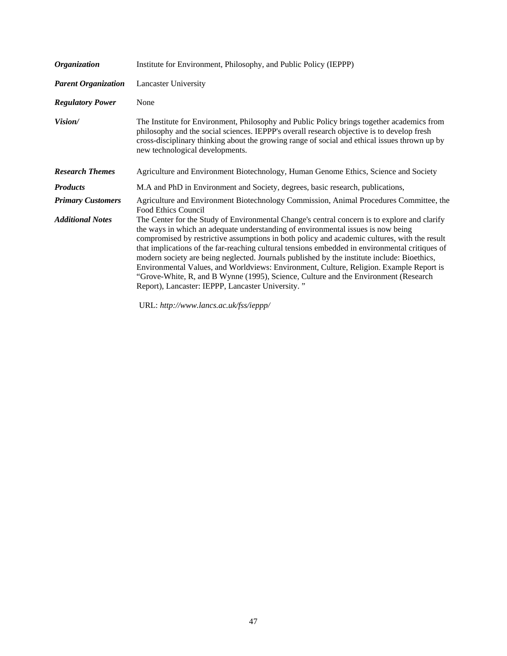| <i><b>Organization</b></i> | Institute for Environment, Philosophy, and Public Policy (IEPPP)                                                                                                                                                                                                                                                                                                                                                                                                                                                                                                                                                                                                                                                         |
|----------------------------|--------------------------------------------------------------------------------------------------------------------------------------------------------------------------------------------------------------------------------------------------------------------------------------------------------------------------------------------------------------------------------------------------------------------------------------------------------------------------------------------------------------------------------------------------------------------------------------------------------------------------------------------------------------------------------------------------------------------------|
| <b>Parent Organization</b> | <b>Lancaster University</b>                                                                                                                                                                                                                                                                                                                                                                                                                                                                                                                                                                                                                                                                                              |
| <b>Regulatory Power</b>    | None                                                                                                                                                                                                                                                                                                                                                                                                                                                                                                                                                                                                                                                                                                                     |
| Vision/                    | The Institute for Environment, Philosophy and Public Policy brings together academics from<br>philosophy and the social sciences. IEPPP's overall research objective is to develop fresh<br>cross-disciplinary thinking about the growing range of social and ethical issues thrown up by<br>new technological developments.                                                                                                                                                                                                                                                                                                                                                                                             |
| <b>Research Themes</b>     | Agriculture and Environment Biotechnology, Human Genome Ethics, Science and Society                                                                                                                                                                                                                                                                                                                                                                                                                                                                                                                                                                                                                                      |
| <b>Products</b>            | M.A and PhD in Environment and Society, degrees, basic research, publications,                                                                                                                                                                                                                                                                                                                                                                                                                                                                                                                                                                                                                                           |
| <b>Primary Customers</b>   | Agriculture and Environment Biotechnology Commission, Animal Procedures Committee, the<br>Food Ethics Council                                                                                                                                                                                                                                                                                                                                                                                                                                                                                                                                                                                                            |
| <b>Additional Notes</b>    | The Center for the Study of Environmental Change's central concern is to explore and clarify<br>the ways in which an adequate understanding of environmental issues is now being<br>compromised by restrictive assumptions in both policy and academic cultures, with the result<br>that implications of the far-reaching cultural tensions embedded in environmental critiques of<br>modern society are being neglected. Journals published by the institute include: Bioethics,<br>Environmental Values, and Worldviews: Environment, Culture, Religion. Example Report is<br>"Grove-White, R, and B Wynne (1995), Science, Culture and the Environment (Research<br>Report), Lancaster: IEPPP, Lancaster University." |

URL: *[http://www.lancs.ac.uk/fss/ieppp/](http://www.lancs.ac.uk/fss/ieppp)*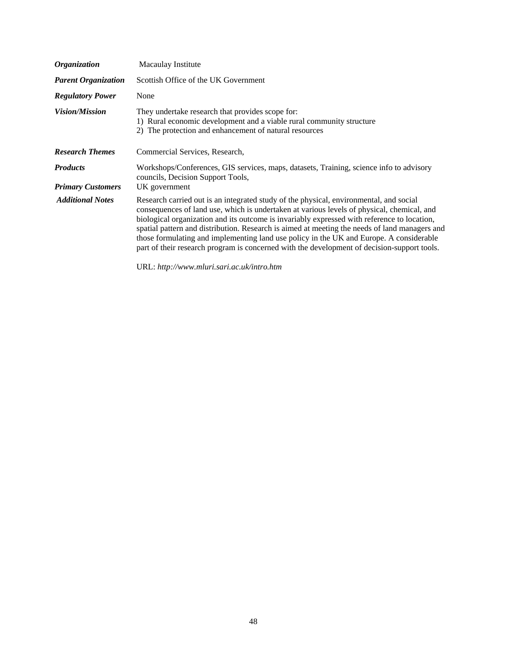| <i><b>Organization</b></i>                  | Macaulay Institute                                                                                                                                                                                                                                                                                                                                                                                                                                                                                                                                                             |
|---------------------------------------------|--------------------------------------------------------------------------------------------------------------------------------------------------------------------------------------------------------------------------------------------------------------------------------------------------------------------------------------------------------------------------------------------------------------------------------------------------------------------------------------------------------------------------------------------------------------------------------|
| <b>Parent Organization</b>                  | Scottish Office of the UK Government                                                                                                                                                                                                                                                                                                                                                                                                                                                                                                                                           |
| <b>Regulatory Power</b>                     | None                                                                                                                                                                                                                                                                                                                                                                                                                                                                                                                                                                           |
| <i>Vision/Mission</i>                       | They undertake research that provides scope for:<br>1) Rural economic development and a viable rural community structure<br>2) The protection and enhancement of natural resources                                                                                                                                                                                                                                                                                                                                                                                             |
| <b>Research Themes</b>                      | Commercial Services, Research,                                                                                                                                                                                                                                                                                                                                                                                                                                                                                                                                                 |
| <b>Products</b><br><b>Primary Customers</b> | Workshops/Conferences, GIS services, maps, datasets, Training, science info to advisory<br>councils, Decision Support Tools,<br>UK government                                                                                                                                                                                                                                                                                                                                                                                                                                  |
| <b>Additional Notes</b>                     | Research carried out is an integrated study of the physical, environmental, and social<br>consequences of land use, which is undertaken at various levels of physical, chemical, and<br>biological organization and its outcome is invariably expressed with reference to location,<br>spatial pattern and distribution. Research is aimed at meeting the needs of land managers and<br>those formulating and implementing land use policy in the UK and Europe. A considerable<br>part of their research program is concerned with the development of decision-support tools. |

URL: *<http://www.mluri.sari.ac.uk/intro.htm>*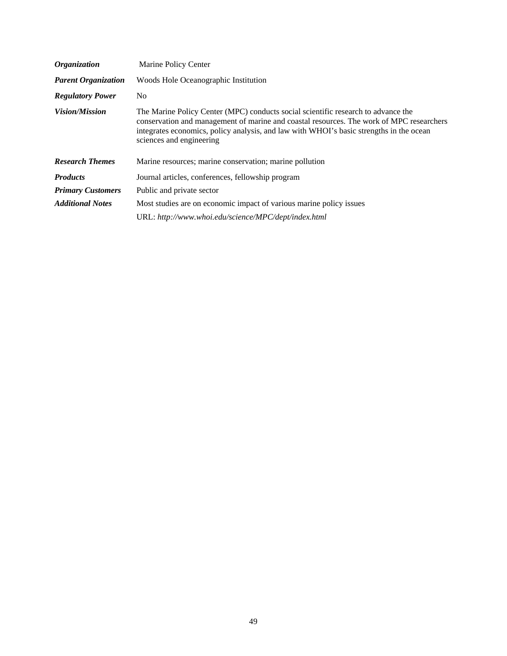| <b>Organization</b>        | Marine Policy Center                                                                                                                                                                                                                                                                                 |
|----------------------------|------------------------------------------------------------------------------------------------------------------------------------------------------------------------------------------------------------------------------------------------------------------------------------------------------|
| <b>Parent Organization</b> | Woods Hole Oceanographic Institution                                                                                                                                                                                                                                                                 |
| <b>Regulatory Power</b>    | N <sub>0</sub>                                                                                                                                                                                                                                                                                       |
| <b>Vision/Mission</b>      | The Marine Policy Center (MPC) conducts social scientific research to advance the<br>conservation and management of marine and coastal resources. The work of MPC researchers<br>integrates economics, policy analysis, and law with WHOI's basic strengths in the ocean<br>sciences and engineering |
| <b>Research Themes</b>     | Marine resources; marine conservation; marine pollution                                                                                                                                                                                                                                              |
| <b>Products</b>            | Journal articles, conferences, fellowship program                                                                                                                                                                                                                                                    |
| <b>Primary Customers</b>   | Public and private sector                                                                                                                                                                                                                                                                            |
| <b>Additional Notes</b>    | Most studies are on economic impact of various marine policy issues                                                                                                                                                                                                                                  |
|                            | URL: http://www.whoi.edu/science/MPC/dept/index.html                                                                                                                                                                                                                                                 |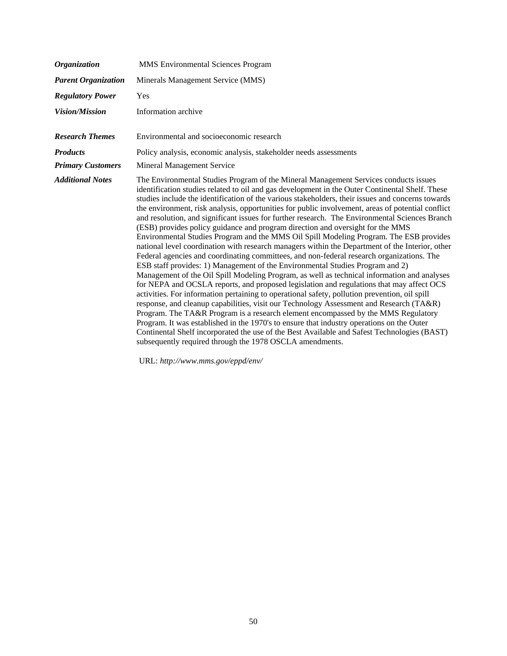| <b>Organization</b>        | <b>MMS</b> Environmental Sciences Program                                                                                                                                                                                                                                                                                                                                                                                                                                                                                                                                                                                                                                                                                                                                                                                                                                                                                                                                                                                                                                                                                                                                                                                                                                                                                                                                                                                                                                                                                                                                                                                                                                                            |
|----------------------------|------------------------------------------------------------------------------------------------------------------------------------------------------------------------------------------------------------------------------------------------------------------------------------------------------------------------------------------------------------------------------------------------------------------------------------------------------------------------------------------------------------------------------------------------------------------------------------------------------------------------------------------------------------------------------------------------------------------------------------------------------------------------------------------------------------------------------------------------------------------------------------------------------------------------------------------------------------------------------------------------------------------------------------------------------------------------------------------------------------------------------------------------------------------------------------------------------------------------------------------------------------------------------------------------------------------------------------------------------------------------------------------------------------------------------------------------------------------------------------------------------------------------------------------------------------------------------------------------------------------------------------------------------------------------------------------------------|
| <b>Parent Organization</b> | Minerals Management Service (MMS)                                                                                                                                                                                                                                                                                                                                                                                                                                                                                                                                                                                                                                                                                                                                                                                                                                                                                                                                                                                                                                                                                                                                                                                                                                                                                                                                                                                                                                                                                                                                                                                                                                                                    |
| <b>Regulatory Power</b>    | Yes                                                                                                                                                                                                                                                                                                                                                                                                                                                                                                                                                                                                                                                                                                                                                                                                                                                                                                                                                                                                                                                                                                                                                                                                                                                                                                                                                                                                                                                                                                                                                                                                                                                                                                  |
| <b>Vision/Mission</b>      | Information archive                                                                                                                                                                                                                                                                                                                                                                                                                                                                                                                                                                                                                                                                                                                                                                                                                                                                                                                                                                                                                                                                                                                                                                                                                                                                                                                                                                                                                                                                                                                                                                                                                                                                                  |
| <b>Research Themes</b>     | Environmental and socioeconomic research                                                                                                                                                                                                                                                                                                                                                                                                                                                                                                                                                                                                                                                                                                                                                                                                                                                                                                                                                                                                                                                                                                                                                                                                                                                                                                                                                                                                                                                                                                                                                                                                                                                             |
| <b>Products</b>            | Policy analysis, economic analysis, stakeholder needs assessments                                                                                                                                                                                                                                                                                                                                                                                                                                                                                                                                                                                                                                                                                                                                                                                                                                                                                                                                                                                                                                                                                                                                                                                                                                                                                                                                                                                                                                                                                                                                                                                                                                    |
| <b>Primary Customers</b>   | Mineral Management Service                                                                                                                                                                                                                                                                                                                                                                                                                                                                                                                                                                                                                                                                                                                                                                                                                                                                                                                                                                                                                                                                                                                                                                                                                                                                                                                                                                                                                                                                                                                                                                                                                                                                           |
| <b>Additional Notes</b>    | The Environmental Studies Program of the Mineral Management Services conducts issues<br>identification studies related to oil and gas development in the Outer Continental Shelf. These<br>studies include the identification of the various stakeholders, their issues and concerns towards<br>the environment, risk analysis, opportunities for public involvement, areas of potential conflict<br>and resolution, and significant issues for further research. The Environmental Sciences Branch<br>(ESB) provides policy guidance and program direction and oversight for the MMS<br>Environmental Studies Program and the MMS Oil Spill Modeling Program. The ESB provides<br>national level coordination with research managers within the Department of the Interior, other<br>Federal agencies and coordinating committees, and non-federal research organizations. The<br>ESB staff provides: 1) Management of the Environmental Studies Program and 2)<br>Management of the Oil Spill Modeling Program, as well as technical information and analyses<br>for NEPA and OCSLA reports, and proposed legislation and regulations that may affect OCS<br>activities. For information pertaining to operational safety, pollution prevention, oil spill<br>response, and cleanup capabilities, visit our Technology Assessment and Research (TA&R)<br>Program. The TA&R Program is a research element encompassed by the MMS Regulatory<br>Program. It was established in the 1970's to ensure that industry operations on the Outer<br>Continental Shelf incorporated the use of the Best Available and Safest Technologies (BAST)<br>subsequently required through the 1978 OSCLA amendments. |

URL: *[http://www.mms.gov/eppd/env/](http://www.mms.gov/eppd/env)*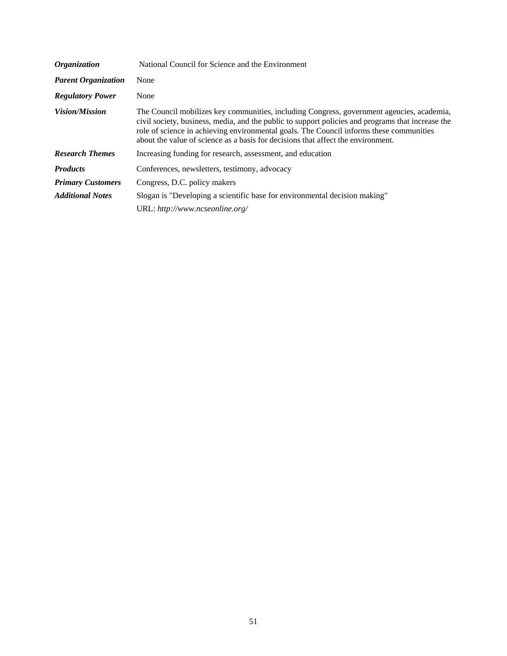| <b>Organization</b>        | National Council for Science and the Environment                                                                                                                                                                                                                                                                                                                              |
|----------------------------|-------------------------------------------------------------------------------------------------------------------------------------------------------------------------------------------------------------------------------------------------------------------------------------------------------------------------------------------------------------------------------|
| <b>Parent Organization</b> | None                                                                                                                                                                                                                                                                                                                                                                          |
| <b>Regulatory Power</b>    | None                                                                                                                                                                                                                                                                                                                                                                          |
| <i>Vision/Mission</i>      | The Council mobilizes key communities, including Congress, government agencies, academia,<br>civil society, business, media, and the public to support policies and programs that increase the<br>role of science in achieving environmental goals. The Council informs these communities<br>about the value of science as a basis for decisions that affect the environment. |
| <b>Research Themes</b>     | Increasing funding for research, assessment, and education                                                                                                                                                                                                                                                                                                                    |
| <b>Products</b>            | Conferences, newsletters, testimony, advocacy                                                                                                                                                                                                                                                                                                                                 |
| <b>Primary Customers</b>   | Congress, D.C. policy makers                                                                                                                                                                                                                                                                                                                                                  |
| <b>Additional Notes</b>    | Slogan is "Developing a scientific base for environmental decision making"                                                                                                                                                                                                                                                                                                    |
|                            | URL: http://www.ncseonline.org/                                                                                                                                                                                                                                                                                                                                               |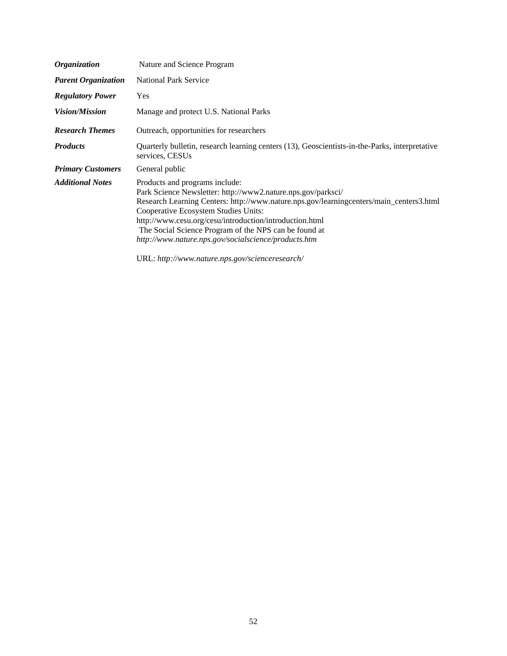| <b>Organization</b>        | Nature and Science Program                                                                                                                                                                                                                                                                                                                                                                                    |
|----------------------------|---------------------------------------------------------------------------------------------------------------------------------------------------------------------------------------------------------------------------------------------------------------------------------------------------------------------------------------------------------------------------------------------------------------|
| <b>Parent Organization</b> | <b>National Park Service</b>                                                                                                                                                                                                                                                                                                                                                                                  |
| <b>Regulatory Power</b>    | Yes                                                                                                                                                                                                                                                                                                                                                                                                           |
| <i>Vision/Mission</i>      | Manage and protect U.S. National Parks                                                                                                                                                                                                                                                                                                                                                                        |
| <b>Research Themes</b>     | Outreach, opportunities for researchers                                                                                                                                                                                                                                                                                                                                                                       |
| <b>Products</b>            | Quarterly bulletin, research learning centers (13), Geoscientists-in-the-Parks, interpretative<br>services, CESUs                                                                                                                                                                                                                                                                                             |
| <b>Primary Customers</b>   | General public                                                                                                                                                                                                                                                                                                                                                                                                |
| <b>Additional Notes</b>    | Products and programs include:<br>Park Science Newsletter: http://www2.nature.nps.gov/parksci/<br>Research Learning Centers: http://www.nature.nps.gov/learningcenters/main_centers3.html<br>Cooperative Ecosystem Studies Units:<br>http://www.cesu.org/cesu/introduction/introduction.html<br>The Social Science Program of the NPS can be found at<br>http://www.nature.nps.gov/socialscience/products.htm |

URL: *[http://www.nature.nps.gov/scienceresearch/](http://www.nature.nps.gov/scienceresearch)*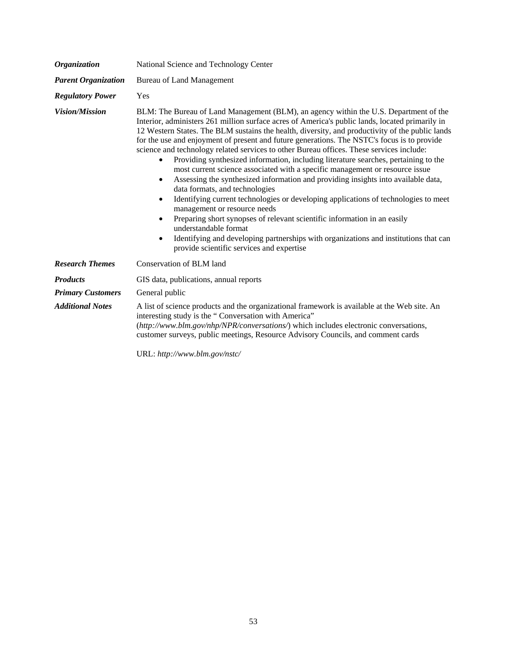| <b>Organization</b>        | National Science and Technology Center                                                                                                                                                                                                                                                                                                                                                                                                                                                                                                                                                                                                                                                                                                                                                                                                                                                                                                                                                                                                                                                                                                                                                                                 |
|----------------------------|------------------------------------------------------------------------------------------------------------------------------------------------------------------------------------------------------------------------------------------------------------------------------------------------------------------------------------------------------------------------------------------------------------------------------------------------------------------------------------------------------------------------------------------------------------------------------------------------------------------------------------------------------------------------------------------------------------------------------------------------------------------------------------------------------------------------------------------------------------------------------------------------------------------------------------------------------------------------------------------------------------------------------------------------------------------------------------------------------------------------------------------------------------------------------------------------------------------------|
| <b>Parent Organization</b> | <b>Bureau of Land Management</b>                                                                                                                                                                                                                                                                                                                                                                                                                                                                                                                                                                                                                                                                                                                                                                                                                                                                                                                                                                                                                                                                                                                                                                                       |
| <b>Regulatory Power</b>    | Yes                                                                                                                                                                                                                                                                                                                                                                                                                                                                                                                                                                                                                                                                                                                                                                                                                                                                                                                                                                                                                                                                                                                                                                                                                    |
| Vision/Mission             | BLM: The Bureau of Land Management (BLM), an agency within the U.S. Department of the<br>Interior, administers 261 million surface acres of America's public lands, located primarily in<br>12 Western States. The BLM sustains the health, diversity, and productivity of the public lands<br>for the use and enjoyment of present and future generations. The NSTC's focus is to provide<br>science and technology related services to other Bureau offices. These services include:<br>Providing synthesized information, including literature searches, pertaining to the<br>$\bullet$<br>most current science associated with a specific management or resource issue<br>Assessing the synthesized information and providing insights into available data,<br>$\bullet$<br>data formats, and technologies<br>Identifying current technologies or developing applications of technologies to meet<br>$\bullet$<br>management or resource needs<br>Preparing short synopses of relevant scientific information in an easily<br>$\bullet$<br>understandable format<br>Identifying and developing partnerships with organizations and institutions that can<br>$\bullet$<br>provide scientific services and expertise |
| <b>Research Themes</b>     | Conservation of BLM land                                                                                                                                                                                                                                                                                                                                                                                                                                                                                                                                                                                                                                                                                                                                                                                                                                                                                                                                                                                                                                                                                                                                                                                               |
| <b>Products</b>            | GIS data, publications, annual reports                                                                                                                                                                                                                                                                                                                                                                                                                                                                                                                                                                                                                                                                                                                                                                                                                                                                                                                                                                                                                                                                                                                                                                                 |
| <b>Primary Customers</b>   | General public                                                                                                                                                                                                                                                                                                                                                                                                                                                                                                                                                                                                                                                                                                                                                                                                                                                                                                                                                                                                                                                                                                                                                                                                         |
| <b>Additional Notes</b>    | A list of science products and the organizational framework is available at the Web site. An<br>interesting study is the "Conversation with America"<br>(http://www.blm.gov/nhp/NPR/conversations/) which includes electronic conversations,<br>customer surveys, public meetings, Resource Advisory Councils, and comment cards<br>$TIDI$ , $l_{i+1}, l_{i+2}, l_{i+3}, l_{i+4}, l_{i+5}, l_{i+6}, l_{i+7}$                                                                                                                                                                                                                                                                                                                                                                                                                                                                                                                                                                                                                                                                                                                                                                                                           |

URL: *[http://www.blm.gov/nstc/](http://www.blm.gov/nstc)*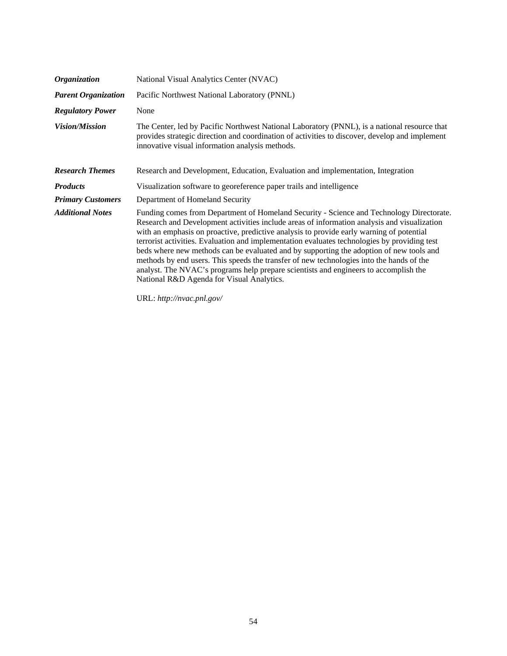| <i><b>Organization</b></i> | National Visual Analytics Center (NVAC)                                                                                                                                                                                                                                                                                                                                                                                                                                                                                                                                                                                                                                                                         |
|----------------------------|-----------------------------------------------------------------------------------------------------------------------------------------------------------------------------------------------------------------------------------------------------------------------------------------------------------------------------------------------------------------------------------------------------------------------------------------------------------------------------------------------------------------------------------------------------------------------------------------------------------------------------------------------------------------------------------------------------------------|
| <b>Parent Organization</b> | Pacific Northwest National Laboratory (PNNL)                                                                                                                                                                                                                                                                                                                                                                                                                                                                                                                                                                                                                                                                    |
| <b>Regulatory Power</b>    | None                                                                                                                                                                                                                                                                                                                                                                                                                                                                                                                                                                                                                                                                                                            |
| <i>Vision/Mission</i>      | The Center, led by Pacific Northwest National Laboratory (PNNL), is a national resource that<br>provides strategic direction and coordination of activities to discover, develop and implement<br>innovative visual information analysis methods.                                                                                                                                                                                                                                                                                                                                                                                                                                                               |
| <b>Research Themes</b>     | Research and Development, Education, Evaluation and implementation, Integration                                                                                                                                                                                                                                                                                                                                                                                                                                                                                                                                                                                                                                 |
| <b>Products</b>            | Visualization software to georeference paper trails and intelligence                                                                                                                                                                                                                                                                                                                                                                                                                                                                                                                                                                                                                                            |
| <b>Primary Customers</b>   | Department of Homeland Security                                                                                                                                                                                                                                                                                                                                                                                                                                                                                                                                                                                                                                                                                 |
| <b>Additional Notes</b>    | Funding comes from Department of Homeland Security - Science and Technology Directorate.<br>Research and Development activities include areas of information analysis and visualization<br>with an emphasis on proactive, predictive analysis to provide early warning of potential<br>terrorist activities. Evaluation and implementation evaluates technologies by providing test<br>beds where new methods can be evaluated and by supporting the adoption of new tools and<br>methods by end users. This speeds the transfer of new technologies into the hands of the<br>analyst. The NVAC's programs help prepare scientists and engineers to accomplish the<br>National R&D Agenda for Visual Analytics. |

URL: *[http://nvac.pnl.gov/](http://nvac.pnl.gov)*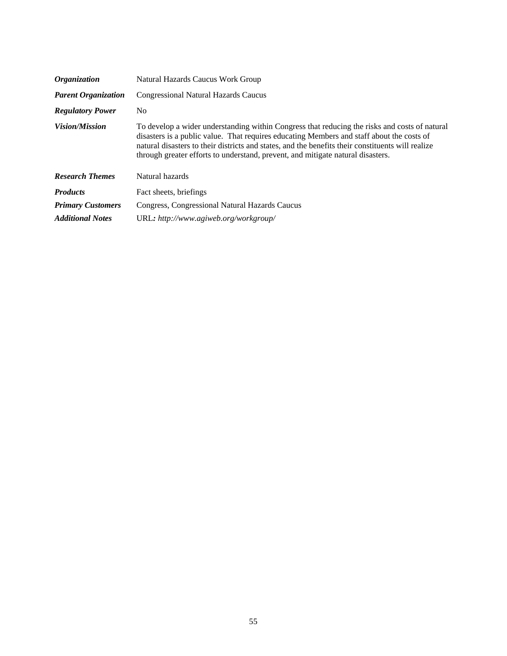| <b>Organization</b>        | Natural Hazards Caucus Work Group                                                                                                                                                                                                                                                                                                                                                  |
|----------------------------|------------------------------------------------------------------------------------------------------------------------------------------------------------------------------------------------------------------------------------------------------------------------------------------------------------------------------------------------------------------------------------|
| <b>Parent Organization</b> | <b>Congressional Natural Hazards Caucus</b>                                                                                                                                                                                                                                                                                                                                        |
| <b>Regulatory Power</b>    | No.                                                                                                                                                                                                                                                                                                                                                                                |
| <b>Vision/Mission</b>      | To develop a wider understanding within Congress that reducing the risks and costs of natural<br>disasters is a public value. That requires educating Members and staff about the costs of<br>natural disasters to their districts and states, and the benefits their constituents will realize<br>through greater efforts to understand, prevent, and mitigate natural disasters. |
| <b>Research Themes</b>     | Natural hazards                                                                                                                                                                                                                                                                                                                                                                    |
| <b>Products</b>            | Fact sheets, briefings                                                                                                                                                                                                                                                                                                                                                             |
| <b>Primary Customers</b>   | Congress, Congressional Natural Hazards Caucus                                                                                                                                                                                                                                                                                                                                     |
| <b>Additional Notes</b>    | URL: http://www.agiweb.org/workgroup/                                                                                                                                                                                                                                                                                                                                              |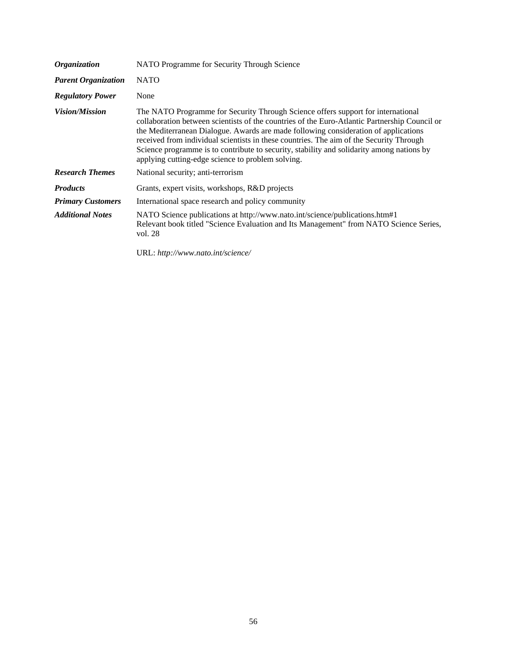| <b>Organization</b>        | NATO Programme for Security Through Science                                                                                                                                                                                                                                                                                                                                                                                                                                                                           |
|----------------------------|-----------------------------------------------------------------------------------------------------------------------------------------------------------------------------------------------------------------------------------------------------------------------------------------------------------------------------------------------------------------------------------------------------------------------------------------------------------------------------------------------------------------------|
| <b>Parent Organization</b> | <b>NATO</b>                                                                                                                                                                                                                                                                                                                                                                                                                                                                                                           |
| <b>Regulatory Power</b>    | None                                                                                                                                                                                                                                                                                                                                                                                                                                                                                                                  |
| <b>Vision/Mission</b>      | The NATO Programme for Security Through Science offers support for international<br>collaboration between scientists of the countries of the Euro-Atlantic Partnership Council or<br>the Mediterranean Dialogue. Awards are made following consideration of applications<br>received from individual scientists in these countries. The aim of the Security Through<br>Science programme is to contribute to security, stability and solidarity among nations by<br>applying cutting-edge science to problem solving. |
| <b>Research Themes</b>     | National security; anti-terrorism                                                                                                                                                                                                                                                                                                                                                                                                                                                                                     |
| <b>Products</b>            | Grants, expert visits, workshops, R&D projects                                                                                                                                                                                                                                                                                                                                                                                                                                                                        |
| <b>Primary Customers</b>   | International space research and policy community                                                                                                                                                                                                                                                                                                                                                                                                                                                                     |
| <b>Additional Notes</b>    | NATO Science publications at http://www.nato.int/science/publications.htm#1<br>Relevant book titled "Science Evaluation and Its Management" from NATO Science Series,<br>vol. 28                                                                                                                                                                                                                                                                                                                                      |

URL: *[http://www.nato.int/science/](http://www.nato.int/science)*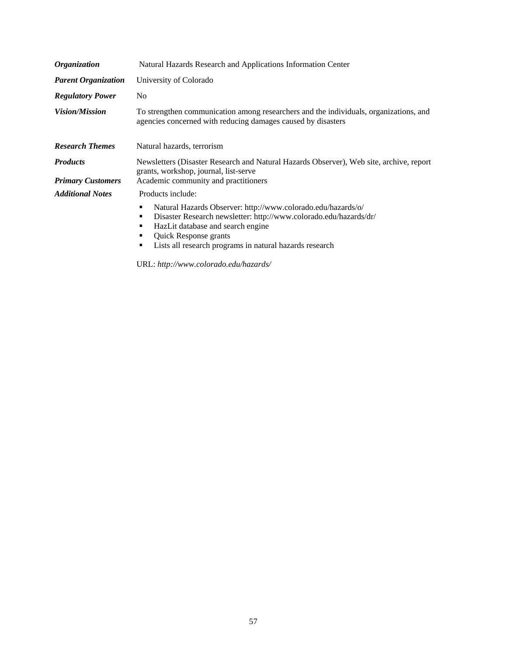| <i><b>Organization</b></i>                          | Natural Hazards Research and Applications Information Center                                                                                                                                                                                                                |
|-----------------------------------------------------|-----------------------------------------------------------------------------------------------------------------------------------------------------------------------------------------------------------------------------------------------------------------------------|
| <b>Parent Organization</b>                          | University of Colorado                                                                                                                                                                                                                                                      |
| <b>Regulatory Power</b>                             | N <sub>0</sub>                                                                                                                                                                                                                                                              |
| <i>Vision/Mission</i>                               | To strengthen communication among researchers and the individuals, organizations, and<br>agencies concerned with reducing damages caused by disasters                                                                                                                       |
| <b>Research Themes</b>                              | Natural hazards, terrorism                                                                                                                                                                                                                                                  |
| <b>Products</b>                                     | Newsletters (Disaster Research and Natural Hazards Observer), Web site, archive, report<br>grants, workshop, journal, list-serve                                                                                                                                            |
| <b>Primary Customers</b><br><b>Additional Notes</b> | Academic community and practitioners<br>Products include:                                                                                                                                                                                                                   |
|                                                     | Natural Hazards Observer: http://www.colorado.edu/hazards/o/<br>٠<br>Disaster Research newsletter: http://www.colorado.edu/hazards/dr/<br>HazLit database and search engine<br><b>Quick Response grants</b><br>Lists all research programs in natural hazards research<br>٠ |

URL: *[http://www.colorado.edu/hazards/](http://www.colorado.edu/hazards)*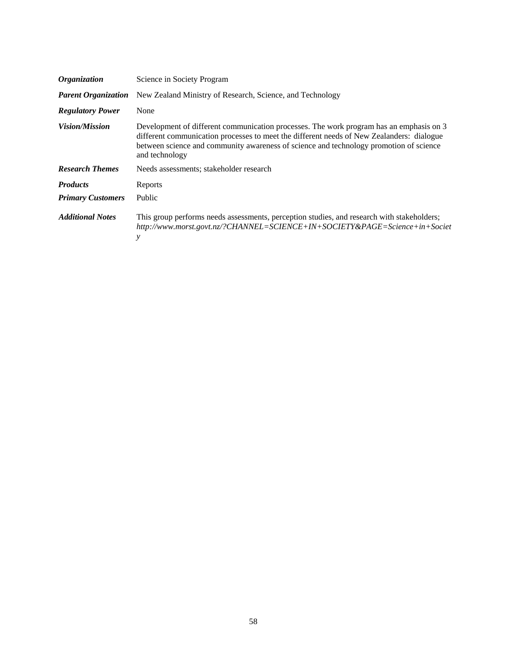| <b>Organization</b>        | Science in Society Program                                                                                                                                                                                                                                                                       |
|----------------------------|--------------------------------------------------------------------------------------------------------------------------------------------------------------------------------------------------------------------------------------------------------------------------------------------------|
| <b>Parent Organization</b> | New Zealand Ministry of Research, Science, and Technology                                                                                                                                                                                                                                        |
| <b>Regulatory Power</b>    | None                                                                                                                                                                                                                                                                                             |
| <i>Vision/Mission</i>      | Development of different communication processes. The work program has an emphasis on 3<br>different communication processes to meet the different needs of New Zealanders: dialogue<br>between science and community awareness of science and technology promotion of science<br>and technology |
| <b>Research Themes</b>     | Needs assessments; stakeholder research                                                                                                                                                                                                                                                          |
| <b>Products</b>            | Reports                                                                                                                                                                                                                                                                                          |
| <b>Primary Customers</b>   | Public                                                                                                                                                                                                                                                                                           |
| <b>Additional Notes</b>    | This group performs needs assessments, perception studies, and research with stakeholders;<br>http://www.morst.govt.nz/?CHANNEL=SCIENCE+IN+SOCIETY&PAGE=Science+in+Societ<br>y                                                                                                                   |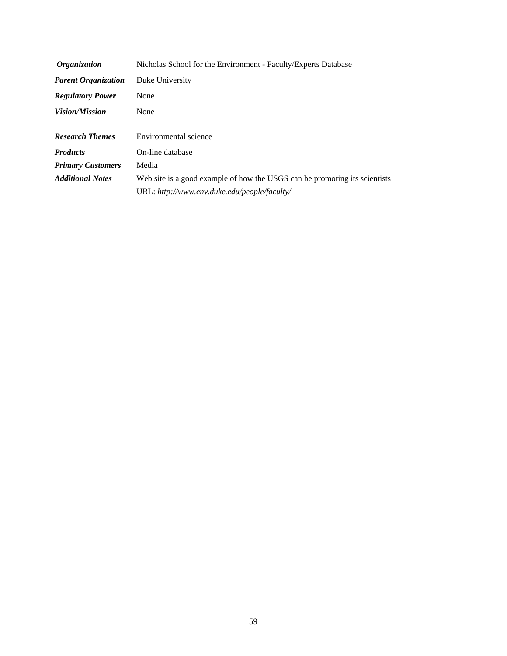| <i><b>Organization</b></i> | Nicholas School for the Environment - Faculty/Experts Database             |
|----------------------------|----------------------------------------------------------------------------|
| <b>Parent Organization</b> | Duke University                                                            |
| <b>Regulatory Power</b>    | None                                                                       |
| <i>Vision/Mission</i>      | None                                                                       |
| <b>Research Themes</b>     | Environmental science                                                      |
| <b>Products</b>            | On-line database                                                           |
| <b>Primary Customers</b>   | Media                                                                      |
| <b>Additional Notes</b>    | Web site is a good example of how the USGS can be promoting its scientists |
|                            | URL: http://www.env.duke.edu/people/faculty/                               |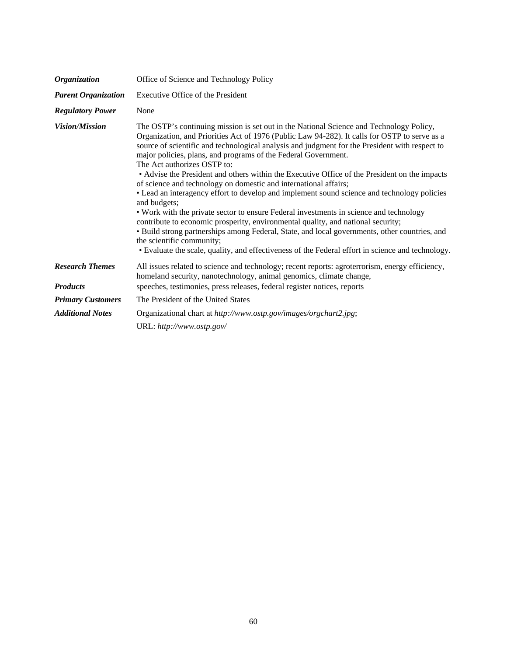| Organization               | Office of Science and Technology Policy                                                                                                                                                                                                                                                                                                                                                                                                                                                                                                                                                                                                                                                                                                                                                                                                                                                                                                                                                                                                                                                          |
|----------------------------|--------------------------------------------------------------------------------------------------------------------------------------------------------------------------------------------------------------------------------------------------------------------------------------------------------------------------------------------------------------------------------------------------------------------------------------------------------------------------------------------------------------------------------------------------------------------------------------------------------------------------------------------------------------------------------------------------------------------------------------------------------------------------------------------------------------------------------------------------------------------------------------------------------------------------------------------------------------------------------------------------------------------------------------------------------------------------------------------------|
| <b>Parent Organization</b> | Executive Office of the President                                                                                                                                                                                                                                                                                                                                                                                                                                                                                                                                                                                                                                                                                                                                                                                                                                                                                                                                                                                                                                                                |
| <b>Regulatory Power</b>    | None                                                                                                                                                                                                                                                                                                                                                                                                                                                                                                                                                                                                                                                                                                                                                                                                                                                                                                                                                                                                                                                                                             |
| <b>Vision/Mission</b>      | The OSTP's continuing mission is set out in the National Science and Technology Policy,<br>Organization, and Priorities Act of 1976 (Public Law 94-282). It calls for OSTP to serve as a<br>source of scientific and technological analysis and judgment for the President with respect to<br>major policies, plans, and programs of the Federal Government.<br>The Act authorizes OSTP to:<br>• Advise the President and others within the Executive Office of the President on the impacts<br>of science and technology on domestic and international affairs;<br>• Lead an interagency effort to develop and implement sound science and technology policies<br>and budgets;<br>• Work with the private sector to ensure Federal investments in science and technology<br>contribute to economic prosperity, environmental quality, and national security;<br>• Build strong partnerships among Federal, State, and local governments, other countries, and<br>the scientific community;<br>• Evaluate the scale, quality, and effectiveness of the Federal effort in science and technology. |
| <b>Research Themes</b>     | All issues related to science and technology; recent reports: agroterrorism, energy efficiency,<br>homeland security, nanotechnology, animal genomics, climate change,                                                                                                                                                                                                                                                                                                                                                                                                                                                                                                                                                                                                                                                                                                                                                                                                                                                                                                                           |
| <b>Products</b>            | speeches, testimonies, press releases, federal register notices, reports                                                                                                                                                                                                                                                                                                                                                                                                                                                                                                                                                                                                                                                                                                                                                                                                                                                                                                                                                                                                                         |
| <b>Primary Customers</b>   | The President of the United States                                                                                                                                                                                                                                                                                                                                                                                                                                                                                                                                                                                                                                                                                                                                                                                                                                                                                                                                                                                                                                                               |
| <b>Additional Notes</b>    | Organizational chart at http://www.ostp.gov/images/orgchart2.jpg;                                                                                                                                                                                                                                                                                                                                                                                                                                                                                                                                                                                                                                                                                                                                                                                                                                                                                                                                                                                                                                |
|                            | URL: http://www.ostp.gov/                                                                                                                                                                                                                                                                                                                                                                                                                                                                                                                                                                                                                                                                                                                                                                                                                                                                                                                                                                                                                                                                        |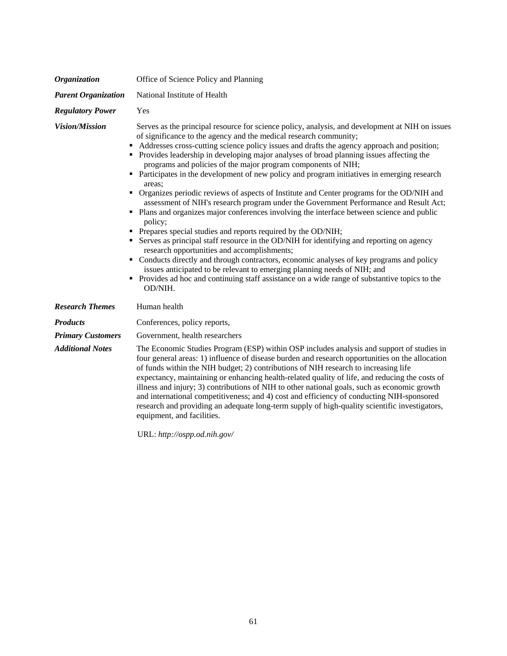| <b>Organization</b>        | Office of Science Policy and Planning                                                                                                                                                                                                                                                                                                                                                                                                                                                                                                                                                                                                                                                                                                                                                                                                                                                                                                                                                                                                                                                                                                                                                                                                                                                                                                            |
|----------------------------|--------------------------------------------------------------------------------------------------------------------------------------------------------------------------------------------------------------------------------------------------------------------------------------------------------------------------------------------------------------------------------------------------------------------------------------------------------------------------------------------------------------------------------------------------------------------------------------------------------------------------------------------------------------------------------------------------------------------------------------------------------------------------------------------------------------------------------------------------------------------------------------------------------------------------------------------------------------------------------------------------------------------------------------------------------------------------------------------------------------------------------------------------------------------------------------------------------------------------------------------------------------------------------------------------------------------------------------------------|
| <b>Parent Organization</b> | National Institute of Health                                                                                                                                                                                                                                                                                                                                                                                                                                                                                                                                                                                                                                                                                                                                                                                                                                                                                                                                                                                                                                                                                                                                                                                                                                                                                                                     |
| <b>Regulatory Power</b>    | Yes                                                                                                                                                                                                                                                                                                                                                                                                                                                                                                                                                                                                                                                                                                                                                                                                                                                                                                                                                                                                                                                                                                                                                                                                                                                                                                                                              |
| <b>Vision/Mission</b>      | Serves as the principal resource for science policy, analysis, and development at NIH on issues<br>of significance to the agency and the medical research community;<br>Addresses cross-cutting science policy issues and drafts the agency approach and position;<br>• Provides leadership in developing major analyses of broad planning issues affecting the<br>programs and policies of the major program components of NIH;<br>• Participates in the development of new policy and program initiatives in emerging research<br>areas:<br>• Organizes periodic reviews of aspects of Institute and Center programs for the OD/NIH and<br>assessment of NIH's research program under the Government Performance and Result Act;<br>• Plans and organizes major conferences involving the interface between science and public<br>policy;<br>• Prepares special studies and reports required by the OD/NIH;<br>• Serves as principal staff resource in the OD/NIH for identifying and reporting on agency<br>research opportunities and accomplishments;<br>• Conducts directly and through contractors, economic analyses of key programs and policy<br>issues anticipated to be relevant to emerging planning needs of NIH; and<br>• Provides ad hoc and continuing staff assistance on a wide range of substantive topics to the<br>OD/NIH. |
| <b>Research Themes</b>     | Human health                                                                                                                                                                                                                                                                                                                                                                                                                                                                                                                                                                                                                                                                                                                                                                                                                                                                                                                                                                                                                                                                                                                                                                                                                                                                                                                                     |
| <b>Products</b>            | Conferences, policy reports,                                                                                                                                                                                                                                                                                                                                                                                                                                                                                                                                                                                                                                                                                                                                                                                                                                                                                                                                                                                                                                                                                                                                                                                                                                                                                                                     |
| <b>Primary Customers</b>   | Government, health researchers                                                                                                                                                                                                                                                                                                                                                                                                                                                                                                                                                                                                                                                                                                                                                                                                                                                                                                                                                                                                                                                                                                                                                                                                                                                                                                                   |
| <b>Additional Notes</b>    | The Economic Studies Program (ESP) within OSP includes analysis and support of studies in<br>four general areas: 1) influence of disease burden and research opportunities on the allocation<br>of funds within the NIH budget; 2) contributions of NIH research to increasing life<br>expectancy, maintaining or enhancing health-related quality of life, and reducing the costs of<br>illness and injury; 3) contributions of NIH to other national goals, such as economic growth<br>and international competitiveness; and 4) cost and efficiency of conducting NIH-sponsored<br>research and providing an adequate long-term supply of high-quality scientific investigators,<br>equipment, and facilities.                                                                                                                                                                                                                                                                                                                                                                                                                                                                                                                                                                                                                                |

URL: *[http://ospp.od.nih.gov/](http://ospp.od.nih.gov)*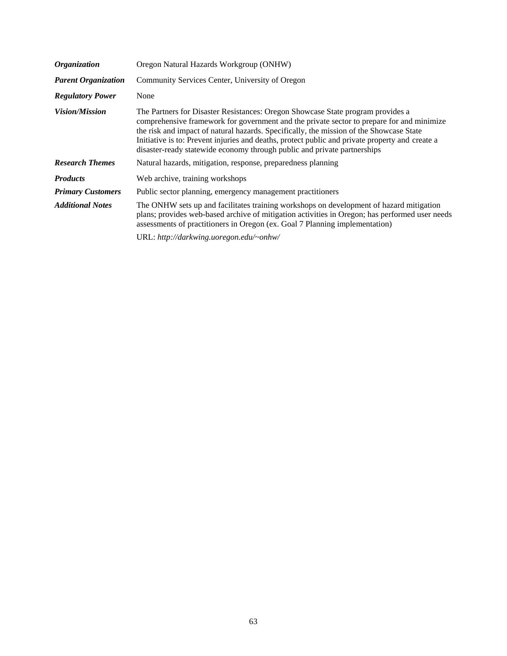| <b>Organization</b>        | Oregon Natural Hazards Workgroup (ONHW)                                                                                                                                                                                                                                                                                                                                                                                                                |
|----------------------------|--------------------------------------------------------------------------------------------------------------------------------------------------------------------------------------------------------------------------------------------------------------------------------------------------------------------------------------------------------------------------------------------------------------------------------------------------------|
| <b>Parent Organization</b> | Community Services Center, University of Oregon                                                                                                                                                                                                                                                                                                                                                                                                        |
| <b>Regulatory Power</b>    | None                                                                                                                                                                                                                                                                                                                                                                                                                                                   |
| <i>Vision/Mission</i>      | The Partners for Disaster Resistances: Oregon Showcase State program provides a<br>comprehensive framework for government and the private sector to prepare for and minimize<br>the risk and impact of natural hazards. Specifically, the mission of the Showcase State<br>Initiative is to: Prevent injuries and deaths, protect public and private property and create a<br>disaster-ready statewide economy through public and private partnerships |
| <b>Research Themes</b>     | Natural hazards, mitigation, response, preparedness planning                                                                                                                                                                                                                                                                                                                                                                                           |
| <b>Products</b>            | Web archive, training workshops                                                                                                                                                                                                                                                                                                                                                                                                                        |
| <b>Primary Customers</b>   | Public sector planning, emergency management practitioners                                                                                                                                                                                                                                                                                                                                                                                             |
| <b>Additional Notes</b>    | The ONHW sets up and facilitates training workshops on development of hazard mitigation<br>plans; provides web-based archive of mitigation activities in Oregon; has performed user needs<br>assessments of practitioners in Oregon (ex. Goal 7 Planning implementation)                                                                                                                                                                               |
|                            | URL: http://darkwing.uoregon.edu/~onhw/                                                                                                                                                                                                                                                                                                                                                                                                                |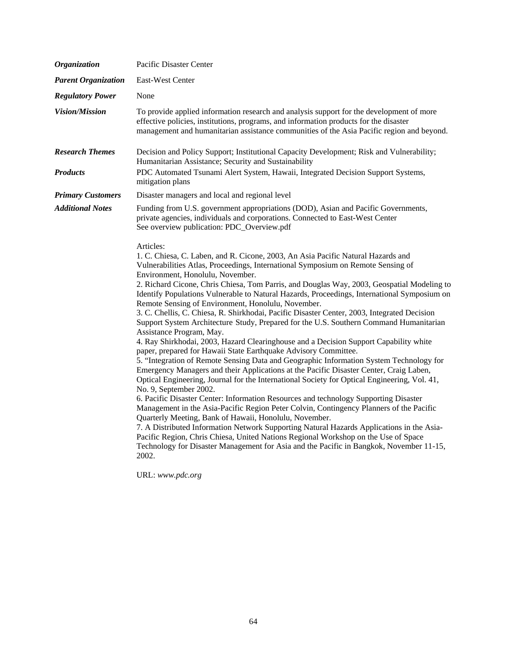| <b>Organization</b>        | Pacific Disaster Center                                                                                                                                                                                                                                                                                                                                                                                                                                                                                                                                                                                                                                                                                                                                                                                                                                                                                                                                                                                                                                                                                                                                                                                                                                                                                                                                                                                                                                                                                                                                                                                                                                                                                                          |
|----------------------------|----------------------------------------------------------------------------------------------------------------------------------------------------------------------------------------------------------------------------------------------------------------------------------------------------------------------------------------------------------------------------------------------------------------------------------------------------------------------------------------------------------------------------------------------------------------------------------------------------------------------------------------------------------------------------------------------------------------------------------------------------------------------------------------------------------------------------------------------------------------------------------------------------------------------------------------------------------------------------------------------------------------------------------------------------------------------------------------------------------------------------------------------------------------------------------------------------------------------------------------------------------------------------------------------------------------------------------------------------------------------------------------------------------------------------------------------------------------------------------------------------------------------------------------------------------------------------------------------------------------------------------------------------------------------------------------------------------------------------------|
| <b>Parent Organization</b> | East-West Center                                                                                                                                                                                                                                                                                                                                                                                                                                                                                                                                                                                                                                                                                                                                                                                                                                                                                                                                                                                                                                                                                                                                                                                                                                                                                                                                                                                                                                                                                                                                                                                                                                                                                                                 |
| <b>Regulatory Power</b>    | None                                                                                                                                                                                                                                                                                                                                                                                                                                                                                                                                                                                                                                                                                                                                                                                                                                                                                                                                                                                                                                                                                                                                                                                                                                                                                                                                                                                                                                                                                                                                                                                                                                                                                                                             |
| <b>Vision/Mission</b>      | To provide applied information research and analysis support for the development of more<br>effective policies, institutions, programs, and information products for the disaster<br>management and humanitarian assistance communities of the Asia Pacific region and beyond.                                                                                                                                                                                                                                                                                                                                                                                                                                                                                                                                                                                                                                                                                                                                                                                                                                                                                                                                                                                                                                                                                                                                                                                                                                                                                                                                                                                                                                                   |
| <b>Research Themes</b>     | Decision and Policy Support; Institutional Capacity Development; Risk and Vulnerability;<br>Humanitarian Assistance; Security and Sustainability                                                                                                                                                                                                                                                                                                                                                                                                                                                                                                                                                                                                                                                                                                                                                                                                                                                                                                                                                                                                                                                                                                                                                                                                                                                                                                                                                                                                                                                                                                                                                                                 |
| <b>Products</b>            | PDC Automated Tsunami Alert System, Hawaii, Integrated Decision Support Systems,<br>mitigation plans                                                                                                                                                                                                                                                                                                                                                                                                                                                                                                                                                                                                                                                                                                                                                                                                                                                                                                                                                                                                                                                                                                                                                                                                                                                                                                                                                                                                                                                                                                                                                                                                                             |
| <b>Primary Customers</b>   | Disaster managers and local and regional level                                                                                                                                                                                                                                                                                                                                                                                                                                                                                                                                                                                                                                                                                                                                                                                                                                                                                                                                                                                                                                                                                                                                                                                                                                                                                                                                                                                                                                                                                                                                                                                                                                                                                   |
| <b>Additional Notes</b>    | Funding from U.S. government appropriations (DOD), Asian and Pacific Governments,<br>private agencies, individuals and corporations. Connected to East-West Center<br>See overview publication: PDC_Overview.pdf                                                                                                                                                                                                                                                                                                                                                                                                                                                                                                                                                                                                                                                                                                                                                                                                                                                                                                                                                                                                                                                                                                                                                                                                                                                                                                                                                                                                                                                                                                                 |
|                            | Articles:<br>1. C. Chiesa, C. Laben, and R. Cicone, 2003, An Asia Pacific Natural Hazards and<br>Vulnerabilities Atlas, Proceedings, International Symposium on Remote Sensing of<br>Environment, Honolulu, November.<br>2. Richard Cicone, Chris Chiesa, Tom Parris, and Douglas Way, 2003, Geospatial Modeling to<br>Identify Populations Vulnerable to Natural Hazards, Proceedings, International Symposium on<br>Remote Sensing of Environment, Honolulu, November.<br>3. C. Chellis, C. Chiesa, R. Shirkhodai, Pacific Disaster Center, 2003, Integrated Decision<br>Support System Architecture Study, Prepared for the U.S. Southern Command Humanitarian<br>Assistance Program, May.<br>4. Ray Shirkhodai, 2003, Hazard Clearinghouse and a Decision Support Capability white<br>paper, prepared for Hawaii State Earthquake Advisory Committee.<br>5. "Integration of Remote Sensing Data and Geographic Information System Technology for<br>Emergency Managers and their Applications at the Pacific Disaster Center, Craig Laben,<br>Optical Engineering, Journal for the International Society for Optical Engineering, Vol. 41,<br>No. 9, September 2002.<br>6. Pacific Disaster Center: Information Resources and technology Supporting Disaster<br>Management in the Asia-Pacific Region Peter Colvin, Contingency Planners of the Pacific<br>Quarterly Meeting, Bank of Hawaii, Honolulu, November.<br>7. A Distributed Information Network Supporting Natural Hazards Applications in the Asia-<br>Pacific Region, Chris Chiesa, United Nations Regional Workshop on the Use of Space<br>Technology for Disaster Management for Asia and the Pacific in Bangkok, November 11-15,<br>2002.<br>URL: www.pdc.org |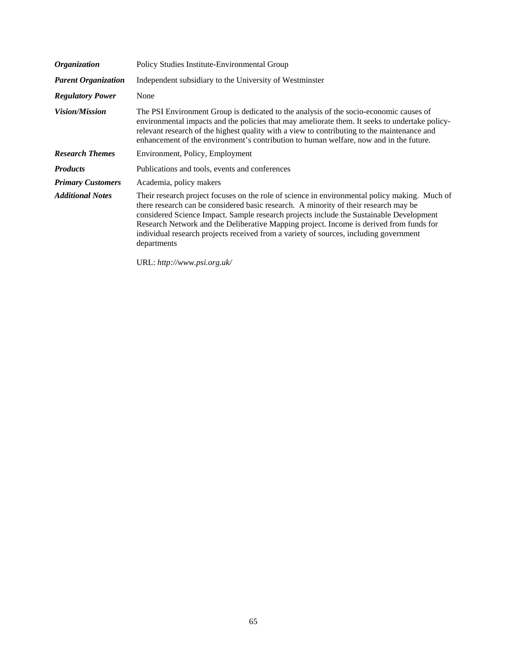| <b>Organization</b>        | Policy Studies Institute-Environmental Group                                                                                                                                                                                                                                                                                                                                                                                                                                        |
|----------------------------|-------------------------------------------------------------------------------------------------------------------------------------------------------------------------------------------------------------------------------------------------------------------------------------------------------------------------------------------------------------------------------------------------------------------------------------------------------------------------------------|
| <b>Parent Organization</b> | Independent subsidiary to the University of Westminster                                                                                                                                                                                                                                                                                                                                                                                                                             |
| <b>Regulatory Power</b>    | None                                                                                                                                                                                                                                                                                                                                                                                                                                                                                |
| <i>Vision/Mission</i>      | The PSI Environment Group is dedicated to the analysis of the socio-economic causes of<br>environmental impacts and the policies that may ameliorate them. It seeks to undertake policy-<br>relevant research of the highest quality with a view to contributing to the maintenance and<br>enhancement of the environment's contribution to human welfare, now and in the future.                                                                                                   |
| <b>Research Themes</b>     | Environment, Policy, Employment                                                                                                                                                                                                                                                                                                                                                                                                                                                     |
| <b>Products</b>            | Publications and tools, events and conferences                                                                                                                                                                                                                                                                                                                                                                                                                                      |
| <b>Primary Customers</b>   | Academia, policy makers                                                                                                                                                                                                                                                                                                                                                                                                                                                             |
| <b>Additional Notes</b>    | Their research project focuses on the role of science in environmental policy making. Much of<br>there research can be considered basic research. A minority of their research may be<br>considered Science Impact. Sample research projects include the Sustainable Development<br>Research Network and the Deliberative Mapping project. Income is derived from funds for<br>individual research projects received from a variety of sources, including government<br>departments |

URL: *[http://www.psi.org.uk/](http://www.psi.org.uk)*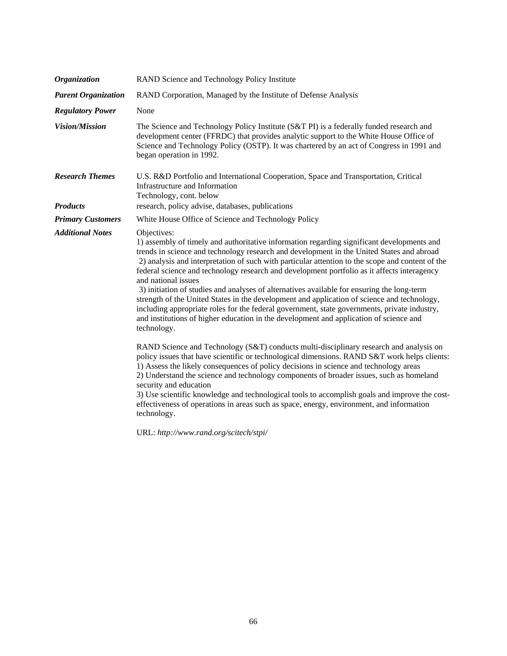| <b>Organization</b>        | RAND Science and Technology Policy Institute                                                                                                                                                                                                                                                                                                                                                                                                                                                                                                                                                                                                                                                                                                                                                                                           |
|----------------------------|----------------------------------------------------------------------------------------------------------------------------------------------------------------------------------------------------------------------------------------------------------------------------------------------------------------------------------------------------------------------------------------------------------------------------------------------------------------------------------------------------------------------------------------------------------------------------------------------------------------------------------------------------------------------------------------------------------------------------------------------------------------------------------------------------------------------------------------|
| <b>Parent Organization</b> | RAND Corporation, Managed by the Institute of Defense Analysis                                                                                                                                                                                                                                                                                                                                                                                                                                                                                                                                                                                                                                                                                                                                                                         |
| <b>Regulatory Power</b>    | None                                                                                                                                                                                                                                                                                                                                                                                                                                                                                                                                                                                                                                                                                                                                                                                                                                   |
| <b>Vision/Mission</b>      | The Science and Technology Policy Institute (S&T PI) is a federally funded research and<br>development center (FFRDC) that provides analytic support to the White House Office of<br>Science and Technology Policy (OSTP). It was chartered by an act of Congress in 1991 and<br>began operation in 1992.                                                                                                                                                                                                                                                                                                                                                                                                                                                                                                                              |
| <b>Research Themes</b>     | U.S. R&D Portfolio and International Cooperation, Space and Transportation, Critical<br>Infrastructure and Information<br>Technology, cont. below                                                                                                                                                                                                                                                                                                                                                                                                                                                                                                                                                                                                                                                                                      |
| <b>Products</b>            | research, policy advise, databases, publications                                                                                                                                                                                                                                                                                                                                                                                                                                                                                                                                                                                                                                                                                                                                                                                       |
| <b>Primary Customers</b>   | White House Office of Science and Technology Policy                                                                                                                                                                                                                                                                                                                                                                                                                                                                                                                                                                                                                                                                                                                                                                                    |
| <b>Additional Notes</b>    | Objectives:<br>1) assembly of timely and authoritative information regarding significant developments and<br>trends in science and technology research and development in the United States and abroad<br>2) analysis and interpretation of such with particular attention to the scope and content of the<br>federal science and technology research and development portfolio as it affects interagency<br>and national issues<br>3) initiation of studies and analyses of alternatives available for ensuring the long-term<br>strength of the United States in the development and application of science and technology,<br>including appropriate roles for the federal government, state governments, private industry,<br>and institutions of higher education in the development and application of science and<br>technology. |
|                            | RAND Science and Technology (S&T) conducts multi-disciplinary research and analysis on<br>policy issues that have scientific or technological dimensions. RAND S&T work helps clients:<br>1) Assess the likely consequences of policy decisions in science and technology areas<br>2) Understand the science and technology components of broader issues, such as homeland<br>security and education<br>3) Use scientific knowledge and technological tools to accomplish goals and improve the cost-<br>effectiveness of operations in areas such as space, energy, environment, and information<br>technology.                                                                                                                                                                                                                       |
|                            |                                                                                                                                                                                                                                                                                                                                                                                                                                                                                                                                                                                                                                                                                                                                                                                                                                        |

URL: *[http://www.rand.org/scitech/stpi/](http://www.rand.org/scitech/stpi)*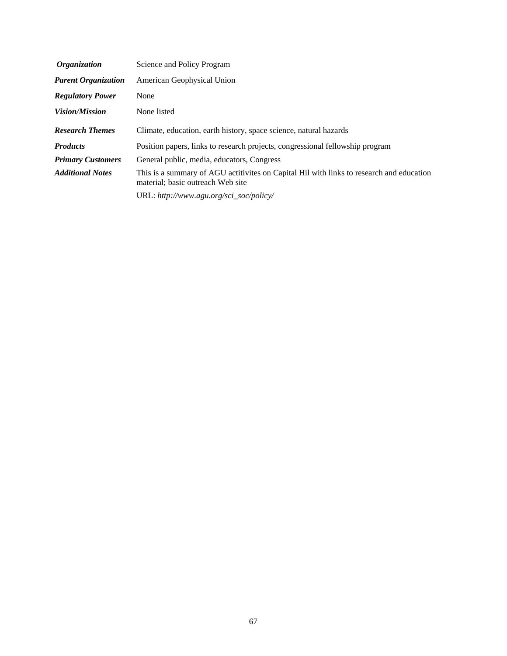| <i><b>Organization</b></i> | Science and Policy Program                                                                                                    |
|----------------------------|-------------------------------------------------------------------------------------------------------------------------------|
| <b>Parent Organization</b> | American Geophysical Union                                                                                                    |
| <b>Regulatory Power</b>    | None                                                                                                                          |
| <i>Vision/Mission</i>      | None listed                                                                                                                   |
| <b>Research Themes</b>     | Climate, education, earth history, space science, natural hazards                                                             |
| <b>Products</b>            | Position papers, links to research projects, congressional fellowship program                                                 |
| <b>Primary Customers</b>   | General public, media, educators, Congress                                                                                    |
| <b>Additional Notes</b>    | This is a summary of AGU actitivites on Capital Hil with links to research and education<br>material; basic outreach Web site |
|                            | URL: http://www.agu.org/sci_soc/policy/                                                                                       |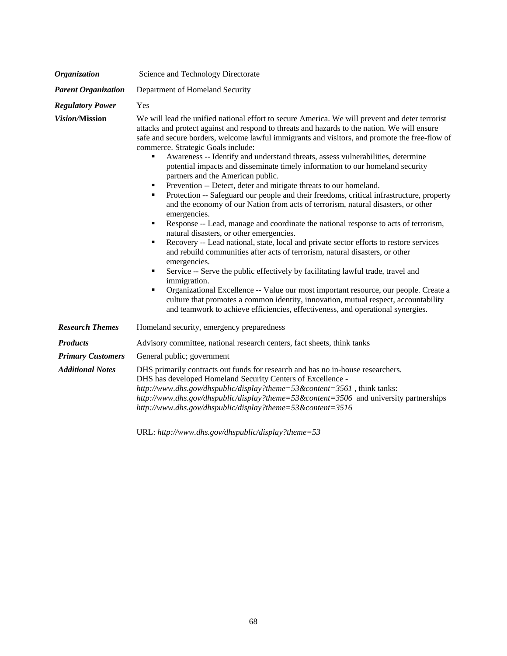| <b>Organization</b>        | Science and Technology Directorate                                                                                                                                                                                                                                                                                                                                                                                                                                                                                                                                                                                                                                                                                                                                                                                                                                                                                                                                                                                                                                                                                                                                                                                                                                                                                                                                                                                                                                                                                                                          |
|----------------------------|-------------------------------------------------------------------------------------------------------------------------------------------------------------------------------------------------------------------------------------------------------------------------------------------------------------------------------------------------------------------------------------------------------------------------------------------------------------------------------------------------------------------------------------------------------------------------------------------------------------------------------------------------------------------------------------------------------------------------------------------------------------------------------------------------------------------------------------------------------------------------------------------------------------------------------------------------------------------------------------------------------------------------------------------------------------------------------------------------------------------------------------------------------------------------------------------------------------------------------------------------------------------------------------------------------------------------------------------------------------------------------------------------------------------------------------------------------------------------------------------------------------------------------------------------------------|
| <b>Parent Organization</b> | Department of Homeland Security                                                                                                                                                                                                                                                                                                                                                                                                                                                                                                                                                                                                                                                                                                                                                                                                                                                                                                                                                                                                                                                                                                                                                                                                                                                                                                                                                                                                                                                                                                                             |
| <b>Regulatory Power</b>    | Yes                                                                                                                                                                                                                                                                                                                                                                                                                                                                                                                                                                                                                                                                                                                                                                                                                                                                                                                                                                                                                                                                                                                                                                                                                                                                                                                                                                                                                                                                                                                                                         |
| Vision/Mission             | We will lead the unified national effort to secure America. We will prevent and deter terrorist<br>attacks and protect against and respond to threats and hazards to the nation. We will ensure<br>safe and secure borders, welcome lawful immigrants and visitors, and promote the free-flow of<br>commerce. Strategic Goals include:<br>Awareness -- Identify and understand threats, assess vulnerabilities, determine<br>Ξ<br>potential impacts and disseminate timely information to our homeland security<br>partners and the American public.<br>Prevention -- Detect, deter and mitigate threats to our homeland.<br>٠<br>Protection -- Safeguard our people and their freedoms, critical infrastructure, property<br>٠<br>and the economy of our Nation from acts of terrorism, natural disasters, or other<br>emergencies.<br>Response -- Lead, manage and coordinate the national response to acts of terrorism,<br>٠<br>natural disasters, or other emergencies.<br>Recovery -- Lead national, state, local and private sector efforts to restore services<br>٠<br>and rebuild communities after acts of terrorism, natural disasters, or other<br>emergencies.<br>Service -- Serve the public effectively by facilitating lawful trade, travel and<br>٠<br>immigration.<br>Organizational Excellence -- Value our most important resource, our people. Create a<br>٠<br>culture that promotes a common identity, innovation, mutual respect, accountability<br>and teamwork to achieve efficiencies, effectiveness, and operational synergies. |
| <b>Research Themes</b>     | Homeland security, emergency preparedness                                                                                                                                                                                                                                                                                                                                                                                                                                                                                                                                                                                                                                                                                                                                                                                                                                                                                                                                                                                                                                                                                                                                                                                                                                                                                                                                                                                                                                                                                                                   |
| <b>Products</b>            | Advisory committee, national research centers, fact sheets, think tanks                                                                                                                                                                                                                                                                                                                                                                                                                                                                                                                                                                                                                                                                                                                                                                                                                                                                                                                                                                                                                                                                                                                                                                                                                                                                                                                                                                                                                                                                                     |
| <b>Primary Customers</b>   | General public; government                                                                                                                                                                                                                                                                                                                                                                                                                                                                                                                                                                                                                                                                                                                                                                                                                                                                                                                                                                                                                                                                                                                                                                                                                                                                                                                                                                                                                                                                                                                                  |
| <b>Additional Notes</b>    | DHS primarily contracts out funds for research and has no in-house researchers.<br>DHS has developed Homeland Security Centers of Excellence -<br>http://www.dhs.gov/dhspublic/display?theme=53&content=3561, think tanks:<br>http://www.dhs.gov/dhspublic/display?theme=53&content=3506 and university partnerships<br>http://www.dhs.gov/dhspublic/display?theme=53&content=3516                                                                                                                                                                                                                                                                                                                                                                                                                                                                                                                                                                                                                                                                                                                                                                                                                                                                                                                                                                                                                                                                                                                                                                          |

URL: *<http://www.dhs.gov/dhspublic/display?theme=53>*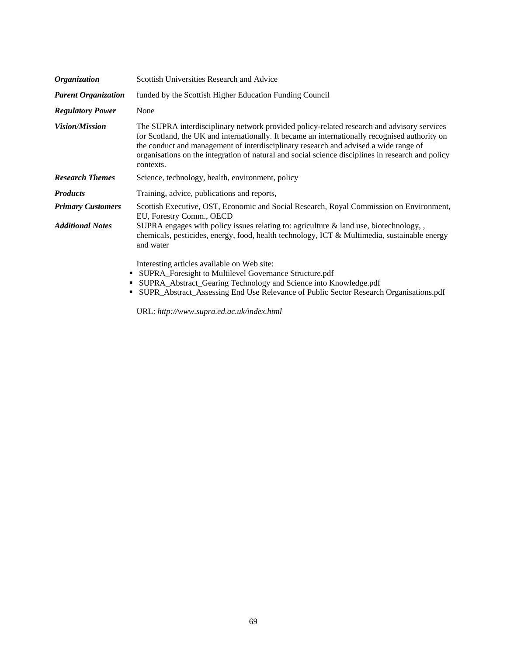| Organization               | Scottish Universities Research and Advice                                                                                                                                                                                                                                                                                                                                                              |
|----------------------------|--------------------------------------------------------------------------------------------------------------------------------------------------------------------------------------------------------------------------------------------------------------------------------------------------------------------------------------------------------------------------------------------------------|
| <b>Parent Organization</b> | funded by the Scottish Higher Education Funding Council                                                                                                                                                                                                                                                                                                                                                |
| <b>Regulatory Power</b>    | None                                                                                                                                                                                                                                                                                                                                                                                                   |
| <b>Vision/Mission</b>      | The SUPRA interdisciplinary network provided policy-related research and advisory services<br>for Scotland, the UK and internationally. It became an internationally recognised authority on<br>the conduct and management of interdisciplinary research and advised a wide range of<br>organisations on the integration of natural and social science disciplines in research and policy<br>contexts. |
| <b>Research Themes</b>     | Science, technology, health, environment, policy                                                                                                                                                                                                                                                                                                                                                       |
| <b>Products</b>            | Training, advice, publications and reports,                                                                                                                                                                                                                                                                                                                                                            |
| <b>Primary Customers</b>   | Scottish Executive, OST, Economic and Social Research, Royal Commission on Environment,<br>EU, Forestry Comm., OECD                                                                                                                                                                                                                                                                                    |
| <b>Additional Notes</b>    | SUPRA engages with policy issues relating to: agriculture $\&$ land use, biotechnology,<br>chemicals, pesticides, energy, food, health technology, ICT & Multimedia, sustainable energy<br>and water                                                                                                                                                                                                   |
| п<br>٠<br>п                | Interesting articles available on Web site:<br>SUPRA_Foresight to Multilevel Governance Structure.pdf<br>SUPRA_Abstract_Gearing Technology and Science into Knowledge.pdf<br>SUPR_Abstract_Assessing End Use Relevance of Public Sector Research Organisations.pdf                                                                                                                                     |

URL: *<http://www.supra.ed.ac.uk/index.html>*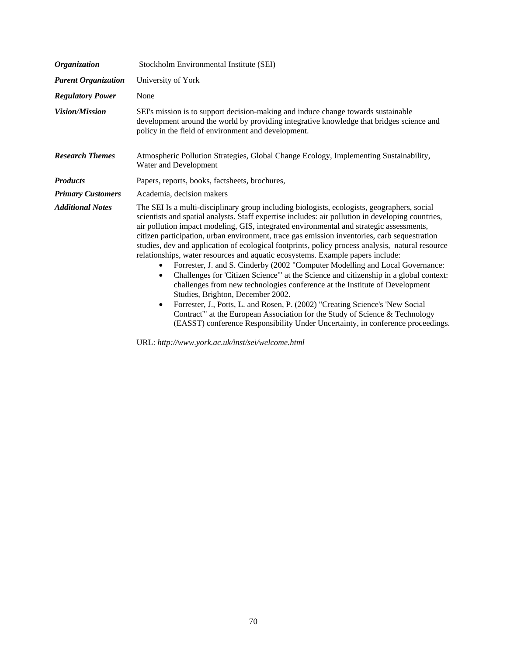| <b>Organization</b>        | Stockholm Environmental Institute (SEI)                                                                                                                                                                                                                                                                                                                                                                                                                                                                                                                                                                                                                                                                                                                                                                                                                                                                                                                                                                                                                                                                                                                                   |
|----------------------------|---------------------------------------------------------------------------------------------------------------------------------------------------------------------------------------------------------------------------------------------------------------------------------------------------------------------------------------------------------------------------------------------------------------------------------------------------------------------------------------------------------------------------------------------------------------------------------------------------------------------------------------------------------------------------------------------------------------------------------------------------------------------------------------------------------------------------------------------------------------------------------------------------------------------------------------------------------------------------------------------------------------------------------------------------------------------------------------------------------------------------------------------------------------------------|
| <b>Parent Organization</b> | University of York                                                                                                                                                                                                                                                                                                                                                                                                                                                                                                                                                                                                                                                                                                                                                                                                                                                                                                                                                                                                                                                                                                                                                        |
| <b>Regulatory Power</b>    | None                                                                                                                                                                                                                                                                                                                                                                                                                                                                                                                                                                                                                                                                                                                                                                                                                                                                                                                                                                                                                                                                                                                                                                      |
| <b>Vision/Mission</b>      | SEI's mission is to support decision-making and induce change towards sustainable<br>development around the world by providing integrative knowledge that bridges science and<br>policy in the field of environment and development.                                                                                                                                                                                                                                                                                                                                                                                                                                                                                                                                                                                                                                                                                                                                                                                                                                                                                                                                      |
| <b>Research Themes</b>     | Atmospheric Pollution Strategies, Global Change Ecology, Implementing Sustainability,<br>Water and Development                                                                                                                                                                                                                                                                                                                                                                                                                                                                                                                                                                                                                                                                                                                                                                                                                                                                                                                                                                                                                                                            |
| <b>Products</b>            | Papers, reports, books, factsheets, brochures,                                                                                                                                                                                                                                                                                                                                                                                                                                                                                                                                                                                                                                                                                                                                                                                                                                                                                                                                                                                                                                                                                                                            |
| <b>Primary Customers</b>   | Academia, decision makers                                                                                                                                                                                                                                                                                                                                                                                                                                                                                                                                                                                                                                                                                                                                                                                                                                                                                                                                                                                                                                                                                                                                                 |
| <b>Additional Notes</b>    | The SEI Is a multi-disciplinary group including biologists, ecologists, geographers, social<br>scientists and spatial analysts. Staff expertise includes: air pollution in developing countries,<br>air pollution impact modeling, GIS, integrated environmental and strategic assessments,<br>citizen participation, urban environment, trace gas emission inventories, carb sequestration<br>studies, dev and application of ecological footprints, policy process analysis, natural resource<br>relationships, water resources and aquatic ecosystems. Example papers include:<br>Forrester, J. and S. Cinderby (2002 "Computer Modelling and Local Governance:<br>$\bullet$<br>Challenges for 'Citizen Science'" at the Science and citizenship in a global context:<br>$\bullet$<br>challenges from new technologies conference at the Institute of Development<br>Studies, Brighton, December 2002.<br>Forrester, J., Potts, L. and Rosen, P. (2002) "Creating Science's 'New Social<br>$\bullet$<br>Contract" at the European Association for the Study of Science & Technology<br>(EASST) conference Responsibility Under Uncertainty, in conference proceedings. |

URL: *<http://www.york.ac.uk/inst/sei/welcome.html>*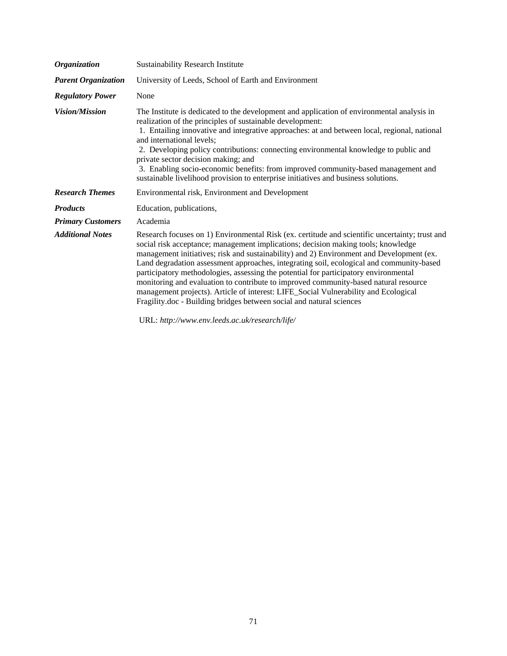| <b>Organization</b>        | <b>Sustainability Research Institute</b>                                                                                                                                                                                                                                                                                                                                                                                                                                                                                                                                                       |
|----------------------------|------------------------------------------------------------------------------------------------------------------------------------------------------------------------------------------------------------------------------------------------------------------------------------------------------------------------------------------------------------------------------------------------------------------------------------------------------------------------------------------------------------------------------------------------------------------------------------------------|
| <b>Parent Organization</b> | University of Leeds, School of Earth and Environment                                                                                                                                                                                                                                                                                                                                                                                                                                                                                                                                           |
| <b>Regulatory Power</b>    | None                                                                                                                                                                                                                                                                                                                                                                                                                                                                                                                                                                                           |
| <b>Vision/Mission</b>      | The Institute is dedicated to the development and application of environmental analysis in<br>realization of the principles of sustainable development:<br>1. Entailing innovative and integrative approaches: at and between local, regional, national<br>and international levels;<br>2. Developing policy contributions: connecting environmental knowledge to public and<br>private sector decision making; and<br>3. Enabling socio-economic benefits: from improved community-based management and<br>sustainable livelihood provision to enterprise initiatives and business solutions. |
| <b>Research Themes</b>     | Environmental risk, Environment and Development                                                                                                                                                                                                                                                                                                                                                                                                                                                                                                                                                |
| <b>Products</b>            | Education, publications,                                                                                                                                                                                                                                                                                                                                                                                                                                                                                                                                                                       |
| <b>Primary Customers</b>   | Academia                                                                                                                                                                                                                                                                                                                                                                                                                                                                                                                                                                                       |
| <b>Additional Notes</b>    | Research focuses on 1) Environmental Risk (ex. certitude and scientific uncertainty; trust and<br>social risk acceptance; management implications; decision making tools; knowledge<br>management initiatives; risk and sustainability) and 2) Environment and Development (ex.<br>Land degradation assessment approaches, integrating soil, ecological and community-based<br>participatory methodologies, assessing the potential for participatory environmental                                                                                                                            |

URL: *[http://www.env.leeds.ac.uk/research/life/](http://www.env.leeds.ac.uk/research/life)*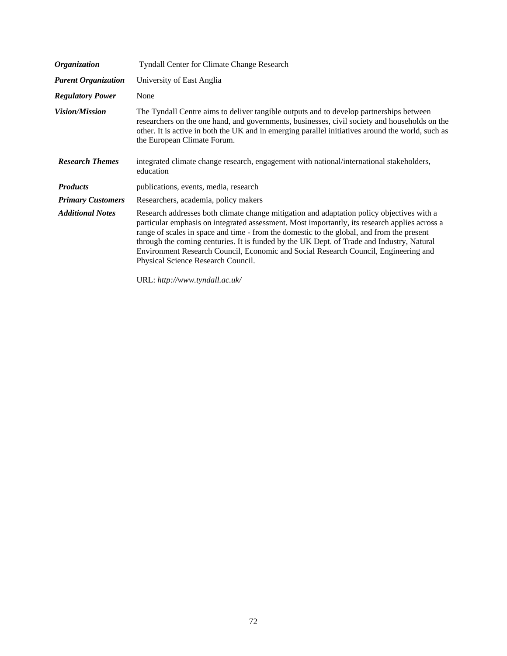| <b>Organization</b>        | <b>Tyndall Center for Climate Change Research</b>                                                                                                                                                                                                                                                                                                                                                                                                                                                                 |
|----------------------------|-------------------------------------------------------------------------------------------------------------------------------------------------------------------------------------------------------------------------------------------------------------------------------------------------------------------------------------------------------------------------------------------------------------------------------------------------------------------------------------------------------------------|
| <b>Parent Organization</b> | University of East Anglia                                                                                                                                                                                                                                                                                                                                                                                                                                                                                         |
| <b>Regulatory Power</b>    | None                                                                                                                                                                                                                                                                                                                                                                                                                                                                                                              |
| <i>Vision/Mission</i>      | The Tyndall Centre aims to deliver tangible outputs and to develop partnerships between<br>researchers on the one hand, and governments, businesses, civil society and households on the<br>other. It is active in both the UK and in emerging parallel initiatives around the world, such as<br>the European Climate Forum.                                                                                                                                                                                      |
| <b>Research Themes</b>     | integrated climate change research, engagement with national/international stakeholders,<br>education                                                                                                                                                                                                                                                                                                                                                                                                             |
| <b>Products</b>            | publications, events, media, research                                                                                                                                                                                                                                                                                                                                                                                                                                                                             |
| <b>Primary Customers</b>   | Researchers, academia, policy makers                                                                                                                                                                                                                                                                                                                                                                                                                                                                              |
| <b>Additional Notes</b>    | Research addresses both climate change mitigation and adaptation policy objectives with a<br>particular emphasis on integrated assessment. Most importantly, its research applies across a<br>range of scales in space and time - from the domestic to the global, and from the present<br>through the coming centuries. It is funded by the UK Dept. of Trade and Industry, Natural<br>Environment Research Council, Economic and Social Research Council, Engineering and<br>Physical Science Research Council. |

URL: *[http://www.tyndall.ac.uk/](http://www.tyndall.ac.uk)*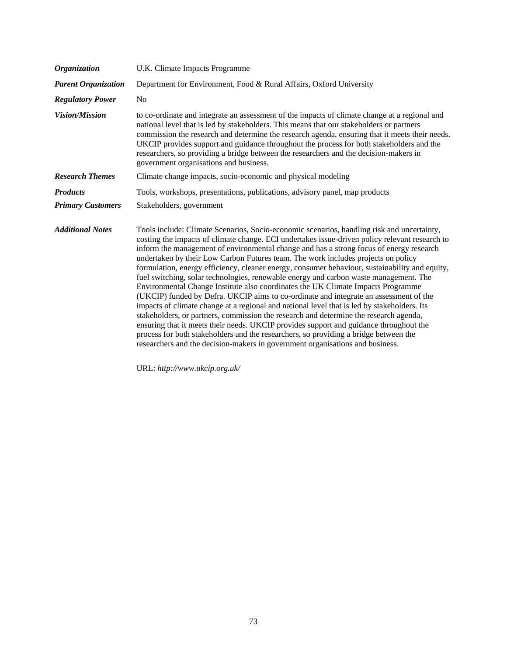| <b>Organization</b>        | U.K. Climate Impacts Programme                                                                                                                                                                                                                                                                                                                                                                                                                                                                                                                                                                                                                                                                                                                                                                                                                                                                                                                                                                                                                                                                                                                                                                                  |
|----------------------------|-----------------------------------------------------------------------------------------------------------------------------------------------------------------------------------------------------------------------------------------------------------------------------------------------------------------------------------------------------------------------------------------------------------------------------------------------------------------------------------------------------------------------------------------------------------------------------------------------------------------------------------------------------------------------------------------------------------------------------------------------------------------------------------------------------------------------------------------------------------------------------------------------------------------------------------------------------------------------------------------------------------------------------------------------------------------------------------------------------------------------------------------------------------------------------------------------------------------|
| <b>Parent Organization</b> | Department for Environment, Food & Rural Affairs, Oxford University                                                                                                                                                                                                                                                                                                                                                                                                                                                                                                                                                                                                                                                                                                                                                                                                                                                                                                                                                                                                                                                                                                                                             |
| <b>Regulatory Power</b>    | N <sub>0</sub>                                                                                                                                                                                                                                                                                                                                                                                                                                                                                                                                                                                                                                                                                                                                                                                                                                                                                                                                                                                                                                                                                                                                                                                                  |
| <b>Vision/Mission</b>      | to co-ordinate and integrate an assessment of the impacts of climate change at a regional and<br>national level that is led by stakeholders. This means that our stakeholders or partners<br>commission the research and determine the research agenda, ensuring that it meets their needs.<br>UKCIP provides support and guidance throughout the process for both stakeholders and the<br>researchers, so providing a bridge between the researchers and the decision-makers in<br>government organisations and business.                                                                                                                                                                                                                                                                                                                                                                                                                                                                                                                                                                                                                                                                                      |
| <b>Research Themes</b>     | Climate change impacts, socio-economic and physical modeling                                                                                                                                                                                                                                                                                                                                                                                                                                                                                                                                                                                                                                                                                                                                                                                                                                                                                                                                                                                                                                                                                                                                                    |
| <b>Products</b>            | Tools, workshops, presentations, publications, advisory panel, map products                                                                                                                                                                                                                                                                                                                                                                                                                                                                                                                                                                                                                                                                                                                                                                                                                                                                                                                                                                                                                                                                                                                                     |
| <b>Primary Customers</b>   | Stakeholders, government                                                                                                                                                                                                                                                                                                                                                                                                                                                                                                                                                                                                                                                                                                                                                                                                                                                                                                                                                                                                                                                                                                                                                                                        |
| <b>Additional Notes</b>    | Tools include: Climate Scenarios, Socio-economic scenarios, handling risk and uncertainty,<br>costing the impacts of climate change. ECI undertakes issue-driven policy relevant research to<br>inform the management of environmental change and has a strong focus of energy research<br>undertaken by their Low Carbon Futures team. The work includes projects on policy<br>formulation, energy efficiency, cleaner energy, consumer behaviour, sustainability and equity,<br>fuel switching, solar technologies, renewable energy and carbon waste management. The<br>Environmental Change Institute also coordinates the UK Climate Impacts Programme<br>(UKCIP) funded by Defra. UKCIP aims to co-ordinate and integrate an assessment of the<br>impacts of climate change at a regional and national level that is led by stakeholders. Its<br>stakeholders, or partners, commission the research and determine the research agenda,<br>ensuring that it meets their needs. UKCIP provides support and guidance throughout the<br>process for both stakeholders and the researchers, so providing a bridge between the<br>researchers and the decision-makers in government organisations and business. |

URL: *[http://www.ukcip.org.uk/](http://www.ukcip.org.uk)*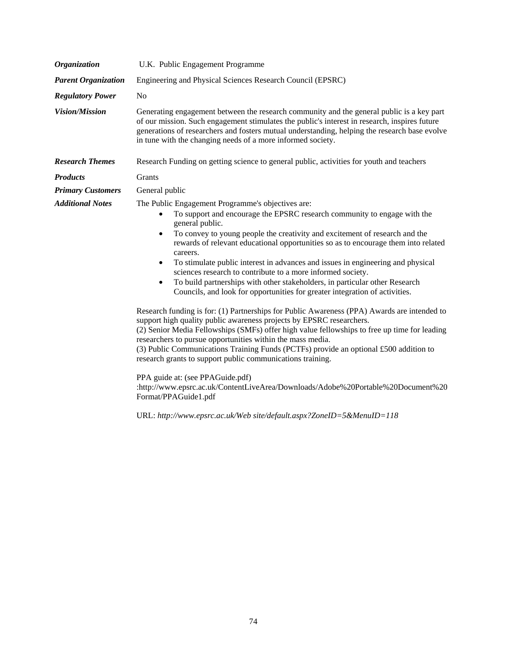| <b>Organization</b>        | U.K. Public Engagement Programme                                                                                                                                                                                                                                                                                                                                                                                                                                                                                                                                                                                                                                                                                  |
|----------------------------|-------------------------------------------------------------------------------------------------------------------------------------------------------------------------------------------------------------------------------------------------------------------------------------------------------------------------------------------------------------------------------------------------------------------------------------------------------------------------------------------------------------------------------------------------------------------------------------------------------------------------------------------------------------------------------------------------------------------|
| <b>Parent Organization</b> | Engineering and Physical Sciences Research Council (EPSRC)                                                                                                                                                                                                                                                                                                                                                                                                                                                                                                                                                                                                                                                        |
| <b>Regulatory Power</b>    | N <sub>o</sub>                                                                                                                                                                                                                                                                                                                                                                                                                                                                                                                                                                                                                                                                                                    |
| <b>Vision/Mission</b>      | Generating engagement between the research community and the general public is a key part<br>of our mission. Such engagement stimulates the public's interest in research, inspires future<br>generations of researchers and fosters mutual understanding, helping the research base evolve<br>in tune with the changing needs of a more informed society.                                                                                                                                                                                                                                                                                                                                                        |
| <b>Research Themes</b>     | Research Funding on getting science to general public, activities for youth and teachers                                                                                                                                                                                                                                                                                                                                                                                                                                                                                                                                                                                                                          |
| <b>Products</b>            | Grants                                                                                                                                                                                                                                                                                                                                                                                                                                                                                                                                                                                                                                                                                                            |
| <b>Primary Customers</b>   | General public                                                                                                                                                                                                                                                                                                                                                                                                                                                                                                                                                                                                                                                                                                    |
| <b>Additional Notes</b>    | The Public Engagement Programme's objectives are:<br>To support and encourage the EPSRC research community to engage with the<br>٠<br>general public.<br>To convey to young people the creativity and excitement of research and the<br>٠<br>rewards of relevant educational opportunities so as to encourage them into related<br>careers.<br>To stimulate public interest in advances and issues in engineering and physical<br>٠<br>sciences research to contribute to a more informed society.<br>To build partnerships with other stakeholders, in particular other Research<br>$\bullet$<br>Councils, and look for opportunities for greater integration of activities.                                     |
|                            | Research funding is for: (1) Partnerships for Public Awareness (PPA) Awards are intended to<br>support high quality public awareness projects by EPSRC researchers.<br>(2) Senior Media Fellowships (SMFs) offer high value fellowships to free up time for leading<br>researchers to pursue opportunities within the mass media.<br>(3) Public Communications Training Funds (PCTFs) provide an optional £500 addition to<br>research grants to support public communications training.<br>PPA guide at: (see PPAGuide.pdf)<br>:http://www.epsrc.ac.uk/ContentLiveArea/Downloads/Adobe%20Portable%20Document%20<br>Format/PPAGuide1.pdf<br>URL: http://www.epsrc.ac.uk/Web site/default.aspx?ZoneID=5&MenuID=118 |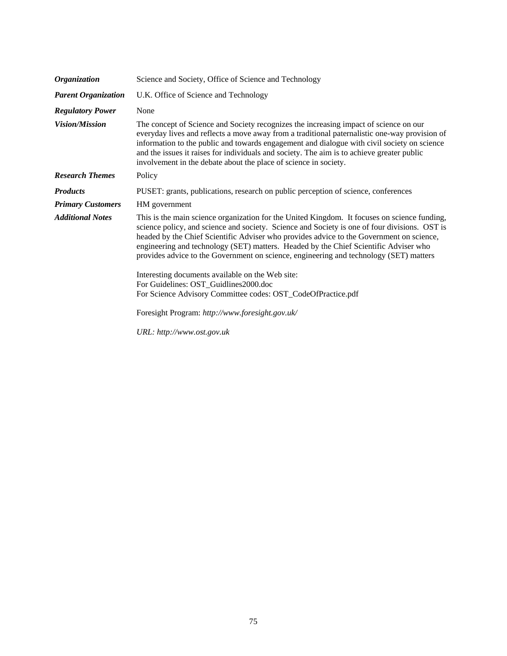| <i><b>Organization</b></i> | Science and Society, Office of Science and Technology                                                                                                                                                                                                                                                                                                                                                                                                                       |
|----------------------------|-----------------------------------------------------------------------------------------------------------------------------------------------------------------------------------------------------------------------------------------------------------------------------------------------------------------------------------------------------------------------------------------------------------------------------------------------------------------------------|
| <b>Parent Organization</b> | U.K. Office of Science and Technology                                                                                                                                                                                                                                                                                                                                                                                                                                       |
| <b>Regulatory Power</b>    | None                                                                                                                                                                                                                                                                                                                                                                                                                                                                        |
| <b>Vision/Mission</b>      | The concept of Science and Society recognizes the increasing impact of science on our<br>everyday lives and reflects a move away from a traditional paternalistic one-way provision of<br>information to the public and towards engagement and dialogue with civil society on science<br>and the issues it raises for individuals and society. The aim is to achieve greater public<br>involvement in the debate about the place of science in society.                     |
| <b>Research Themes</b>     | Policy                                                                                                                                                                                                                                                                                                                                                                                                                                                                      |
| <b>Products</b>            | PUSET: grants, publications, research on public perception of science, conferences                                                                                                                                                                                                                                                                                                                                                                                          |
| <b>Primary Customers</b>   | HM government                                                                                                                                                                                                                                                                                                                                                                                                                                                               |
| <b>Additional Notes</b>    | This is the main science organization for the United Kingdom. It focuses on science funding,<br>science policy, and science and society. Science and Society is one of four divisions. OST is<br>headed by the Chief Scientific Adviser who provides advice to the Government on science,<br>engineering and technology (SET) matters. Headed by the Chief Scientific Adviser who<br>provides advice to the Government on science, engineering and technology (SET) matters |
|                            | Interesting documents available on the Web site:<br>For Guidelines: OST_Guidlines2000.doc<br>For Science Advisory Committee codes: OST_CodeOfPractice.pdf                                                                                                                                                                                                                                                                                                                   |
|                            | Foresight Program: http://www.foresight.gov.uk/                                                                                                                                                                                                                                                                                                                                                                                                                             |
|                            | URL: http://www.ost.gov.uk                                                                                                                                                                                                                                                                                                                                                                                                                                                  |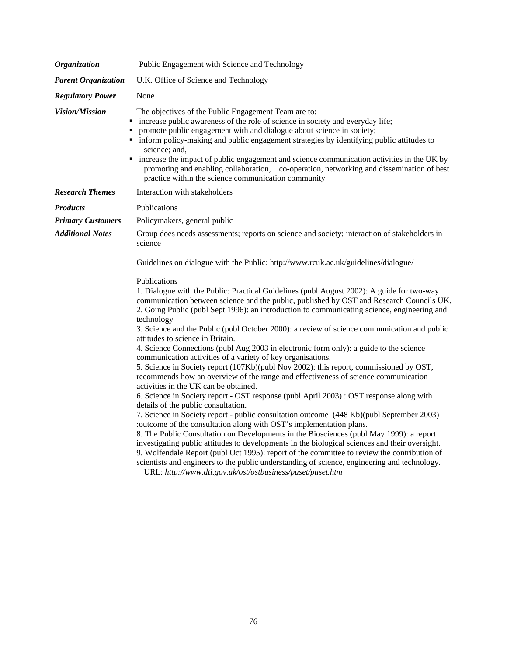| Public Engagement with Science and Technology                                                                                                                                                                                                                                                                                                                                                                                                                                                                                                                                                                                                                                                                                                                                                                                                                                                                                                                                                                                                                                                                                                                                                                                                                                                                                                                                                                                                                                                                                            |
|------------------------------------------------------------------------------------------------------------------------------------------------------------------------------------------------------------------------------------------------------------------------------------------------------------------------------------------------------------------------------------------------------------------------------------------------------------------------------------------------------------------------------------------------------------------------------------------------------------------------------------------------------------------------------------------------------------------------------------------------------------------------------------------------------------------------------------------------------------------------------------------------------------------------------------------------------------------------------------------------------------------------------------------------------------------------------------------------------------------------------------------------------------------------------------------------------------------------------------------------------------------------------------------------------------------------------------------------------------------------------------------------------------------------------------------------------------------------------------------------------------------------------------------|
| U.K. Office of Science and Technology                                                                                                                                                                                                                                                                                                                                                                                                                                                                                                                                                                                                                                                                                                                                                                                                                                                                                                                                                                                                                                                                                                                                                                                                                                                                                                                                                                                                                                                                                                    |
| None                                                                                                                                                                                                                                                                                                                                                                                                                                                                                                                                                                                                                                                                                                                                                                                                                                                                                                                                                                                                                                                                                                                                                                                                                                                                                                                                                                                                                                                                                                                                     |
| The objectives of the Public Engagement Team are to:<br>increase public awareness of the role of science in society and everyday life;<br>promote public engagement with and dialogue about science in society;<br>inform policy-making and public engagement strategies by identifying public attitudes to<br>science; and,<br>• increase the impact of public engagement and science communication activities in the UK by<br>promoting and enabling collaboration, co-operation, networking and dissemination of best<br>practice within the science communication community                                                                                                                                                                                                                                                                                                                                                                                                                                                                                                                                                                                                                                                                                                                                                                                                                                                                                                                                                          |
| Interaction with stakeholders                                                                                                                                                                                                                                                                                                                                                                                                                                                                                                                                                                                                                                                                                                                                                                                                                                                                                                                                                                                                                                                                                                                                                                                                                                                                                                                                                                                                                                                                                                            |
| <b>Publications</b>                                                                                                                                                                                                                                                                                                                                                                                                                                                                                                                                                                                                                                                                                                                                                                                                                                                                                                                                                                                                                                                                                                                                                                                                                                                                                                                                                                                                                                                                                                                      |
| Policymakers, general public                                                                                                                                                                                                                                                                                                                                                                                                                                                                                                                                                                                                                                                                                                                                                                                                                                                                                                                                                                                                                                                                                                                                                                                                                                                                                                                                                                                                                                                                                                             |
| Group does needs assessments; reports on science and society; interaction of stakeholders in<br>science                                                                                                                                                                                                                                                                                                                                                                                                                                                                                                                                                                                                                                                                                                                                                                                                                                                                                                                                                                                                                                                                                                                                                                                                                                                                                                                                                                                                                                  |
| Guidelines on dialogue with the Public: http://www.rcuk.ac.uk/guidelines/dialogue/                                                                                                                                                                                                                                                                                                                                                                                                                                                                                                                                                                                                                                                                                                                                                                                                                                                                                                                                                                                                                                                                                                                                                                                                                                                                                                                                                                                                                                                       |
| Publications<br>1. Dialogue with the Public: Practical Guidelines (publ August 2002): A guide for two-way<br>communication between science and the public, published by OST and Research Councils UK.<br>2. Going Public (publ Sept 1996): an introduction to communicating science, engineering and<br>technology<br>3. Science and the Public (publ October 2000): a review of science communication and public<br>attitudes to science in Britain.<br>4. Science Connections (publ Aug 2003 in electronic form only): a guide to the science<br>communication activities of a variety of key organisations.<br>5. Science in Society report (107Kb)(publ Nov 2002): this report, commissioned by OST,<br>recommends how an overview of the range and effectiveness of science communication<br>activities in the UK can be obtained.<br>6. Science in Society report - OST response (publ April 2003) : OST response along with<br>details of the public consultation.<br>7. Science in Society report - public consultation outcome (448 Kb)(publ September 2003)<br>:outcome of the consultation along with OST's implementation plans.<br>8. The Public Consultation on Developments in the Biosciences (publ May 1999): a report<br>investigating public attitudes to developments in the biological sciences and their oversight.<br>9. Wolfendale Report (publ Oct 1995): report of the committee to review the contribution of<br>scientists and engineers to the public understanding of science, engineering and technology. |
|                                                                                                                                                                                                                                                                                                                                                                                                                                                                                                                                                                                                                                                                                                                                                                                                                                                                                                                                                                                                                                                                                                                                                                                                                                                                                                                                                                                                                                                                                                                                          |